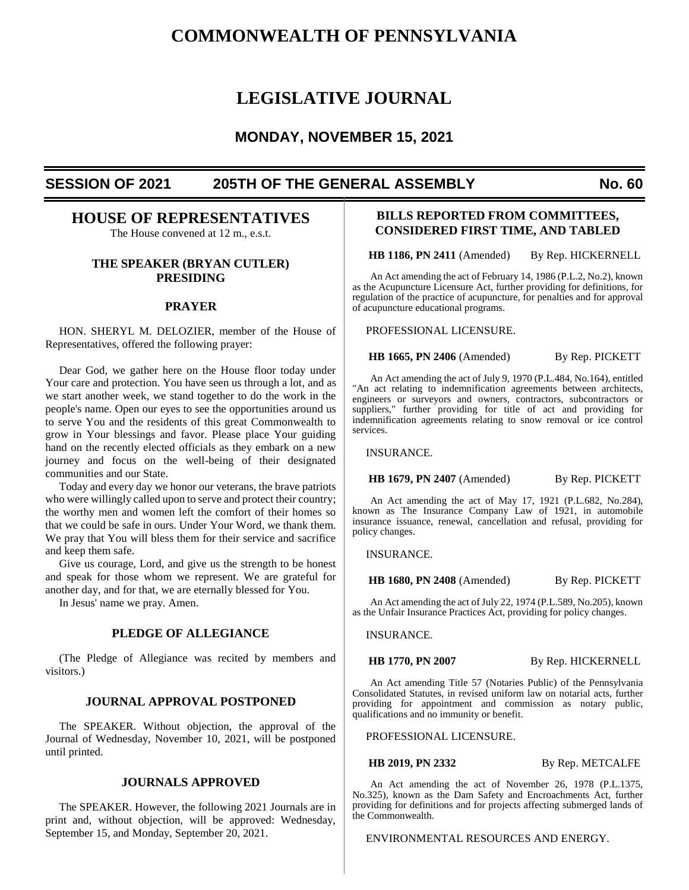# **COMMONWEALTH OF PENNSYLVANIA**

# **LEGISLATIVE JOURNAL**

# **MONDAY, NOVEMBER 15, 2021**

# **SESSION OF 2021 205TH OF THE GENERAL ASSEMBLY No. 60**

# **HOUSE OF REPRESENTATIVES**

The House convened at 12 m., e.s.t.

#### **THE SPEAKER (BRYAN CUTLER) PRESIDING**

#### **PRAYER**

HON. SHERYL M. DELOZIER, member of the House of Representatives, offered the following prayer:

Dear God, we gather here on the House floor today under Your care and protection. You have seen us through a lot, and as we start another week, we stand together to do the work in the people's name. Open our eyes to see the opportunities around us to serve You and the residents of this great Commonwealth to grow in Your blessings and favor. Please place Your guiding hand on the recently elected officials as they embark on a new journey and focus on the well-being of their designated communities and our State.

Today and every day we honor our veterans, the brave patriots who were willingly called upon to serve and protect their country; the worthy men and women left the comfort of their homes so that we could be safe in ours. Under Your Word, we thank them. We pray that You will bless them for their service and sacrifice and keep them safe.

Give us courage, Lord, and give us the strength to be honest and speak for those whom we represent. We are grateful for another day, and for that, we are eternally blessed for You.

In Jesus' name we pray. Amen.

#### **PLEDGE OF ALLEGIANCE**

(The Pledge of Allegiance was recited by members and visitors.)

#### **JOURNAL APPROVAL POSTPONED**

The SPEAKER. Without objection, the approval of the Journal of Wednesday, November 10, 2021, will be postponed until printed.

#### **JOURNALS APPROVED**

The SPEAKER. However, the following 2021 Journals are in print and, without objection, will be approved: Wednesday, September 15, and Monday, September 20, 2021.

## **BILLS REPORTED FROM COMMITTEES, CONSIDERED FIRST TIME, AND TABLED**

**HB 1186, PN 2411** (Amended) By Rep. HICKERNELL

An Act amending the act of February 14, 1986 (P.L.2, No.2), known as the Acupuncture Licensure Act, further providing for definitions, for regulation of the practice of acupuncture, for penalties and for approval of acupuncture educational programs.

PROFESSIONAL LICENSURE.

**HB 1665, PN 2406** (Amended) By Rep. PICKETT

An Act amending the act of July 9, 1970 (P.L.484, No.164), entitled "An act relating to indemnification agreements between architects, engineers or surveyors and owners, contractors, subcontractors or suppliers," further providing for title of act and providing for indemnification agreements relating to snow removal or ice control services.

INSURANCE.

**HB 1679, PN 2407** (Amended) By Rep. PICKETT

An Act amending the act of May 17, 1921 (P.L.682, No.284), known as The Insurance Company Law of 1921, in automobile insurance issuance, renewal, cancellation and refusal, providing for policy changes.

INSURANCE.

**HB 1680, PN 2408** (Amended) By Rep. PICKETT

An Act amending the act of July 22, 1974 (P.L.589, No.205), known as the Unfair Insurance Practices Act, providing for policy changes.

INSURANCE.

**HB 1770, PN 2007** By Rep. HICKERNELL

An Act amending Title 57 (Notaries Public) of the Pennsylvania Consolidated Statutes, in revised uniform law on notarial acts, further providing for appointment and commission as notary public, qualifications and no immunity or benefit.

PROFESSIONAL LICENSURE.

**HB 2019, PN 2332** By Rep. METCALFE

An Act amending the act of November 26, 1978 (P.L.1375, No.325), known as the Dam Safety and Encroachments Act, further providing for definitions and for projects affecting submerged lands of the Commonwealth.

ENVIRONMENTAL RESOURCES AND ENERGY.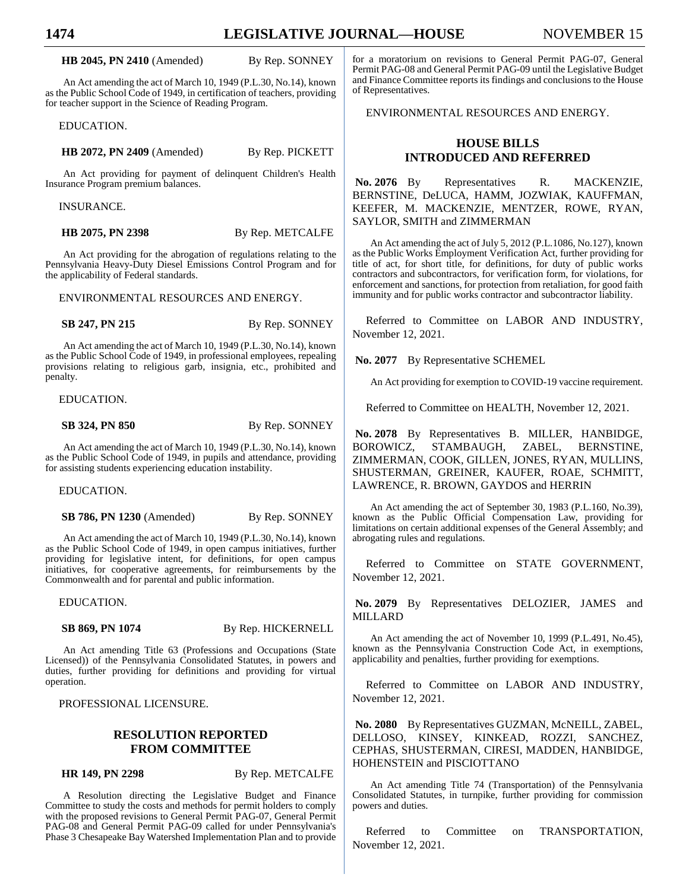**HB 2045, PN 2410** (Amended) By Rep. SONNEY

An Act amending the act of March 10, 1949 (P.L.30, No.14), known as the Public School Code of 1949, in certification of teachers, providing for teacher support in the Science of Reading Program.

EDUCATION.

**HB 2072, PN 2409** (Amended) By Rep. PICKETT

An Act providing for payment of delinquent Children's Health Insurance Program premium balances.

INSURANCE.

**HB 2075, PN 2398** By Rep. METCALFE

An Act providing for the abrogation of regulations relating to the Pennsylvania Heavy-Duty Diesel Emissions Control Program and for the applicability of Federal standards.

ENVIRONMENTAL RESOURCES AND ENERGY.

**SB 247, PN 215** By Rep. SONNEY

An Act amending the act of March 10, 1949 (P.L.30, No.14), known as the Public School Code of 1949, in professional employees, repealing provisions relating to religious garb, insignia, etc., prohibited and penalty.

EDUCATION.

**SB 324, PN 850** By Rep. SONNEY

An Act amending the act of March 10, 1949 (P.L.30, No.14), known as the Public School Code of 1949, in pupils and attendance, providing for assisting students experiencing education instability.

EDUCATION.

**SB 786, PN 1230** (Amended) By Rep. SONNEY

An Act amending the act of March 10, 1949 (P.L.30, No.14), known as the Public School Code of 1949, in open campus initiatives, further providing for legislative intent, for definitions, for open campus initiatives, for cooperative agreements, for reimbursements by the Commonwealth and for parental and public information.

EDUCATION.

**SB 869, PN 1074** By Rep. HICKERNELL

An Act amending Title 63 (Professions and Occupations (State Licensed)) of the Pennsylvania Consolidated Statutes, in powers and duties, further providing for definitions and providing for virtual operation.

PROFESSIONAL LICENSURE.

### **RESOLUTION REPORTED FROM COMMITTEE**

**HR 149, PN 2298** By Rep. METCALFE

A Resolution directing the Legislative Budget and Finance Committee to study the costs and methods for permit holders to comply with the proposed revisions to General Permit PAG-07, General Permit PAG-08 and General Permit PAG-09 called for under Pennsylvania's Phase 3 Chesapeake Bay Watershed Implementation Plan and to provide

for a moratorium on revisions to General Permit PAG-07, General Permit PAG-08 and General Permit PAG-09 until the Legislative Budget and Finance Committee reports its findings and conclusions to the House of Representatives.

ENVIRONMENTAL RESOURCES AND ENERGY.

# **HOUSE BILLS INTRODUCED AND REFERRED**

No. 2076 By Representatives R. MACKENZIE, BERNSTINE, DeLUCA, HAMM, JOZWIAK, KAUFFMAN, KEEFER, M. MACKENZIE, MENTZER, ROWE, RYAN, SAYLOR, SMITH and ZIMMERMAN

An Act amending the act of July 5, 2012 (P.L.1086, No.127), known as the Public Works Employment Verification Act, further providing for title of act, for short title, for definitions, for duty of public works contractors and subcontractors, for verification form, for violations, for enforcement and sanctions, for protection from retaliation, for good faith immunity and for public works contractor and subcontractor liability.

Referred to Committee on LABOR AND INDUSTRY, November 12, 2021.

**No. 2077** By Representative SCHEMEL

An Act providing for exemption to COVID-19 vaccine requirement.

Referred to Committee on HEALTH, November 12, 2021.

**No. 2078** By Representatives B. MILLER, HANBIDGE, BOROWICZ, STAMBAUGH, ZABEL, BERNSTINE, ZIMMERMAN, COOK, GILLEN, JONES, RYAN, MULLINS, SHUSTERMAN, GREINER, KAUFER, ROAE, SCHMITT, LAWRENCE, R. BROWN, GAYDOS and HERRIN

An Act amending the act of September 30, 1983 (P.L.160, No.39), known as the Public Official Compensation Law, providing for limitations on certain additional expenses of the General Assembly; and abrogating rules and regulations.

Referred to Committee on STATE GOVERNMENT, November 12, 2021.

**No. 2079** By Representatives DELOZIER, JAMES and MILLARD

An Act amending the act of November 10, 1999 (P.L.491, No.45), known as the Pennsylvania Construction Code Act, in exemptions, applicability and penalties, further providing for exemptions.

Referred to Committee on LABOR AND INDUSTRY, November 12, 2021.

**No. 2080** By Representatives GUZMAN, McNEILL, ZABEL, DELLOSO, KINSEY, KINKEAD, ROZZI, SANCHEZ, CEPHAS, SHUSTERMAN, CIRESI, MADDEN, HANBIDGE, HOHENSTEIN and PISCIOTTANO

An Act amending Title 74 (Transportation) of the Pennsylvania Consolidated Statutes, in turnpike, further providing for commission powers and duties.

Referred to Committee on TRANSPORTATION, November 12, 2021.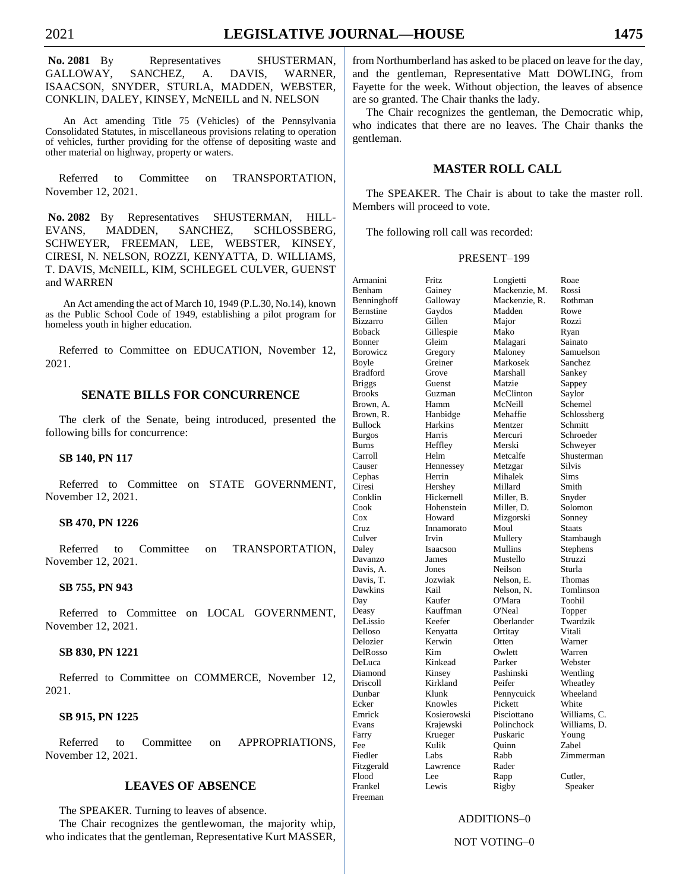No. 2081 By Representatives SHUSTERMAN, GALLOWAY, SANCHEZ, A. DAVIS, WARNER, ISAACSON, SNYDER, STURLA, MADDEN, WEBSTER, CONKLIN, DALEY, KINSEY, McNEILL and N. NELSON

An Act amending Title 75 (Vehicles) of the Pennsylvania Consolidated Statutes, in miscellaneous provisions relating to operation of vehicles, further providing for the offense of depositing waste and other material on highway, property or waters.

Referred to Committee on TRANSPORTATION, November 12, 2021.

**No. 2082** By Representatives SHUSTERMAN, HILL-EVANS, MADDEN, SANCHEZ, SCHLOSSBERG, SCHWEYER, FREEMAN, LEE, WEBSTER, KINSEY, CIRESI, N. NELSON, ROZZI, KENYATTA, D. WILLIAMS, T. DAVIS, McNEILL, KIM, SCHLEGEL CULVER, GUENST and WARREN

An Act amending the act of March 10, 1949 (P.L.30, No.14), known as the Public School Code of 1949, establishing a pilot program for homeless youth in higher education.

Referred to Committee on EDUCATION, November 12, 2021.

#### **SENATE BILLS FOR CONCURRENCE**

The clerk of the Senate, being introduced, presented the following bills for concurrence:

#### **SB 140, PN 117**

Referred to Committee on STATE GOVERNMENT, November 12, 2021.

#### **SB 470, PN 1226**

Referred to Committee on TRANSPORTATION, November 12, 2021.

#### **SB 755, PN 943**

Referred to Committee on LOCAL GOVERNMENT, November 12, 2021.

#### **SB 830, PN 1221**

Referred to Committee on COMMERCE, November 12, 2021.

#### **SB 915, PN 1225**

Referred to Committee on APPROPRIATIONS, November 12, 2021.

### **LEAVES OF ABSENCE**

The SPEAKER. Turning to leaves of absence.

The Chair recognizes the gentlewoman, the majority whip, who indicates that the gentleman, Representative Kurt MASSER, from Northumberland has asked to be placed on leave for the day, and the gentleman, Representative Matt DOWLING, from Fayette for the week. Without objection, the leaves of absence are so granted. The Chair thanks the lady.

The Chair recognizes the gentleman, the Democratic whip, who indicates that there are no leaves. The Chair thanks the gentleman.

#### **MASTER ROLL CALL**

The SPEAKER. The Chair is about to take the master roll. Members will proceed to vote.

The following roll call was recorded:

#### PRESENT–199

| Armanini        | Fritz       | Longietti     | Roae          |
|-----------------|-------------|---------------|---------------|
| Benham          | Gainey      | Mackenzie, M. | Rossi         |
| Benninghoff     | Galloway    | Mackenzie, R. | Rothman       |
| Bernstine       | Gaydos      | Madden        | Rowe          |
| <b>Bizzarro</b> | Gillen      | Major         | Rozzi         |
| Boback          | Gillespie   | Mako          | Ryan          |
| Bonner          | Gleim       | Malagari      | Sainato       |
| Borowicz        | Gregory     | Maloney       | Samuelson     |
| Boyle           | Greiner     | Markosek      | Sanchez       |
| <b>Bradford</b> | Grove       | Marshall      | Sankey        |
| <b>Briggs</b>   | Guenst      | Matzie        | Sappey        |
| <b>Brooks</b>   | Guzman      | McClinton     | Saylor        |
| Brown, A.       | Hamm        | McNeill       | Schemel       |
| Brown, R.       | Hanbidge    | Mehaffie      | Schlossberg   |
| Bullock         | Harkins     | Mentzer       | Schmitt       |
| <b>Burgos</b>   | Harris      | Mercuri       | Schroeder     |
| Burns           | Heffley     | Merski        | Schweyer      |
| Carroll         | Helm        | Metcalfe      | Shusterman    |
| Causer          | Hennessey   | Metzgar       | <b>Silvis</b> |
| Cephas          | Herrin      | Mihalek       | Sims          |
| Ciresi          | Hershey     | Millard       | Smith         |
| Conklin         | Hickernell  | Miller, B.    | Snyder        |
| Cook            | Hohenstein  | Miller, D.    | Solomon       |
| Cox             | Howard      | Mizgorski     | Sonney        |
| Cruz            | Innamorato  | Moul          | <b>Staats</b> |
| Culver          | Irvin       | Mullery       | Stambaugh     |
| Daley           | Isaacson    | Mullins       | Stephens      |
| Davanzo         | James       | Mustello      | Struzzi       |
| Davis, A.       | Jones       | Neilson       | Sturla        |
| Davis, T.       | Jozwiak     | Nelson, E.    | Thomas        |
| Dawkins         | Kail        | Nelson, N.    | Tomlinson     |
| Day             | Kaufer      | O'Mara        | Toohil        |
| Deasy           | Kauffman    | O'Neal        | Topper        |
| DeLissio        | Keefer      | Oberlander    | Twardzik      |
| Delloso         | Kenyatta    | Ortitay       | Vitali        |
| Delozier        | Kerwin      | Otten         | Warner        |
| DelRosso        | Kim         | Owlett        | Warren        |
| DeLuca          | Kinkead     | Parker        | Webster       |
| Diamond         | Kinsey      | Pashinski     | Wentling      |
| Driscoll        | Kirkland    | Peifer        | Wheatley      |
| Dunbar          | Klunk       | Pennycuick    | Wheeland      |
| Ecker           | Knowles     | Pickett       | White         |
| Emrick          | Kosierowski | Pisciottano   | Williams, C.  |
| Evans           | Krajewski   | Polinchock    | Williams, D.  |
| Farry           | Krueger     | Puskaric      | Young         |
| Fee             | Kulik       | Quinn         | Zabel         |
| Fiedler         | Labs        | Rabb          | Zimmerman     |
| Fitzgerald      | Lawrence    | Rader         |               |
| Flood           | Lee         | Rapp          | Cutler,       |
| Frankel         | Lewis       | Rigby         | Speaker       |
| Freeman         |             |               |               |
|                 |             |               |               |

#### ADDITIONS–0

#### NOT VOTING–0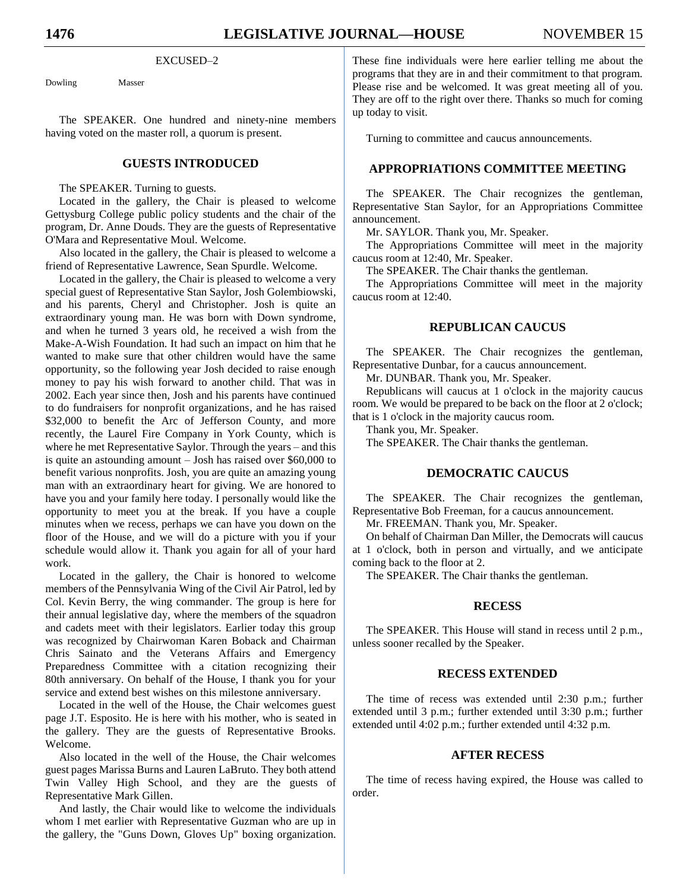#### EXCUSED-2

Dowling Masser

The SPEAKER. One hundred and ninety-nine members having voted on the master roll, a quorum is present.

### **GUESTS INTRODUCED**

The SPEAKER. Turning to guests.

Located in the gallery, the Chair is pleased to welcome Gettysburg College public policy students and the chair of the program, Dr. Anne Douds. They are the guests of Representative O'Mara and Representative Moul. Welcome.

Also located in the gallery, the Chair is pleased to welcome a friend of Representative Lawrence, Sean Spurdle. Welcome.

Located in the gallery, the Chair is pleased to welcome a very special guest of Representative Stan Saylor, Josh Golembiowski, and his parents, Cheryl and Christopher. Josh is quite an extraordinary young man. He was born with Down syndrome, and when he turned 3 years old, he received a wish from the Make-A-Wish Foundation. It had such an impact on him that he wanted to make sure that other children would have the same opportunity, so the following year Josh decided to raise enough money to pay his wish forward to another child. That was in 2002. Each year since then, Josh and his parents have continued to do fundraisers for nonprofit organizations, and he has raised \$32,000 to benefit the Arc of Jefferson County, and more recently, the Laurel Fire Company in York County, which is where he met Representative Saylor. Through the years – and this is quite an astounding amount – Josh has raised over \$60,000 to benefit various nonprofits. Josh, you are quite an amazing young man with an extraordinary heart for giving. We are honored to have you and your family here today. I personally would like the opportunity to meet you at the break. If you have a couple minutes when we recess, perhaps we can have you down on the floor of the House, and we will do a picture with you if your schedule would allow it. Thank you again for all of your hard work.

Located in the gallery, the Chair is honored to welcome members of the Pennsylvania Wing of the Civil Air Patrol, led by Col. Kevin Berry, the wing commander. The group is here for their annual legislative day, where the members of the squadron and cadets meet with their legislators. Earlier today this group was recognized by Chairwoman Karen Boback and Chairman Chris Sainato and the Veterans Affairs and Emergency Preparedness Committee with a citation recognizing their 80th anniversary. On behalf of the House, I thank you for your service and extend best wishes on this milestone anniversary.

Located in the well of the House, the Chair welcomes guest page J.T. Esposito. He is here with his mother, who is seated in the gallery. They are the guests of Representative Brooks. Welcome.

Also located in the well of the House, the Chair welcomes guest pages Marissa Burns and Lauren LaBruto. They both attend Twin Valley High School, and they are the guests of Representative Mark Gillen.

And lastly, the Chair would like to welcome the individuals whom I met earlier with Representative Guzman who are up in the gallery, the "Guns Down, Gloves Up" boxing organization.

These fine individuals were here earlier telling me about the programs that they are in and their commitment to that program. Please rise and be welcomed. It was great meeting all of you. They are off to the right over there. Thanks so much for coming up today to visit.

Turning to committee and caucus announcements.

#### **APPROPRIATIONS COMMITTEE MEETING**

The SPEAKER. The Chair recognizes the gentleman, Representative Stan Saylor, for an Appropriations Committee announcement.

Mr. SAYLOR. Thank you, Mr. Speaker.

The Appropriations Committee will meet in the majority caucus room at 12:40, Mr. Speaker.

The SPEAKER. The Chair thanks the gentleman.

The Appropriations Committee will meet in the majority caucus room at 12:40.

## **REPUBLICAN CAUCUS**

The SPEAKER. The Chair recognizes the gentleman, Representative Dunbar, for a caucus announcement.

Mr. DUNBAR. Thank you, Mr. Speaker.

Republicans will caucus at 1 o'clock in the majority caucus room. We would be prepared to be back on the floor at 2 o'clock; that is 1 o'clock in the majority caucus room.

Thank you, Mr. Speaker.

The SPEAKER. The Chair thanks the gentleman.

### **DEMOCRATIC CAUCUS**

The SPEAKER. The Chair recognizes the gentleman, Representative Bob Freeman, for a caucus announcement.

Mr. FREEMAN. Thank you, Mr. Speaker.

On behalf of Chairman Dan Miller, the Democrats will caucus at 1 o'clock, both in person and virtually, and we anticipate coming back to the floor at 2.

The SPEAKER. The Chair thanks the gentleman.

#### **RECESS**

The SPEAKER. This House will stand in recess until 2 p.m., unless sooner recalled by the Speaker.

## **RECESS EXTENDED**

The time of recess was extended until 2:30 p.m.; further extended until 3 p.m.; further extended until 3:30 p.m.; further extended until 4:02 p.m.; further extended until 4:32 p.m.

#### **AFTER RECESS**

The time of recess having expired, the House was called to order.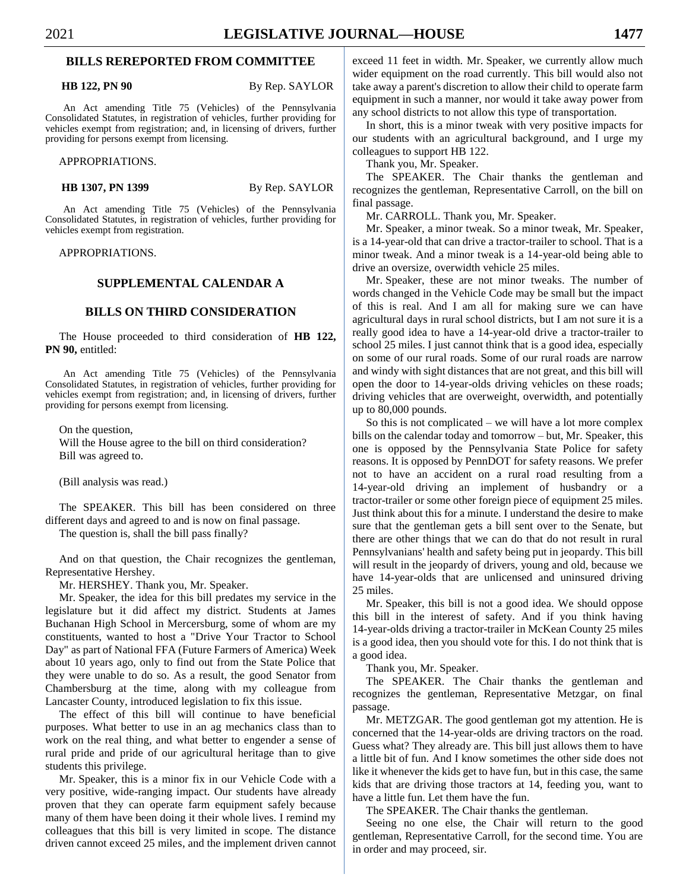#### **BILLS REREPORTED FROM COMMITTEE**

**HB 122, PN 90** By Rep. SAYLOR

An Act amending Title 75 (Vehicles) of the Pennsylvania Consolidated Statutes, in registration of vehicles, further providing for vehicles exempt from registration; and, in licensing of drivers, further providing for persons exempt from licensing.

APPROPRIATIONS.

**HB 1307, PN 1399** By Rep. SAYLOR

An Act amending Title 75 (Vehicles) of the Pennsylvania Consolidated Statutes, in registration of vehicles, further providing for vehicles exempt from registration.

APPROPRIATIONS.

#### **SUPPLEMENTAL CALENDAR A**

#### **BILLS ON THIRD CONSIDERATION**

The House proceeded to third consideration of **HB 122, PN 90,** entitled:

An Act amending Title 75 (Vehicles) of the Pennsylvania Consolidated Statutes, in registration of vehicles, further providing for vehicles exempt from registration; and, in licensing of drivers, further providing for persons exempt from licensing.

On the question,

Will the House agree to the bill on third consideration? Bill was agreed to.

(Bill analysis was read.)

The SPEAKER. This bill has been considered on three different days and agreed to and is now on final passage.

The question is, shall the bill pass finally?

And on that question, the Chair recognizes the gentleman, Representative Hershey.

Mr. HERSHEY. Thank you, Mr. Speaker.

Mr. Speaker, the idea for this bill predates my service in the legislature but it did affect my district. Students at James Buchanan High School in Mercersburg, some of whom are my constituents, wanted to host a "Drive Your Tractor to School Day" as part of National FFA (Future Farmers of America) Week about 10 years ago, only to find out from the State Police that they were unable to do so. As a result, the good Senator from Chambersburg at the time, along with my colleague from Lancaster County, introduced legislation to fix this issue.

The effect of this bill will continue to have beneficial purposes. What better to use in an ag mechanics class than to work on the real thing, and what better to engender a sense of rural pride and pride of our agricultural heritage than to give students this privilege.

Mr. Speaker, this is a minor fix in our Vehicle Code with a very positive, wide-ranging impact. Our students have already proven that they can operate farm equipment safely because many of them have been doing it their whole lives. I remind my colleagues that this bill is very limited in scope. The distance driven cannot exceed 25 miles, and the implement driven cannot exceed 11 feet in width. Mr. Speaker, we currently allow much wider equipment on the road currently. This bill would also not take away a parent's discretion to allow their child to operate farm equipment in such a manner, nor would it take away power from any school districts to not allow this type of transportation.

In short, this is a minor tweak with very positive impacts for our students with an agricultural background, and I urge my colleagues to support HB 122.

Thank you, Mr. Speaker.

The SPEAKER. The Chair thanks the gentleman and recognizes the gentleman, Representative Carroll, on the bill on final passage.

Mr. CARROLL. Thank you, Mr. Speaker.

Mr. Speaker, a minor tweak. So a minor tweak, Mr. Speaker, is a 14-year-old that can drive a tractor-trailer to school. That is a minor tweak. And a minor tweak is a 14-year-old being able to drive an oversize, overwidth vehicle 25 miles.

Mr. Speaker, these are not minor tweaks. The number of words changed in the Vehicle Code may be small but the impact of this is real. And I am all for making sure we can have agricultural days in rural school districts, but I am not sure it is a really good idea to have a 14-year-old drive a tractor-trailer to school 25 miles. I just cannot think that is a good idea, especially on some of our rural roads. Some of our rural roads are narrow and windy with sight distances that are not great, and this bill will open the door to 14-year-olds driving vehicles on these roads; driving vehicles that are overweight, overwidth, and potentially up to 80,000 pounds.

So this is not complicated – we will have a lot more complex bills on the calendar today and tomorrow – but, Mr. Speaker, this one is opposed by the Pennsylvania State Police for safety reasons. It is opposed by PennDOT for safety reasons. We prefer not to have an accident on a rural road resulting from a 14-year-old driving an implement of husbandry or a tractor-trailer or some other foreign piece of equipment 25 miles. Just think about this for a minute. I understand the desire to make sure that the gentleman gets a bill sent over to the Senate, but there are other things that we can do that do not result in rural Pennsylvanians' health and safety being put in jeopardy. This bill will result in the jeopardy of drivers, young and old, because we have 14-year-olds that are unlicensed and uninsured driving 25 miles.

Mr. Speaker, this bill is not a good idea. We should oppose this bill in the interest of safety. And if you think having 14-year-olds driving a tractor-trailer in McKean County 25 miles is a good idea, then you should vote for this. I do not think that is a good idea.

Thank you, Mr. Speaker.

The SPEAKER. The Chair thanks the gentleman and recognizes the gentleman, Representative Metzgar, on final passage.

Mr. METZGAR. The good gentleman got my attention. He is concerned that the 14-year-olds are driving tractors on the road. Guess what? They already are. This bill just allows them to have a little bit of fun. And I know sometimes the other side does not like it whenever the kids get to have fun, but in this case, the same kids that are driving those tractors at 14, feeding you, want to have a little fun. Let them have the fun.

The SPEAKER. The Chair thanks the gentleman.

Seeing no one else, the Chair will return to the good gentleman, Representative Carroll, for the second time. You are in order and may proceed, sir.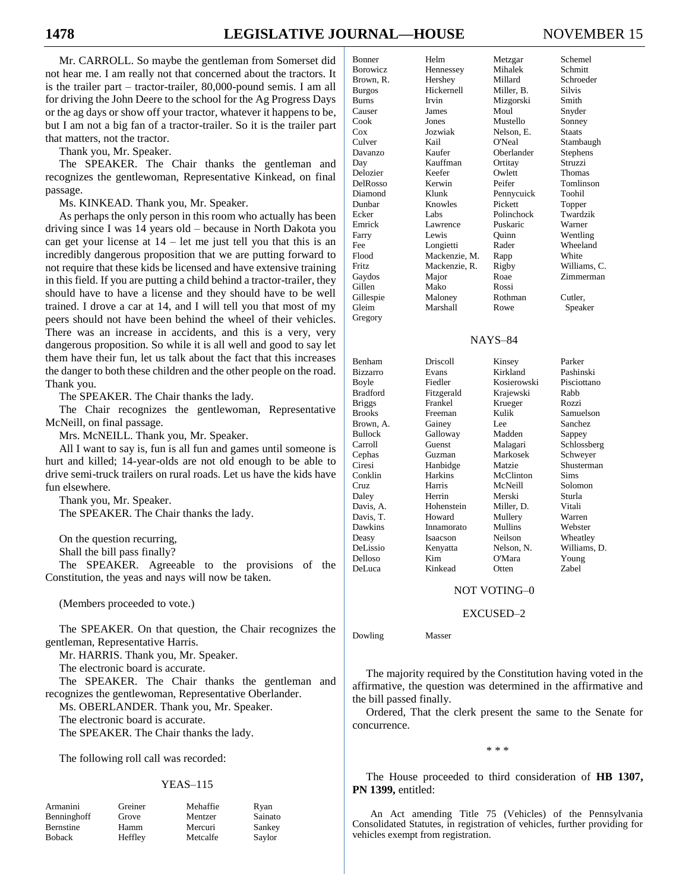Mr. CARROLL. So maybe the gentleman from Somerset did not hear me. I am really not that concerned about the tractors. It is the trailer part – tractor-trailer, 80,000-pound semis. I am all for driving the John Deere to the school for the Ag Progress Days or the ag days or show off your tractor, whatever it happens to be, but I am not a big fan of a tractor-trailer. So it is the trailer part that matters, not the tractor.

Thank you, Mr. Speaker.

The SPEAKER. The Chair thanks the gentleman and recognizes the gentlewoman, Representative Kinkead, on final passage.

Ms. KINKEAD. Thank you, Mr. Speaker.

As perhaps the only person in this room who actually has been driving since I was 14 years old – because in North Dakota you can get your license at  $14$  – let me just tell you that this is an incredibly dangerous proposition that we are putting forward to not require that these kids be licensed and have extensive training in this field. If you are putting a child behind a tractor-trailer, they should have to have a license and they should have to be well trained. I drove a car at 14, and I will tell you that most of my peers should not have been behind the wheel of their vehicles. There was an increase in accidents, and this is a very, very dangerous proposition. So while it is all well and good to say let them have their fun, let us talk about the fact that this increases the danger to both these children and the other people on the road. Thank you.

The SPEAKER. The Chair thanks the lady.

The Chair recognizes the gentlewoman, Representative McNeill, on final passage.

Mrs. McNEILL. Thank you, Mr. Speaker.

All I want to say is, fun is all fun and games until someone is hurt and killed; 14-year-olds are not old enough to be able to drive semi-truck trailers on rural roads. Let us have the kids have fun elsewhere.

Thank you, Mr. Speaker. The SPEAKER. The Chair thanks the lady.

On the question recurring,

Shall the bill pass finally?

The SPEAKER. Agreeable to the provisions of the Constitution, the yeas and nays will now be taken.

(Members proceeded to vote.)

The SPEAKER. On that question, the Chair recognizes the gentleman, Representative Harris.

Mr. HARRIS. Thank you, Mr. Speaker.

The electronic board is accurate.

The SPEAKER. The Chair thanks the gentleman and recognizes the gentlewoman, Representative Oberlander.

Ms. OBERLANDER. Thank you, Mr. Speaker.

The electronic board is accurate.

The SPEAKER. The Chair thanks the lady.

The following roll call was recorded:

#### YEAS–115

| Armanini    | Greiner | Mehaffie | Ryan    |
|-------------|---------|----------|---------|
| Benninghoff | Grove   | Mentzer  | Sainato |
| Bernstine   | Hamm    | Mercuri  | Sankey  |
| Boback      | Heffley | Metcalfe | Savlor  |

Mehaffie Ryan

| UKNAL—HOUSE    |               |              | NOVEMB.       |
|----------------|---------------|--------------|---------------|
| Bonner         | Helm          | Metzgar      | Schemel       |
| Borowicz       | Hennessey     | Mihalek      | Schmitt       |
| Brown, R.      | Hershey       | Millard      | Schroeder     |
| <b>Burgos</b>  | Hickernell    | Miller, B.   | <b>Silvis</b> |
| <b>Burns</b>   | Irvin         | Mizgorski    | Smith         |
| Causer         | James         | Moul         | Snyder        |
| Cook           | Jones         | Mustello     | Sonney        |
| $\cos$         | Jozwiak       | Nelson. E.   | <b>Staats</b> |
| Culver         | Kail          | O'Neal       | Stambaugh     |
| Davanzo        | Kaufer        | Oberlander   | Stephens      |
| Day            | Kauffman      | Ortitay      | Struzzi       |
| Delozier       | Keefer        | Owlett       | Thomas        |
| DelRosso       | Kerwin        | Peifer       | Tomlinson     |
| Diamond        | Klunk         | Pennycuick   | Toohil        |
| Dunbar         | Knowles       | Pickett      | Topper        |
| Ecker          | Labs          | Polinchock   | Twardzik      |
| Emrick         | Lawrence      | Puskaric     | Warner        |
| Farry          | Lewis         | Ouinn        | Wentling      |
| Fee            | Longietti     | Rader        | Wheeland      |
| Flood          | Mackenzie, M. | Rapp         | White         |
| Fritz          | Mackenzie, R. | Rigby        | Williams, C.  |
| Gaydos         | Major         | Roae         | Zimmerman     |
| Gillen         | Mako          | Rossi        |               |
| Gillespie      | Maloney       | Rothman      | Cutler,       |
| Gleim          | Marshall      | Rowe         | Speaker       |
| Gregory        |               |              |               |
|                |               | NAYS-84      |               |
|                |               |              |               |
| Benham         | Driscoll      | Kinsey       | Parker        |
| Bizzarro       | Evans         | Kirkland     | Pashinski     |
| Boyle          | Fiedler       | Kosierowski  | Pisciottano   |
| Bradford       | Fitzgerald    | Krajewski    | Rabb          |
| <b>Briggs</b>  | Frankel       | Krueger      | Rozzi         |
| <b>Brooks</b>  | Freeman       | Kulik        | Samuelson     |
| Brown, A.      | Gainey        | Lee          | Sanchez       |
| <b>Bullock</b> | Galloway      | Madden       | Sappey        |
| Carroll        | Guenst        | Malagari     | Schlossberg   |
| Cephas         | Guzman        | Markosek     | Schweyer      |
| Ciresi         | Hanbidge      | Matzie       | Shusterman    |
| Conklin        | Harkins       | McClinton    | <b>Sims</b>   |
| Cruz           | Harris        | McNeill      | Solomon       |
| Daley          | Herrin        | Merski       | Sturla        |
| Davis, A.      | Hohenstein    | Miller, D.   | Vitali        |
| Davis. T.      | Howard        | Mullery      | Warren        |
| Dawkins        | Innamorato    | Mullins      | Webster       |
| Deasy          | Isaacson      | Neilson      | Wheatley      |
| DeLissio       | Kenyatta      | Nelson, N.   | Williams, D.  |
| Delloso        | Kim           | O'Mara       | Young         |
| DeLuca         | Kinkead       | Otten        | Zabel         |
|                |               | NOT VOTING-0 |               |

#### EXCUSED–2

Dowling Masser

The majority required by the Constitution having voted in the affirmative, the question was determined in the affirmative and the bill passed finally.

Ordered, That the clerk present the same to the Senate for concurrence.

\* \* \*

The House proceeded to third consideration of **HB 1307, PN 1399,** entitled:

An Act amending Title 75 (Vehicles) of the Pennsylvania Consolidated Statutes, in registration of vehicles, further providing for vehicles exempt from registration.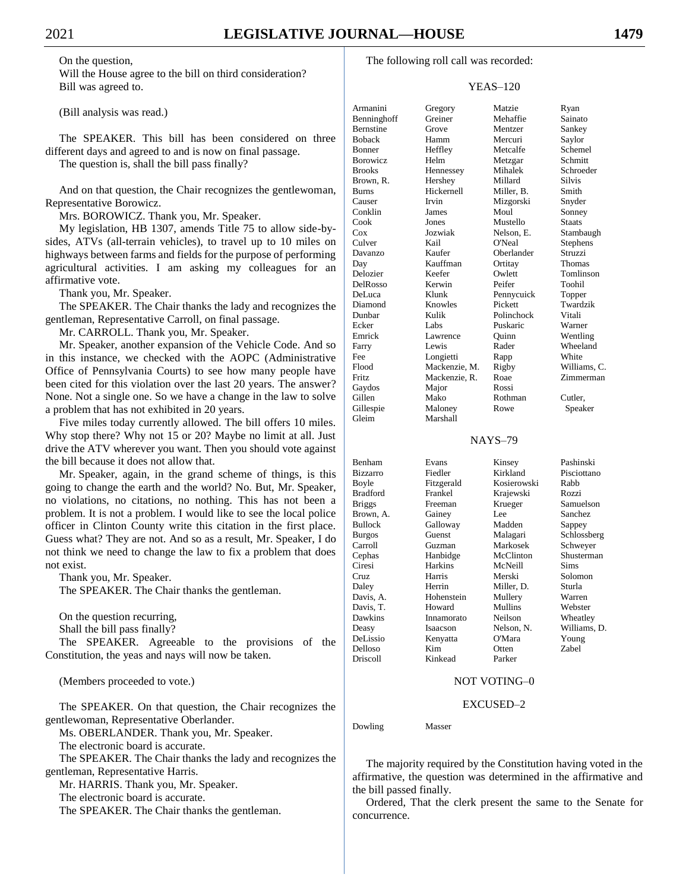On the question, Will the House agree to the bill on third consideration? Bill was agreed to.

(Bill analysis was read.)

The SPEAKER. This bill has been considered on three different days and agreed to and is now on final passage.

The question is, shall the bill pass finally?

And on that question, the Chair recognizes the gentlewoman, Representative Borowicz.

Mrs. BOROWICZ. Thank you, Mr. Speaker.

My legislation, HB 1307, amends Title 75 to allow side-bysides, ATVs (all-terrain vehicles), to travel up to 10 miles on highways between farms and fields for the purpose of performing agricultural activities. I am asking my colleagues for an affirmative vote.

Thank you, Mr. Speaker.

The SPEAKER. The Chair thanks the lady and recognizes the gentleman, Representative Carroll, on final passage.

Mr. CARROLL. Thank you, Mr. Speaker.

Mr. Speaker, another expansion of the Vehicle Code. And so in this instance, we checked with the AOPC (Administrative Office of Pennsylvania Courts) to see how many people have been cited for this violation over the last 20 years. The answer? None. Not a single one. So we have a change in the law to solve a problem that has not exhibited in 20 years.

Five miles today currently allowed. The bill offers 10 miles. Why stop there? Why not 15 or 20? Maybe no limit at all. Just drive the ATV wherever you want. Then you should vote against the bill because it does not allow that.

Mr. Speaker, again, in the grand scheme of things, is this going to change the earth and the world? No. But, Mr. Speaker, no violations, no citations, no nothing. This has not been a problem. It is not a problem. I would like to see the local police officer in Clinton County write this citation in the first place. Guess what? They are not. And so as a result, Mr. Speaker, I do not think we need to change the law to fix a problem that does not exist.

Thank you, Mr. Speaker.

The SPEAKER. The Chair thanks the gentleman.

On the question recurring, Shall the bill pass finally?

The SPEAKER. Agreeable to the provisions of the Constitution, the yeas and nays will now be taken.

(Members proceeded to vote.)

The SPEAKER. On that question, the Chair recognizes the gentlewoman, Representative Oberlander.

Ms. OBERLANDER. Thank you, Mr. Speaker.

The electronic board is accurate.

The SPEAKER. The Chair thanks the lady and recognizes the gentleman, Representative Harris.

Mr. HARRIS. Thank you, Mr. Speaker.

The electronic board is accurate.

The SPEAKER. The Chair thanks the gentleman.

#### YEAS–120

| Armanini        | Gregory       | Matzie            | Ryan         |
|-----------------|---------------|-------------------|--------------|
| Benninghoff     | Greiner       | Mehaffie          | Sainato      |
| Bernstine       | Grove         | Mentzer           | Sankey       |
| <b>Boback</b>   | Hamm          | Mercuri           | Saylor       |
| Bonner          | Heffley       | Metcalfe          | Schemel      |
| <b>Borowicz</b> | Helm          | Metzgar           | Schmitt      |
| <b>Brooks</b>   | Hennessey     | Mihalek           | Schroeder    |
| Brown, R.       | Hershey       | Millard           | Silvis       |
| <b>Burns</b>    | Hickernell    | Miller, B.        | Smith        |
| Causer          | Irvin         | Mizgorski         | Snyder       |
| Conklin         | James         | Moul              | Sonney       |
| Cook            | Jones         | Mustello          | Staats       |
| $\cos$          | Jozwiak       | Nelson, E.        | Stambaugh    |
| Culver          | Kail          | O'Neal            | Stephens     |
| Davanzo         | Kaufer        | Oberlander        | Struzzi      |
|                 | Kauffman      |                   | Thomas       |
| Day<br>Delozier | Keefer        | Ortitay<br>Owlett |              |
|                 |               |                   | Tomlinson    |
| DelRosso        | Kerwin        | Peifer            | Toohil       |
| DeLuca          | Klunk         | Pennycuick        | Topper       |
| Diamond         | Knowles       | Pickett           | Twardzik     |
| Dunbar          | Kulik         | Polinchock        | Vitali       |
| Ecker           | Labs          | Puskaric          | Warner       |
| Emrick          | Lawrence      | Ouinn             | Wentling     |
| Farry           | Lewis         | Rader             | Wheeland     |
| Fee             | Longietti     | Rapp              | White        |
| Flood           | Mackenzie, M. | Rigby             | Williams, C. |
| Fritz           | Mackenzie, R. | Roae              | Zimmerman    |
| Gaydos          | Major         | Rossi             |              |
| Gillen          | Mako          | Rothman           | Cutler,      |
| Gillespie       | Maloney       | Rowe              | Speaker      |
| Gleim           | Marshall      |                   |              |
|                 |               |                   |              |
|                 |               | <b>NAYS-79</b>    |              |
|                 |               |                   |              |
| Benham          | Evans         | Kinsey            | Pashinski    |
| <b>Bizzarro</b> | Fiedler       | Kirkland          | Pisciottano  |
| Boyle           | Fitzgerald    | Kosierowski       | Rabb         |
| <b>Bradford</b> | Frankel       | Krajewski         | Rozzi        |
| <b>Briggs</b>   | Freeman       | Krueger           | Samuelson    |
| Brown, A.       | Gainey        | Lee               | Sanchez      |
| <b>Bullock</b>  | Galloway      | Madden            | Sappey       |
| <b>Burgos</b>   | Guenst        | Malagari          | Schlossberg  |
| Carroll         |               | Markosek          |              |
|                 | Guzman        |                   | Schweyer     |
| Cephas          | Hanbidge      | McClinton         | Shusterman   |
| Ciresi          | Harkins       | McNeill           | Sims         |
| Cruz            | Harris        | Merski            | Solomon      |
| Daley           | Herrin        | Miller, D.        | Sturla       |
| Davis, A.       | Hohenstein    | Mullery           | Warren       |
| Davis, T.       | Howard        | Mullins           | Webster      |
| Dawkins         | Innamorato    | Neilson           | Wheatley     |
| Deasy           | Isaacson      | Nelson, N.        | Williams, D. |
| DeLissio        | Kenyatta      | O'Mara            | Young        |
| Delloso         | Kim           | Otten             | Zabel        |
| Driscoll        | Kinkead       | Parker            |              |

#### NAYS–79

| Benham        | Evans      | Kinsey      | Pashinski    |
|---------------|------------|-------------|--------------|
| Bizzarro      | Fiedler    | Kirkland    | Pisciottano  |
| Boyle         | Fitzgerald | Kosierowski | Rabb         |
| Bradford      | Frankel    | Krajewski   | Rozzi        |
| <b>Briggs</b> | Freeman    | Krueger     | Samuelson    |
| Brown, A.     | Gainey     | Lee.        | Sanchez      |
| Bullock       | Galloway   | Madden      | Sappey       |
| Burgos        | Guenst     | Malagari    | Schlossberg  |
| Carroll       | Guzman     | Markosek    | Schweyer     |
| Cephas        | Hanbidge   | McClinton   | Shusterman   |
| Ciresi        | Harkins    | McNeill     | Sims         |
| Cruz          | Harris     | Merski      | Solomon      |
| Daley         | Herrin     | Miller, D.  | Sturla       |
| Davis, A.     | Hohenstein | Mullery     | Warren       |
| Davis, T.     | Howard     | Mullins     | Webster      |
| Dawkins       | Innamorato | Neilson     | Wheatley     |
| Deasy         | Isaacson   | Nelson, N.  | Williams, D. |
| DeLissio      | Kenyatta   | O'Mara      | Young        |
| Delloso       | Kim        | Otten       | Zabel        |
| Driscoll      | Kinkead    | Parker      |              |

#### NOT VOTING–0

#### EXCUSED–2

Dowling Masser

The majority required by the Constitution having voted in the affirmative, the question was determined in the affirmative and the bill passed finally.

Ordered, That the clerk present the same to the Senate for concurrence.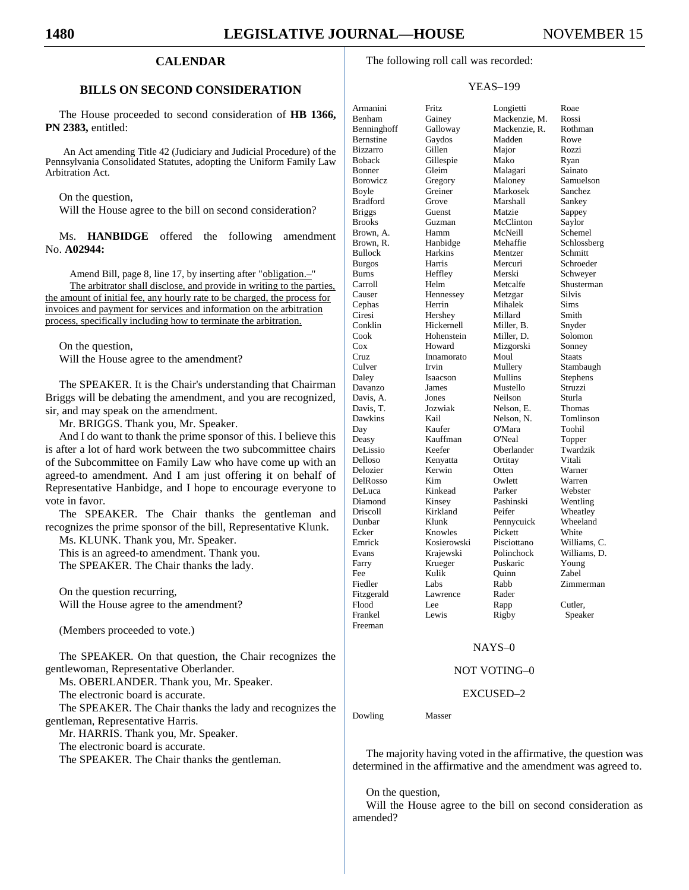#### **CALENDAR**

#### **BILLS ON SECOND CONSIDERATION**

The House proceeded to second consideration of **HB 1366, PN 2383,** entitled:

An Act amending Title 42 (Judiciary and Judicial Procedure) of the Pennsylvania Consolidated Statutes, adopting the Uniform Family Law Arbitration Act.

On the question,

Will the House agree to the bill on second consideration?

Ms. **HANBIDGE** offered the following amendment No. **A02944:**

Amend Bill, page 8, line 17, by inserting after "obligation.-The arbitrator shall disclose, and provide in writing to the parties, the amount of initial fee, any hourly rate to be charged, the process for invoices and payment for services and information on the arbitration process, specifically including how to terminate the arbitration.

On the question, Will the House agree to the amendment?

The SPEAKER. It is the Chair's understanding that Chairman Briggs will be debating the amendment, and you are recognized, sir, and may speak on the amendment.

Mr. BRIGGS. Thank you, Mr. Speaker.

And I do want to thank the prime sponsor of this. I believe this is after a lot of hard work between the two subcommittee chairs of the Subcommittee on Family Law who have come up with an agreed-to amendment. And I am just offering it on behalf of Representative Hanbidge, and I hope to encourage everyone to vote in favor.

The SPEAKER. The Chair thanks the gentleman and recognizes the prime sponsor of the bill, Representative Klunk.

Ms. KLUNK. Thank you, Mr. Speaker.

This is an agreed-to amendment. Thank you.

The SPEAKER. The Chair thanks the lady.

On the question recurring, Will the House agree to the amendment?

(Members proceeded to vote.)

The SPEAKER. On that question, the Chair recognizes the gentlewoman, Representative Oberlander.

Ms. OBERLANDER. Thank you, Mr. Speaker.

The electronic board is accurate.

The SPEAKER. The Chair thanks the lady and recognizes the gentleman, Representative Harris.

Mr. HARRIS. Thank you, Mr. Speaker.

The electronic board is accurate.

The SPEAKER. The Chair thanks the gentleman.

The following roll call was recorded:

#### YEAS–199

| Armanini        | Fritz       | Longi        |
|-----------------|-------------|--------------|
| Benham          | Gainey      | Mack         |
| Benninghoff     | Galloway    | Mack         |
| Bernstine       | Gaydos      | Madd         |
| <b>Bizzarro</b> | Gillen      | Major        |
| <b>Boback</b>   | Gillespie   | Mako         |
| Bonner          | Gleim       | Malag        |
| <b>Borowicz</b> | Gregory     | Malor        |
| Boyle           | Greiner     | Marko        |
| <b>Bradford</b> | Grove       | Marsh        |
| <b>Briggs</b>   | Guenst      | Matzi        |
| <b>Brooks</b>   | Guzman      | McCli        |
| Brown, A.       | Hamm        | McNe         |
| Brown, R.       | Hanbidge    | Mehai        |
| <b>Bullock</b>  | Harkins     | Mentz        |
| <b>Burgos</b>   | Harris      | Mercu        |
| <b>Burns</b>    | Heffley     | Mersk        |
| Carroll         | Helm        | Metca        |
| Causer          | Hennessey   | Metzg        |
| Cephas          | Herrin      | Mihal        |
| Ciresi          | Hershey     | Millar       |
| Conklin         | Hickernell  | Miller       |
| Cook            | Hohenstein  | Miller       |
| Cox             | Howard      | Mizgo        |
| Cruz            | Innamorato  | Moul         |
| Culver          | Irvin       | Mulle        |
| Daley           | Isaacson    | Mullii       |
| Davanzo         | James       | Muste        |
| Davis, A.       | Jones       | Neilsc       |
| Davis, T.       | Jozwiak     | <b>Nelso</b> |
| Dawkins         | Kail        | <b>Nelso</b> |
| Day             | Kaufer      | O'Mai        |
| Deasy           | Kauffman    | O'Nea        |
| DeLissio        | Keefer      | Oberla       |
| Delloso         | Kenyatta    | Ortita       |
| Delozier        | Kerwin      | Otten        |
| DelRosso        | Kim         | Owlet        |
| DeLuca          | Kinkead     | Parker       |
| Diamond         | Kinsey      | Pashir       |
| Driscoll        | Kirkland    | Peifer       |
| Dunbar          | Klunk       | Penny        |
| Ecker           | Knowles     | Picket       |
| Emrick          | Kosierowski | Piscio       |
| Evans           | Krajewski   | Polinc       |
| Farry           | Krueger     | Puska        |
| Fee             | Kulik       | Ouinn        |
| Fiedler         | Labs        | Rabb         |
| Fitzgerald      | Lawrence    | Rader        |
| Flood           | Lee         | Rapp         |
| Frankel         | Lewis       | Rigby        |
| Freeman         |             |              |

Armanini Fritz Longietti Roae Benham Gainey Mackenzie, M. Rossi Benninghoff Galloway Mackenzie, R. Rothman Bernstine Gaydos Madden Rowe Bizzarro Gillen Major Rozzi Boback Gillespie Mako Ryan Bonner Gleim Malagari Sainato Borowicz Gregory Maloney Samuelson Boyle Greiner Markosek Sanchez Bradford Grove Marshall Sankey Briggs Guenst Matzie Sappey Brooks Guzman McClinton Saylor Brown, A. Hamm McNeill Schemel Brown, R. Hanbidge Mehaffie Schlossberg Bullock Harkins Mentzer Schmitt Burgos Harris Mercuri Schroeder<br>Burns Heffley Merski Schweyer Burns Heffley Merski Schweyer Carroll Helm Metcalfe Shusterman Causer Hennessey Metzgar Silvis Cephas Herrin Mihalek Sims Ciresi Hershey Millard Smith Conklin Hickernell Miller, B. Snyder Cook Hohenstein Miller, D. Solomon Cox Howard Mizgorski Sonney Cruz Innamorato Moul Staats Culver Irvin Mullery Stambaugh<br>
Daley Isaacson Mullins Stephens Daley Isaacson Mullins Stephens Davanzo James Mustello Struzzi Davis, A. Jones Neilson Sturla Davis, T. Jozwiak Nelson, E. Thomas<br>
Dawkins Kail Nelson, N. Tomlinson Nelson, N. Day Kaufer O'Mara Toohil Deasy Kauffman O'Neal Topper DeLissio Keefer Oberlander Twardzik Delloso Kenyatta Ortitay Vitali Delozier Kerwin Otten Warner DelRosso Kim Owlett Warren DeLuca Kinkead Parker Webster<br>Diamond Kinsey Pashinski Wentling Diamond Kinsey Pashinski Wentling Driscoll Kirkland Peifer Wheatley Dunbar Klunk Pennycuick Wheeland Ecker Knowles Pickett White Emrick Kosierowski Pisciottano Williams, C. Evans Krajewski Polinchock Williams, D. Farry Krueger Puskaric Young<br>
Fee Kulik Ouinn Zabel Fee Kulik Quinn Zabel Fiedler Labs Rabb Zimmerman Flood Lee Rapp Cutler, Frankel Lewis Rigby Speaker

#### NAYS–0

#### NOT VOTING–0

#### EXCUSED–2

Dowling Masser

The majority having voted in the affirmative, the question was determined in the affirmative and the amendment was agreed to.

#### On the question,

Will the House agree to the bill on second consideration as amended?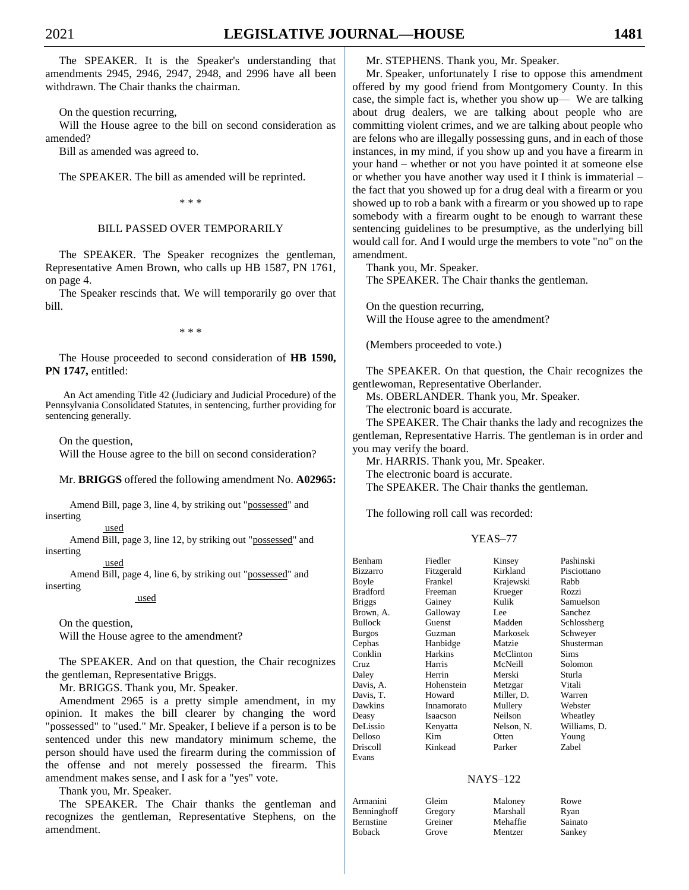The SPEAKER. It is the Speaker's understanding that amendments 2945, 2946, 2947, 2948, and 2996 have all been withdrawn. The Chair thanks the chairman.

On the question recurring,

Will the House agree to the bill on second consideration as amended?

Bill as amended was agreed to.

The SPEAKER. The bill as amended will be reprinted.

\* \* \*

#### BILL PASSED OVER TEMPORARILY

The SPEAKER. The Speaker recognizes the gentleman, Representative Amen Brown, who calls up HB 1587, PN 1761, on page 4.

The Speaker rescinds that. We will temporarily go over that bill.

\* \* \*

The House proceeded to second consideration of **HB 1590, PN 1747,** entitled:

An Act amending Title 42 (Judiciary and Judicial Procedure) of the Pennsylvania Consolidated Statutes, in sentencing, further providing for sentencing generally.

On the question,

Will the House agree to the bill on second consideration?

#### Mr. **BRIGGS** offered the following amendment No. **A02965:**

Amend Bill, page 3, line 4, by striking out "possessed" and inserting

used

Amend Bill, page 3, line 12, by striking out "possessed" and inserting

used

Amend Bill, page 4, line 6, by striking out "possessed" and inserting

used

On the question, Will the House agree to the amendment?

The SPEAKER. And on that question, the Chair recognizes the gentleman, Representative Briggs.

Mr. BRIGGS. Thank you, Mr. Speaker.

Amendment 2965 is a pretty simple amendment, in my opinion. It makes the bill clearer by changing the word "possessed" to "used." Mr. Speaker, I believe if a person is to be sentenced under this new mandatory minimum scheme, the person should have used the firearm during the commission of the offense and not merely possessed the firearm. This amendment makes sense, and I ask for a "yes" vote.

Thank you, Mr. Speaker.

The SPEAKER. The Chair thanks the gentleman and recognizes the gentleman, Representative Stephens, on the amendment.

Mr. STEPHENS. Thank you, Mr. Speaker.

Mr. Speaker, unfortunately I rise to oppose this amendment offered by my good friend from Montgomery County. In this case, the simple fact is, whether you show up— We are talking about drug dealers, we are talking about people who are committing violent crimes, and we are talking about people who are felons who are illegally possessing guns, and in each of those instances, in my mind, if you show up and you have a firearm in your hand – whether or not you have pointed it at someone else or whether you have another way used it I think is immaterial – the fact that you showed up for a drug deal with a firearm or you showed up to rob a bank with a firearm or you showed up to rape somebody with a firearm ought to be enough to warrant these sentencing guidelines to be presumptive, as the underlying bill would call for. And I would urge the members to vote "no" on the amendment.

Thank you, Mr. Speaker. The SPEAKER. The Chair thanks the gentleman.

On the question recurring, Will the House agree to the amendment?

(Members proceeded to vote.)

The SPEAKER. On that question, the Chair recognizes the gentlewoman, Representative Oberlander.

Ms. OBERLANDER. Thank you, Mr. Speaker.

The electronic board is accurate.

The SPEAKER. The Chair thanks the lady and recognizes the gentleman, Representative Harris. The gentleman is in order and you may verify the board.

Mr. HARRIS. Thank you, Mr. Speaker.

The electronic board is accurate.

The SPEAKER. The Chair thanks the gentleman.

The following roll call was recorded:

#### YEAS–77

| Benham          | Fiedler        | Kinsey          | Pashinski    |
|-----------------|----------------|-----------------|--------------|
| <b>Bizzarro</b> | Fitzgerald     | Kirkland        | Pisciottano  |
| Boyle           | Frankel        | Krajewski       | Rabb         |
| Bradford        | Freeman        | Krueger         | Rozzi        |
| <b>Briggs</b>   | Gainey         | Kulik           | Samuelson    |
| Brown, A.       | Galloway       | Lee             | Sanchez      |
| Bullock         | Guenst         | Madden          | Schlossberg  |
| <b>Burgos</b>   | Guzman         | Markosek        | Schweyer     |
| Cephas          | Hanbidge       | Matzie          | Shusterman   |
| Conklin         | <b>Harkins</b> | McClinton       | Sims         |
| Cruz            | Harris         | McNeill         | Solomon      |
| Daley           | Herrin         | Merski          | Sturla       |
| Davis, A.       | Hohenstein     | Metzgar         | Vitali       |
| Davis, T.       | Howard         | Miller, D.      | Warren       |
| Dawkins         | Innamorato     | Mullery         | Webster      |
| Deasy           | Isaacson       | Neilson         | Wheatley     |
| DeLissio        | Kenyatta       | Nelson, N.      | Williams, D. |
| Delloso         | Kim            | Otten           | Young        |
| Driscoll        | Kinkead        | Parker          | Zabel        |
| Evans           |                |                 |              |
|                 |                | <b>NAYS-122</b> |              |

| off |   |
|-----|---|
|     | Ï |
|     | Ï |

Armanini Gleim Maloney Rowe Benninghoff Gregory Marshall Ryan Bernstine Greiner Mehaffie Sainato Boback Grove Mentzer Sankey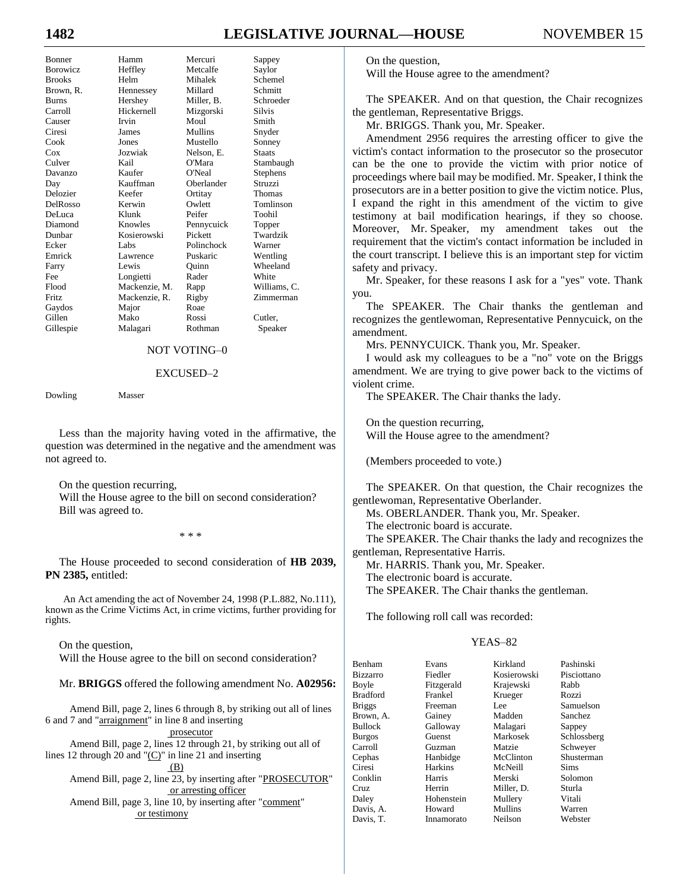# **1482 LEGISLATIVE JOURNAL—HOUSE** NOVEMBER 15

| Bonner        |
|---------------|
| Borowicz      |
| <b>Brooks</b> |
| Brown, R.     |
| <b>Burns</b>  |
| Carroll       |
| Causer        |
| Ciresi        |
| Cook          |
| Cox           |
| Culver        |
| Davanzo       |
| Day           |
| Delozier      |
| DelRosso      |
| DeLuca        |
| Diamond       |
| Dunbar        |
| Ecker         |
| Emrick        |
| Farry         |
| Fee           |
| Flood         |
| Fritz         |
| Gaydos        |
| Gillen        |
| Gillespie     |
|               |

Bonner Hamm Mercuri Sappey Heffley Metcalfe Saylor Helm Mihalek Schemel Hennessey Millard Schmitt Hershey Miller, B. Schroeder<br>Hickernell Mizzorski Silvis Causer Irvin Moul Smith Ciresi James Mullins Snyder Jones Mustello Sonney Jozwiak Nelson, E. Staats Kail O'Mara Stambaugh Kaufer O'Neal Stephens<br>
Kauffman Oberlander Struzzi Kauffman Oberlander<br>Keefer Ortitay Kerwin Owlett Tomlinson DeLuca Klunk Peifer Toohil Knowles Pennycuick Topper Kosierowski Pickett Twardzik Ecker Labs Polinchock Warner Lawrence Puskaric Wentling Lewis Quinn Wheeland Longietti Rader White Mackenzie, M. Rapp Williams, C. Mackenzie, R. Rigby Zimmerman Major Roae Gillen Mako Rossi Cutler, Malagari Rothman Speaker

# Mizgorski Silvis Ortitay Thomas

#### NOT VOTING–0

#### EXCUSED–2

Dowling Masser

Less than the majority having voted in the affirmative, the question was determined in the negative and the amendment was not agreed to.

On the question recurring,

Will the House agree to the bill on second consideration? Bill was agreed to.

\* \* \*

The House proceeded to second consideration of **HB 2039, PN 2385,** entitled:

An Act amending the act of November 24, 1998 (P.L.882, No.111), known as the Crime Victims Act, in crime victims, further providing for rights.

On the question, Will the House agree to the bill on second consideration?

Mr. **BRIGGS** offered the following amendment No. **A02956:**

Amend Bill, page 2, lines 6 through 8, by striking out all of lines 6 and 7 and "arraignment" in line 8 and inserting

prosecutor

Amend Bill, page 2, lines 12 through 21, by striking out all of lines 12 through 20 and " $(C)$ " in line 21 and inserting

 $(B)$ 

Amend Bill, page 2, line 23, by inserting after "PROSECUTOR" or arresting officer

Amend Bill, page 3, line 10, by inserting after "comment" or testimony

On the question,

Will the House agree to the amendment?

The SPEAKER. And on that question, the Chair recognizes the gentleman, Representative Briggs.

Mr. BRIGGS. Thank you, Mr. Speaker.

Amendment 2956 requires the arresting officer to give the victim's contact information to the prosecutor so the prosecutor can be the one to provide the victim with prior notice of proceedings where bail may be modified. Mr. Speaker, I think the prosecutors are in a better position to give the victim notice. Plus, I expand the right in this amendment of the victim to give testimony at bail modification hearings, if they so choose. Moreover, Mr. Speaker, my amendment takes out the requirement that the victim's contact information be included in the court transcript. I believe this is an important step for victim safety and privacy.

Mr. Speaker, for these reasons I ask for a "yes" vote. Thank you.

The SPEAKER. The Chair thanks the gentleman and recognizes the gentlewoman, Representative Pennycuick, on the amendment.

Mrs. PENNYCUICK. Thank you, Mr. Speaker.

I would ask my colleagues to be a "no" vote on the Briggs amendment. We are trying to give power back to the victims of violent crime.

The SPEAKER. The Chair thanks the lady.

On the question recurring, Will the House agree to the amendment?

(Members proceeded to vote.)

The SPEAKER. On that question, the Chair recognizes the gentlewoman, Representative Oberlander.

Ms. OBERLANDER. Thank you, Mr. Speaker.

The electronic board is accurate.

The SPEAKER. The Chair thanks the lady and recognizes the gentleman, Representative Harris.

Mr. HARRIS. Thank you, Mr. Speaker.

The electronic board is accurate.

The SPEAKER. The Chair thanks the gentleman.

The following roll call was recorded:

#### YEAS–82

| Benham          | Evans      | Kirkland       | Pashinski   |
|-----------------|------------|----------------|-------------|
| <b>Bizzarro</b> | Fiedler    | Kosierowski    | Pisciottano |
| Boyle           | Fitzgerald | Krajewski      | Rabb        |
| <b>Bradford</b> | Frankel    | Krueger        | Rozzi       |
| <b>Briggs</b>   | Freeman    | Lee.           | Samuelson   |
| Brown, A.       | Gainey     | Madden         | Sanchez     |
| <b>Bullock</b>  | Galloway   | Malagari       | Sappey      |
| <b>Burgos</b>   | Guenst     | Markosek       | Schlossberg |
| Carroll         | Guzman     | Matzie         | Schwever    |
| Cephas          | Hanbidge   | McClinton      | Shusterman  |
| Ciresi          | Harkins    | McNeill        | Sims        |
| Conklin         | Harris     | Merski         | Solomon     |
| Cruz            | Herrin     | Miller, D.     | Sturla      |
| Daley           | Hohenstein | Mullery        | Vitali      |
| Davis, A.       | Howard     | <b>Mullins</b> | Warren      |
| Davis, T.       | Innamorato | Neilson        | Webster     |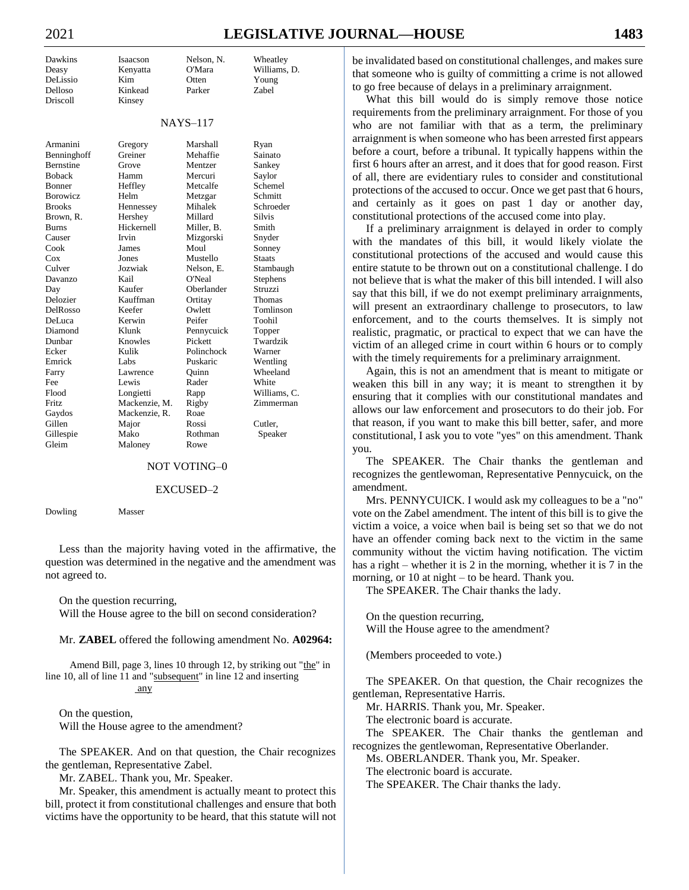# 2021 **LEGISLATIVE JOURNAL—HOUSE 1483**

| Dawkins          | Isaacson      | Nelson, N.      | Wheatley      |
|------------------|---------------|-----------------|---------------|
| Deasy            | Kenyatta      | O'Mara          | Williams, D.  |
| DeLissio         | Kim           | Otten           | Young         |
| Delloso          | Kinkead       | Parker          | Zabel         |
| Driscoll         | Kinsey        |                 |               |
|                  |               |                 |               |
|                  |               | <b>NAYS-117</b> |               |
| Armanini         | Gregory       | Marshall        | Ryan          |
| Benninghoff      | Greiner       | Mehaffie        | Sainato       |
| <b>Bernstine</b> | Grove         | Mentzer         | Sankey        |
| <b>Boback</b>    | Hamm          | Mercuri         | Saylor        |
| Bonner           | Heffley       | Metcalfe        | Schemel       |
| <b>Borowicz</b>  | Helm          | Metzgar         | Schmitt       |
| <b>Brooks</b>    | Hennessey     | Mihalek         | Schroeder     |
| Brown, R.        | Hershey       | Millard         | <b>Silvis</b> |
| <b>Burns</b>     | Hickernell    | Miller, B.      | Smith         |
| Causer           | Irvin         | Mizgorski       | Snyder        |
| Cook             | James         | Moul            | Sonney        |
| $\cos$           | Jones         | Mustello        | <b>Staats</b> |
| Culver           | Jozwiak       | Nelson. E.      | Stambaugh     |
| Davanzo          | Kail          | O'Neal          | Stephens      |
| Day              | Kaufer        | Oberlander      | Struzzi       |
| Delozier         | Kauffman      | Ortitay         | Thomas        |
| DelRosso         | Keefer        | Owlett          | Tomlinson     |
| DeLuca           | Kerwin        | Peifer          | Toohil        |
| Diamond          | Klunk         | Pennycuick      | Topper        |
| Dunbar           | Knowles       | Pickett         | Twardzik      |
| Ecker            | Kulik         | Polinchock      | Warner        |
| Emrick           | Labs          | Puskaric        | Wentling      |
| Farry            | Lawrence      | Ouinn           | Wheeland      |
| Fee              | Lewis         | Rader           | White         |
| Flood            | Longietti     | Rapp            | Williams, C.  |
| Fritz            | Mackenzie, M. | Rigby           | Zimmerman     |
| Gaydos           | Mackenzie, R. | Roae            |               |
| Gillen           | Major         | Rossi           | Cutler,       |
| Gillespie        | Mako          | Rothman         | Speaker       |
| Gleim            | Malonev       | Rowe            |               |

#### NOT VOTING–0

#### EXCUSED–2

Dowling Masser

Less than the majority having voted in the affirmative, the question was determined in the negative and the amendment was not agreed to.

On the question recurring,

Will the House agree to the bill on second consideration?

Mr. **ZABEL** offered the following amendment No. **A02964:**

Amend Bill, page 3, lines 10 through 12, by striking out "the" in line 10, all of line 11 and "subsequent" in line 12 and inserting any

On the question, Will the House agree to the amendment?

The SPEAKER. And on that question, the Chair recognizes the gentleman, Representative Zabel.

Mr. ZABEL. Thank you, Mr. Speaker.

Mr. Speaker, this amendment is actually meant to protect this bill, protect it from constitutional challenges and ensure that both victims have the opportunity to be heard, that this statute will not be invalidated based on constitutional challenges, and makes sure that someone who is guilty of committing a crime is not allowed to go free because of delays in a preliminary arraignment.

What this bill would do is simply remove those notice requirements from the preliminary arraignment. For those of you who are not familiar with that as a term, the preliminary arraignment is when someone who has been arrested first appears before a court, before a tribunal. It typically happens within the first 6 hours after an arrest, and it does that for good reason. First of all, there are evidentiary rules to consider and constitutional protections of the accused to occur. Once we get past that 6 hours, and certainly as it goes on past 1 day or another day, constitutional protections of the accused come into play.

If a preliminary arraignment is delayed in order to comply with the mandates of this bill, it would likely violate the constitutional protections of the accused and would cause this entire statute to be thrown out on a constitutional challenge. I do not believe that is what the maker of this bill intended. I will also say that this bill, if we do not exempt preliminary arraignments, will present an extraordinary challenge to prosecutors, to law enforcement, and to the courts themselves. It is simply not realistic, pragmatic, or practical to expect that we can have the victim of an alleged crime in court within 6 hours or to comply with the timely requirements for a preliminary arraignment.

Again, this is not an amendment that is meant to mitigate or weaken this bill in any way; it is meant to strengthen it by ensuring that it complies with our constitutional mandates and allows our law enforcement and prosecutors to do their job. For that reason, if you want to make this bill better, safer, and more constitutional, I ask you to vote "yes" on this amendment. Thank you.

The SPEAKER. The Chair thanks the gentleman and recognizes the gentlewoman, Representative Pennycuick, on the amendment.

Mrs. PENNYCUICK. I would ask my colleagues to be a "no" vote on the Zabel amendment. The intent of this bill is to give the victim a voice, a voice when bail is being set so that we do not have an offender coming back next to the victim in the same community without the victim having notification. The victim has a right – whether it is 2 in the morning, whether it is 7 in the morning, or 10 at night – to be heard. Thank you.

The SPEAKER. The Chair thanks the lady.

On the question recurring, Will the House agree to the amendment?

(Members proceeded to vote.)

The SPEAKER. On that question, the Chair recognizes the gentleman, Representative Harris.

Mr. HARRIS. Thank you, Mr. Speaker.

The electronic board is accurate.

The SPEAKER. The Chair thanks the gentleman and recognizes the gentlewoman, Representative Oberlander.

Ms. OBERLANDER. Thank you, Mr. Speaker.

The electronic board is accurate.

The SPEAKER. The Chair thanks the lady.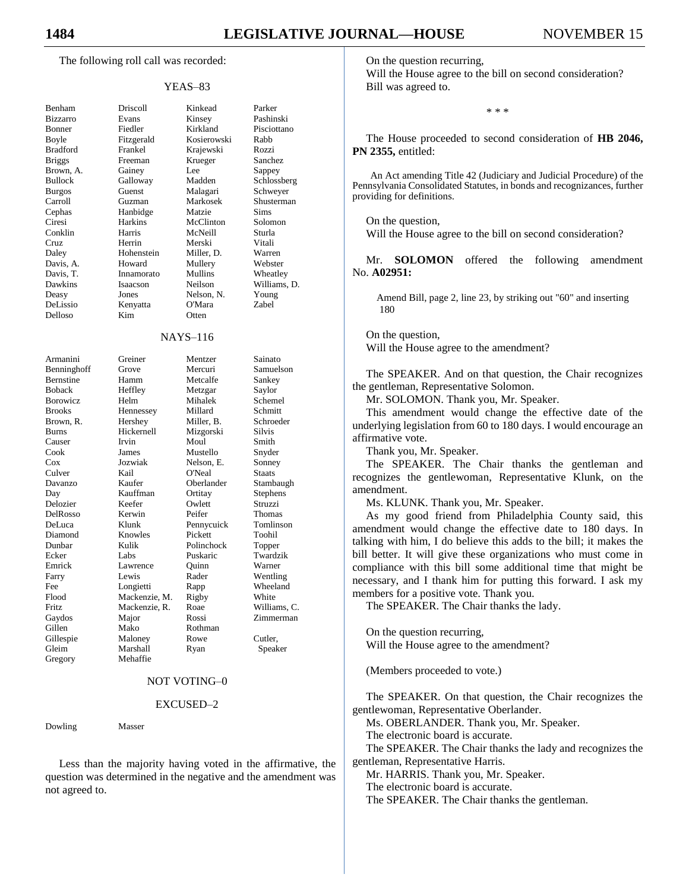The following roll call was recorded:

#### YEAS–83

| Benham              | Driscoll        | Kinke         |
|---------------------|-----------------|---------------|
| <b>Bizzarro</b>     | Evans           | Kinse         |
| Bonner              | Fiedler         | Kirkl         |
| Boyle               | Fitzgerald      | Kosie         |
| <b>Bradford</b>     | Frankel         | Kraje         |
| <b>Briggs</b>       | Freeman         | Krueg         |
| Brown, A.           | Gainey          | Lee           |
| <b>Bullock</b>      | Galloway        | Madd          |
| <b>Burgos</b>       | Guenst          | Mala          |
| Carroll             | Guzman          | Mark          |
| Cephas              | Hanbidge        | Matzi         |
| Ciresi              | Harkins         | McCl          |
| Conklin             | Harris          | McN           |
| Cruz                | Herrin          | Mersl         |
| Daley               | Hohenstein      | Mille         |
|                     | Howard          | Mulle         |
| Davis, A.           |                 |               |
| Davis, T.           | Innamorato      | Mulli         |
| Dawkins             | Isaacson        | Neils         |
| Deasy               | Jones           | Nelso         |
| DeLissio            | Kenyatta        | O'Ma          |
| Delloso             | Kim             | Otten         |
|                     | $NAYS-11$       |               |
| Armanini            | Greiner         | Ment          |
| Benninghoff         | Grove           | Merc          |
| Bernstine           | Hamm            | Metca         |
| <b>Boback</b>       | Heffley         | Metz;         |
| <b>Borowicz</b>     | Helm            | Miha          |
| <b>Brooks</b>       | Hennessey       | Milla         |
| Brown, R.           | Hershey         | Mille         |
| <b>Burns</b>        | Hickernell      | Mizg          |
| Causer              |                 |               |
|                     |                 |               |
|                     | Irvin           | Moul          |
| Cook                | James           | Must          |
| $\cos$              | Jozwiak         | Nelso         |
| Culver              | Kail            | O'Ne:         |
| Davanzo             | Kaufer          | Oberl         |
| Day                 | Kauffman        | Ortita        |
| Delozier            | Keefer          | Owle          |
| DelRosso            | Kerwin          | Peifer        |
| DeLuca              | Klunk           | Penny         |
| Diamond             | Knowles         | Picke         |
| Dunbar              | Kulik           | Polin         |
| Ecker               | Labs            | Puska         |
| Emrick              | Lawrence        | Quini         |
| Farry               | Lewis           | Rader         |
| Fee                 | Longietti       | Rapp          |
| Flood               | Mackenzie, M.   | <b>Rigby</b>  |
| Fritz               | Mackenzie, R.   | Roae          |
| Gaydos              | Major           | Rossi         |
| Gillen<br>Gillespie | Mako<br>Maloney | Rothi<br>Rowe |

Benham Driscoll Kinkead Parker Evans Kinsey Pashinski Fiedler Kirkland Pisciottano Fitzgerald Kosierowski Rabb Frankel Krajewski Rozzi Freeman Krueger Sanchez Gainey Lee Sappey<br>Galloway Madden Schloss Galloway Madden Schlossberg Guenst Malagari Schwever Carroll Guzman Markosek Shusterman Hanbidge Matzie Sims Harkins McClinton Solomon Harris McNeill Sturla Herrin Merski Vitali Hohenstein Miller, D. Warren Howard Mullery Webster Innamorato Mullins Wheatley Isaacson Neilson Williams, D. Jones Nelson, N. Young

Kenyatta O'Mara Zabel

#### NAYS–116

| Armanini         | Greiner       | Mentzer    | Sainato       |
|------------------|---------------|------------|---------------|
| Benninghoff      | Grove         | Mercuri    | Samuelsc      |
| <b>Bernstine</b> | Hamm          | Metcalfe   | Sankey        |
| <b>Boback</b>    | Heffley       | Metzgar    | Saylor        |
| <b>Borowicz</b>  | Helm          | Mihalek    | Schemel       |
| <b>Brooks</b>    | Hennessey     | Millard    | Schmitt       |
| Brown, R.        | Hershey       | Miller, B. | Schroede      |
| <b>Burns</b>     | Hickernell    | Mizgorski  | Silvis        |
| Causer           | Irvin         | Moul       | Smith         |
| Cook             | James         | Mustello   | Snyder        |
| Cox              | Jozwiak       | Nelson, E. | Sonney        |
| Culver           | Kail          | O'Neal     | <b>Staats</b> |
| Davanzo          | Kaufer        | Oberlander | Stambaug      |
| Day              | Kauffman      | Ortitay    | Stephens      |
| Delozier         | Keefer        | Owlett     | Struzzi       |
| DelRosso         | Kerwin        | Peifer     | Thomas        |
| DeLuca           | Klunk         | Pennycuick | Tomlinso      |
| Diamond          | Knowles       | Pickett    | Toohil        |
| Dunbar           | Kulik         | Polinchock | Topper        |
| Ecker            | Labs          | Puskaric   | Twardzik      |
| Emrick           | Lawrence      | Quinn      | Warner        |
| Farry            | Lewis         | Rader      | Wentling      |
| Fee              | Longietti     | Rapp       | Wheeland      |
| Flood            | Mackenzie, M. | Rigby      | White         |
| Fritz.           | Mackenzie, R. | Roae       | Williams.     |
| Gaydos           | Major         | Rossi      | Zimmern       |
| Gillen           | Mako          | Rothman    |               |
| Gillespie        | Maloney       | Rowe       | Cutler,       |
| Gleim            | Marshall      | Ryan       | Speaker       |
| Gregory          | Mehaffie      |            |               |

entzer Sainato ercuri Samuelson etcalfe Sankey etzgar Saylor halek Schemel ller, B. Schroeder zgorski Silvis erlander Stambaugh titay Stephens nnycuick Tomlinson linchock Topper skaric Twardzik inn Warner der Wentling pp Wheeland ae Williams, C.<br>ssi Zimmerman Zimmerman

#### NOT VOTING–0

#### EXCUSED–2

Dowling Masser

Less than the majority having voted in the affirmative, the question was determined in the negative and the amendment was not agreed to.

On the question recurring,

Will the House agree to the bill on second consideration? Bill was agreed to.

\* \* \*

The House proceeded to second consideration of **HB 2046, PN 2355,** entitled:

An Act amending Title 42 (Judiciary and Judicial Procedure) of the Pennsylvania Consolidated Statutes, in bonds and recognizances, further providing for definitions.

On the question,

Will the House agree to the bill on second consideration?

Mr. **SOLOMON** offered the following amendment No. **A02951:**

Amend Bill, page 2, line 23, by striking out "60" and inserting 180

On the question, Will the House agree to the amendment?

The SPEAKER. And on that question, the Chair recognizes the gentleman, Representative Solomon.

Mr. SOLOMON. Thank you, Mr. Speaker.

This amendment would change the effective date of the underlying legislation from 60 to 180 days. I would encourage an affirmative vote.

Thank you, Mr. Speaker.

The SPEAKER. The Chair thanks the gentleman and recognizes the gentlewoman, Representative Klunk, on the amendment.

Ms. KLUNK. Thank you, Mr. Speaker.

As my good friend from Philadelphia County said, this amendment would change the effective date to 180 days. In talking with him, I do believe this adds to the bill; it makes the bill better. It will give these organizations who must come in compliance with this bill some additional time that might be necessary, and I thank him for putting this forward. I ask my members for a positive vote. Thank you.

The SPEAKER. The Chair thanks the lady.

On the question recurring, Will the House agree to the amendment?

(Members proceeded to vote.)

The SPEAKER. On that question, the Chair recognizes the gentlewoman, Representative Oberlander.

Ms. OBERLANDER. Thank you, Mr. Speaker.

The electronic board is accurate.

The SPEAKER. The Chair thanks the lady and recognizes the gentleman, Representative Harris.

Mr. HARRIS. Thank you, Mr. Speaker.

The electronic board is accurate.

The SPEAKER. The Chair thanks the gentleman.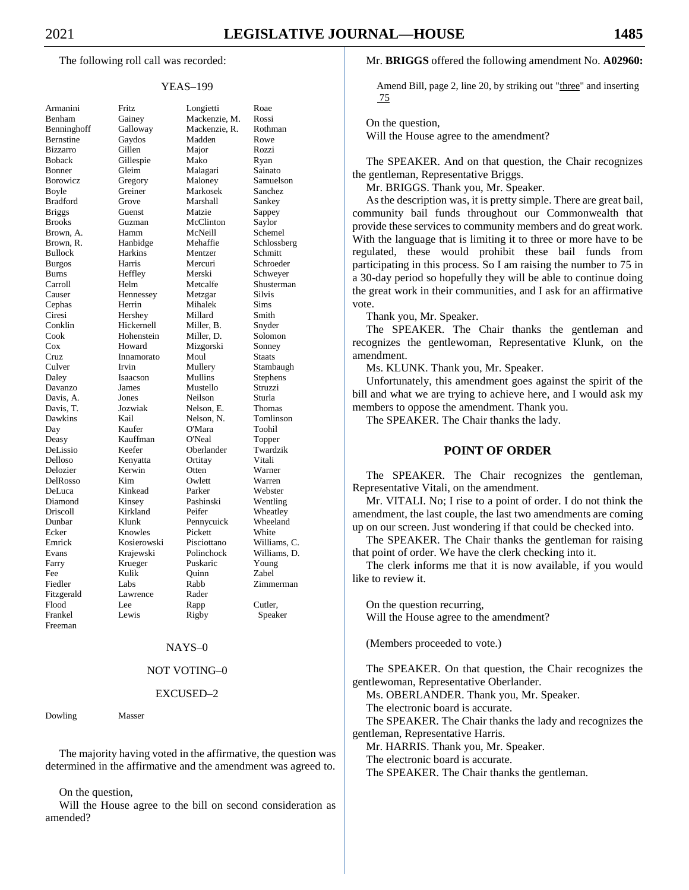The following roll call was recorded:

#### YEAS–199

| Armanini            |
|---------------------|
| Benham              |
| Benninghoff         |
| Bernstine           |
| Bizzarro            |
| Boback              |
|                     |
| Bonner              |
| <b>Borowicz</b>     |
| Boyle               |
| <b>Bradford</b>     |
| <b>Briggs</b>       |
| <b>Brooks</b>       |
| Brown,<br>A.        |
| Brown, R.           |
| <b>Bullock</b>      |
| <b>Burgos</b>       |
| <b>Burns</b>        |
|                     |
| Carroll<br>Causer   |
| Cephas              |
|                     |
| Ciresi              |
| Conklin             |
|                     |
| Cook<br>Cox         |
|                     |
| Cruz<br>Culver      |
| Daley               |
| Davanzo             |
| Davis, A.           |
| Davis, T.           |
| Dawkins             |
| Day                 |
|                     |
| Deasy               |
| DeLissio<br>Delloso |
|                     |
| Delozier            |
| DelRosso            |
| DeLuca              |
| Diamond             |
| Driscoll            |
| Dunbar              |
| Ecker               |
| Emrick              |
|                     |
| Evans               |
| Farry               |
| Fee                 |
| Fiedler             |
| Fitzgerald          |
| Flood               |
| Frankel             |
| Freeman             |
|                     |

Fritz Longietti Roae Gainey Mackenzie, M. Rossi Galloway Mackenzie, R. Rothman Gaydos Madden Rowe Bizzarro Gillen Major Rozzi Gillespie Mako Ryan Gleim Malagari Sainato Gregory Maloney Samuelson Greiner Markosek Sanchez Grove Marshall Sankey Guenst Matzie Sappey Guzman McClinton Saylor Hamm McNeill Schemel Hanbidge Mehaffie Schlossberg Bullock Harkins Mentzer Schmitt Burgos Harris Mercuri Schroeder Heffley Merski Schweyer Helm Metcalfe Shusterman Hennessey Metzgar Silvis Herrin Mihalek Sims Hershey Millard Smith Hickernell Miller, B. Snyder Hohenstein Miller, D. Solomon Howard Mizgorski Sonney Innamorato Moul Staats Irvin Mullery Stambaugh<br>
Isaacson Mullins Stephens Isaacson Mullins Stephens James Mustello Struzzi Jones Neilson Sturla Van Jozwiak Nelson, E. Thomas<br>
Kail Nelson, N. Tomlins Tomlinson Kaufer O'Mara Toohil Kauffman O'Neal Topper Keefer Oberlander Twardzik Kenyatta Ortitay Vitali Kerwin Otten Warner DelRosso Kim Owlett Warren Kinkead Parker Webster Kinsey Pashinski Wentling Kirkland Peifer Wheatley Klunk Pennycuick Wheeland Knowles Pickett White Kosierowski Pisciottano Williams, C. Krajewski Polinchock Williams, D. Krueger Puskaric Young<br>Kulik Ouinn Zabel Fee Kulik Quinn Zabel Labs Rabb Zimmerman Lawrence Rader Flood Lee Rapp Cutler, Frankel Lewis Rigby Speaker

#### NAYS–0

#### NOT VOTING–0

#### EXCUSED–2

Dowling Masser

The majority having voted in the affirmative, the question was determined in the affirmative and the amendment was agreed to.

On the question,

Will the House agree to the bill on second consideration as amended?

#### Mr. **BRIGGS** offered the following amendment No. **A02960:**

Amend Bill, page 2, line 20, by striking out "three" and inserting 75

On the question,

Will the House agree to the amendment?

The SPEAKER. And on that question, the Chair recognizes the gentleman, Representative Briggs.

Mr. BRIGGS. Thank you, Mr. Speaker.

As the description was, it is pretty simple. There are great bail, community bail funds throughout our Commonwealth that provide these services to community members and do great work. With the language that is limiting it to three or more have to be regulated, these would prohibit these bail funds from participating in this process. So I am raising the number to 75 in a 30-day period so hopefully they will be able to continue doing the great work in their communities, and I ask for an affirmative vote.

Thank you, Mr. Speaker.

The SPEAKER. The Chair thanks the gentleman and recognizes the gentlewoman, Representative Klunk, on the amendment.

Ms. KLUNK. Thank you, Mr. Speaker.

Unfortunately, this amendment goes against the spirit of the bill and what we are trying to achieve here, and I would ask my members to oppose the amendment. Thank you.

The SPEAKER. The Chair thanks the lady.

#### **POINT OF ORDER**

The SPEAKER. The Chair recognizes the gentleman, Representative Vitali, on the amendment.

Mr. VITALI. No; I rise to a point of order. I do not think the amendment, the last couple, the last two amendments are coming up on our screen. Just wondering if that could be checked into.

The SPEAKER. The Chair thanks the gentleman for raising that point of order. We have the clerk checking into it.

The clerk informs me that it is now available, if you would like to review it.

On the question recurring, Will the House agree to the amendment?

(Members proceeded to vote.)

The SPEAKER. On that question, the Chair recognizes the gentlewoman, Representative Oberlander.

Ms. OBERLANDER. Thank you, Mr. Speaker.

The electronic board is accurate.

The SPEAKER. The Chair thanks the lady and recognizes the gentleman, Representative Harris.

Mr. HARRIS. Thank you, Mr. Speaker.

The electronic board is accurate.

The SPEAKER. The Chair thanks the gentleman.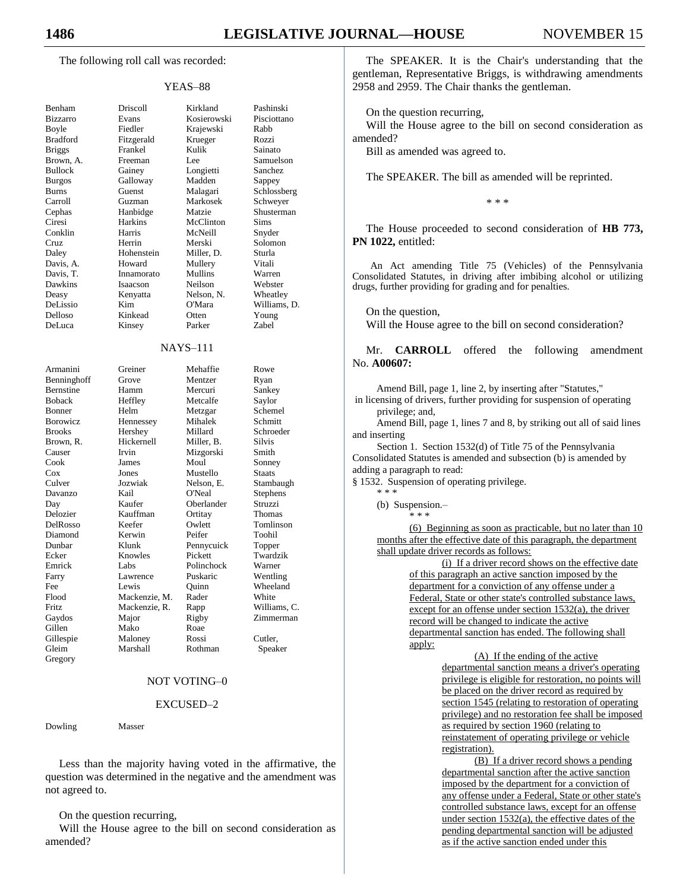The following roll call was recorded:

#### YEAS–88

| Benham<br>Bizzarro<br>Boyle<br><b>Bradford</b><br>Briggs<br>A.<br>Brown,<br><b>Bullock</b><br><b>Burgos</b><br>Burns<br>Carroll<br>Cephas<br>Ciresi<br>Conklin<br>Cruz<br>Daley<br>Davis, A<br>Davis, 7.<br>Davis, T.<br>Dawkins<br>Deasy |
|-------------------------------------------------------------------------------------------------------------------------------------------------------------------------------------------------------------------------------------------|
|                                                                                                                                                                                                                                           |
| DeLissio                                                                                                                                                                                                                                  |
| Delloso                                                                                                                                                                                                                                   |
| DeLuca                                                                                                                                                                                                                                    |
| Armanini<br>Benninghoff                                                                                                                                                                                                                   |
| Bernstine                                                                                                                                                                                                                                 |
| Boback<br>Bonner                                                                                                                                                                                                                          |
| Borowicz                                                                                                                                                                                                                                  |
| <b>Brooks</b>                                                                                                                                                                                                                             |
| Brown, R.                                                                                                                                                                                                                                 |
|                                                                                                                                                                                                                                           |
| Causer<br>Cook                                                                                                                                                                                                                            |
| Cool.<br>Cox<br>Culver                                                                                                                                                                                                                    |
|                                                                                                                                                                                                                                           |
| Davanzo                                                                                                                                                                                                                                   |
| Day<br>Delozier                                                                                                                                                                                                                           |
|                                                                                                                                                                                                                                           |
| DelRosso<br>Diamond                                                                                                                                                                                                                       |
| Dunbar                                                                                                                                                                                                                                    |
| Ecker                                                                                                                                                                                                                                     |
| Emrick                                                                                                                                                                                                                                    |
| Farry<br>Fee                                                                                                                                                                                                                              |
| Flood                                                                                                                                                                                                                                     |
|                                                                                                                                                                                                                                           |
| Fritz<br>Gaydos<br>Gillen                                                                                                                                                                                                                 |
|                                                                                                                                                                                                                                           |
| Gillespie<br>Gleim                                                                                                                                                                                                                        |
|                                                                                                                                                                                                                                           |
|                                                                                                                                                                                                                                           |
| Gregory                                                                                                                                                                                                                                   |

Benham Driscoll Kirkland Pashinski Evans Kosierowski Pisciottano Fiedler Krajewski Rabb Fitzgerald Krueger Rozzi Briggs Frankel Kulik Sainato Freeman Lee Samuelson Gainey Longietti Sanchez<br>Galloway Madden Sappey Galloway Madden Sappey Guenst Malagari Schlossberg Guzman Markosek Schweyer Hanbidge Matzie Shusterman Harkins McClinton Sims Harris McNeill Snyder Herrin Merski Solomon Daley Hohenstein Miller, D. Sturla Howard Mullery Vitali Innamorato Mullins Warren Isaacson Neilson Webster Kenyatta Nelson, N. Wheatley Kim O'Mara Williams, D. Kinkead Otten Young

Kinsey Parker Zabel

#### NAYS–111

| Armanini    | Greiner       | Mehaffie   | Rowe          |
|-------------|---------------|------------|---------------|
| Benninghoff | Grove         | Mentzer    | Ryan          |
| Bernstine   | Hamm          | Mercuri    | Sankey        |
| Boback      | Heffley       | Metcalfe   | Saylor        |
| Bonner      | Helm          | Metzgar    | Schemel       |
| Borowicz    | Hennessey     | Mihalek    | Schmitt       |
| Brooks      | Hershey       | Millard    | Schroede      |
| Brown, R.   | Hickernell    | Miller, B. | <b>Silvis</b> |
| Causer      | Irvin         | Mizgorski  | Smith         |
| Cook        | James         | Moul       | Sonney        |
| Cox         | Jones         | Mustello   | <b>Staats</b> |
| Culver      | Jozwiak       | Nelson, E. | Stambaug      |
| Davanzo     | Kail          | O'Neal     | Stephens      |
| Day         | Kaufer        | Oberlander | Struzzi       |
| Delozier    | Kauffman      | Ortitay    | Thomas        |
| DelRosso    | Keefer        | Owlett     | Tomlinso      |
| Diamond     | Kerwin        | Peifer     | Toohil        |
| Dunbar      | Klunk         | Pennycuick | Topper        |
| Ecker       | Knowles       | Pickett    | Twardzik      |
| Emrick      | Labs          | Polinchock | Warner        |
| Farry       | Lawrence      | Puskaric   | Wentling      |
| Fee         | Lewis         | Ouinn      | Wheeland      |
| Flood       | Mackenzie, M. | Rader      | White         |
| Fritz       | Mackenzie, R. | Rapp       | Williams,     |
| Gaydos      | Major         | Rigby      | Zimmern       |
| Gillen      | Mako          | Roae       |               |
| Gillespie   | Maloney       | Rossi      | Cutler,       |
| Gleim       | Marshall      | Rothman    | Speaker       |
| Gregory     |               |            |               |

Armanini Greiner Mehaffie Rowe Brove Mentzer Ryan amm Mercuri Sankey leffley Metcalfe Saylor Elm Metzgar Schemel<br>Elmessey Mihalek Schmitt Iennessey Mihalek lershey Millard Schroeder lickernell Miller, B. Silvis vin Mizgorski Smith Cook James Moul Sonney ones Mustello Staats ozwiak Nelson, E. Stambaugh<br>Lail C'Neal Stephens Lail O'Neal Stephens aufer Oberlander Struzzi Delozier Kauffman Ortitay Thomas Eefer Owlett Tomlinson<br>Example Top Peifer Toohil Diamond Kerwin Peifer Toohil Iunk Pennycuick Topper Ecker Knowles Pickett Twardzik abs Polinchock Warner awrence Puskaric Wentling ewis Quinn Wheeland Flood Mackenzie, M. Rader White Fritz Mackenzie, R. Rapp Williams, C. lajor Rigby Zimmerman lako Roae

### NOT VOTING–0

#### EXCUSED–2

Dowling Masser

Less than the majority having voted in the affirmative, the question was determined in the negative and the amendment was not agreed to.

On the question recurring,

Will the House agree to the bill on second consideration as amended?

The SPEAKER. It is the Chair's understanding that the gentleman, Representative Briggs, is withdrawing amendments 2958 and 2959. The Chair thanks the gentleman.

On the question recurring,

Will the House agree to the bill on second consideration as amended?

Bill as amended was agreed to.

The SPEAKER. The bill as amended will be reprinted.

\* \* \*

The House proceeded to second consideration of **HB 773, PN 1022,** entitled:

An Act amending Title 75 (Vehicles) of the Pennsylvania Consolidated Statutes, in driving after imbibing alcohol or utilizing drugs, further providing for grading and for penalties.

On the question,

Will the House agree to the bill on second consideration?

Mr. **CARROLL** offered the following amendment No. **A00607:**

Amend Bill, page 1, line 2, by inserting after "Statutes,"

in licensing of drivers, further providing for suspension of operating privilege; and,

Amend Bill, page 1, lines 7 and 8, by striking out all of said lines and inserting

Section 1. Section 1532(d) of Title 75 of the Pennsylvania Consolidated Statutes is amended and subsection (b) is amended by adding a paragraph to read:

§ 1532. Suspension of operating privilege.

\* \* \*

(b) Suspension.– \* \* \*

(6) Beginning as soon as practicable, but no later than 10 months after the effective date of this paragraph, the department shall update driver records as follows:

> (i) If a driver record shows on the effective date of this paragraph an active sanction imposed by the department for a conviction of any offense under a Federal, State or other state's controlled substance laws, except for an offense under section 1532(a), the driver record will be changed to indicate the active departmental sanction has ended. The following shall apply:

> > (A) If the ending of the active departmental sanction means a driver's operating privilege is eligible for restoration, no points will be placed on the driver record as required by section 1545 (relating to restoration of operating privilege) and no restoration fee shall be imposed as required by section 1960 (relating to reinstatement of operating privilege or vehicle registration).

> > (B) If a driver record shows a pending departmental sanction after the active sanction imposed by the department for a conviction of any offense under a Federal, State or other state's controlled substance laws, except for an offense under section 1532(a), the effective dates of the pending departmental sanction will be adjusted as if the active sanction ended under this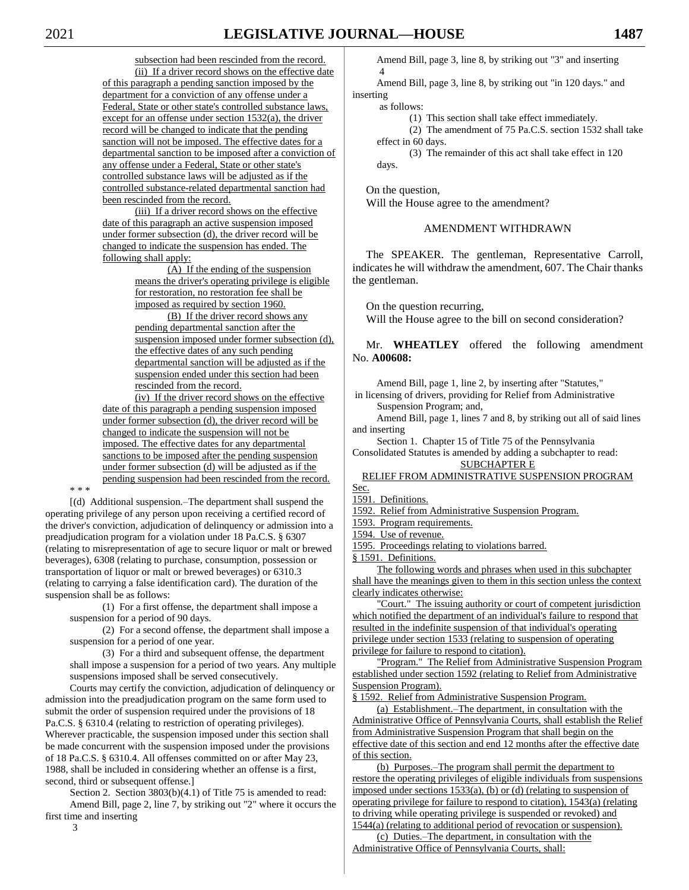subsection had been rescinded from the record. (ii) If a driver record shows on the effective date of this paragraph a pending sanction imposed by the department for a conviction of any offense under a Federal, State or other state's controlled substance laws, except for an offense under section 1532(a), the driver record will be changed to indicate that the pending sanction will not be imposed. The effective dates for a departmental sanction to be imposed after a conviction of any offense under a Federal, State or other state's controlled substance laws will be adjusted as if the controlled substance-related departmental sanction had been rescinded from the record.

(iii) If a driver record shows on the effective date of this paragraph an active suspension imposed under former subsection (d), the driver record will be changed to indicate the suspension has ended. The following shall apply:

> (A) If the ending of the suspension means the driver's operating privilege is eligible for restoration, no restoration fee shall be imposed as required by section 1960.

(B) If the driver record shows any pending departmental sanction after the suspension imposed under former subsection (d), the effective dates of any such pending departmental sanction will be adjusted as if the suspension ended under this section had been rescinded from the record.

(iv) If the driver record shows on the effective date of this paragraph a pending suspension imposed under former subsection (d), the driver record will be changed to indicate the suspension will not be imposed. The effective dates for any departmental sanctions to be imposed after the pending suspension under former subsection (d) will be adjusted as if the pending suspension had been rescinded from the record.

\* \* \*

[(d) Additional suspension.–The department shall suspend the operating privilege of any person upon receiving a certified record of the driver's conviction, adjudication of delinquency or admission into a preadjudication program for a violation under 18 Pa.C.S. § 6307 (relating to misrepresentation of age to secure liquor or malt or brewed beverages), 6308 (relating to purchase, consumption, possession or transportation of liquor or malt or brewed beverages) or 6310.3 (relating to carrying a false identification card). The duration of the suspension shall be as follows:

(1) For a first offense, the department shall impose a suspension for a period of 90 days.

(2) For a second offense, the department shall impose a suspension for a period of one year.

(3) For a third and subsequent offense, the department shall impose a suspension for a period of two years. Any multiple suspensions imposed shall be served consecutively.

Courts may certify the conviction, adjudication of delinquency or admission into the preadjudication program on the same form used to submit the order of suspension required under the provisions of 18 Pa.C.S. § 6310.4 (relating to restriction of operating privileges). Wherever practicable, the suspension imposed under this section shall be made concurrent with the suspension imposed under the provisions of 18 Pa.C.S. § 6310.4. All offenses committed on or after May 23, 1988, shall be included in considering whether an offense is a first, second, third or subsequent offense.]

Section 2. Section 3803(b)(4.1) of Title 75 is amended to read: Amend Bill, page 2, line 7, by striking out "2" where it occurs the first time and inserting

3

Amend Bill, page 3, line 8, by striking out "3" and inserting 4

Amend Bill, page 3, line 8, by striking out "in 120 days." and inserting

as follows:

(1) This section shall take effect immediately.

(2) The amendment of 75 Pa.C.S. section 1532 shall take effect in 60 days.

(3) The remainder of this act shall take effect in 120 days.

On the question,

Will the House agree to the amendment?

#### AMENDMENT WITHDRAWN

The SPEAKER. The gentleman, Representative Carroll, indicates he will withdraw the amendment, 607. The Chair thanks the gentleman.

On the question recurring,

Will the House agree to the bill on second consideration?

Mr. **WHEATLEY** offered the following amendment No. **A00608:**

Amend Bill, page 1, line 2, by inserting after "Statutes,"

in licensing of drivers, providing for Relief from Administrative Suspension Program; and,

Amend Bill, page 1, lines 7 and 8, by striking out all of said lines and inserting

Section 1. Chapter 15 of Title 75 of the Pennsylvania

Consolidated Statutes is amended by adding a subchapter to read: SUBCHAPTER E

# RELIEF FROM ADMINISTRATIVE SUSPENSION PROGRAM

Sec. 1591. Definitions.

1592. Relief from Administrative Suspension Program.

1593. Program requirements.

1594. Use of revenue.

1595. Proceedings relating to violations barred.

§ 1591. Definitions.

The following words and phrases when used in this subchapter shall have the meanings given to them in this section unless the context clearly indicates otherwise:

"Court." The issuing authority or court of competent jurisdiction which notified the department of an individual's failure to respond that resulted in the indefinite suspension of that individual's operating privilege under section 1533 (relating to suspension of operating privilege for failure to respond to citation).

"Program." The Relief from Administrative Suspension Program established under section 1592 (relating to Relief from Administrative Suspension Program).

§ 1592. Relief from Administrative Suspension Program.

(a) Establishment.–The department, in consultation with the Administrative Office of Pennsylvania Courts, shall establish the Relief from Administrative Suspension Program that shall begin on the effective date of this section and end 12 months after the effective date of this section.

(b) Purposes.–The program shall permit the department to restore the operating privileges of eligible individuals from suspensions imposed under sections 1533(a), (b) or (d) (relating to suspension of operating privilege for failure to respond to citation), 1543(a) (relating to driving while operating privilege is suspended or revoked) and 1544(a) (relating to additional period of revocation or suspension).

(c) Duties.–The department, in consultation with the Administrative Office of Pennsylvania Courts, shall: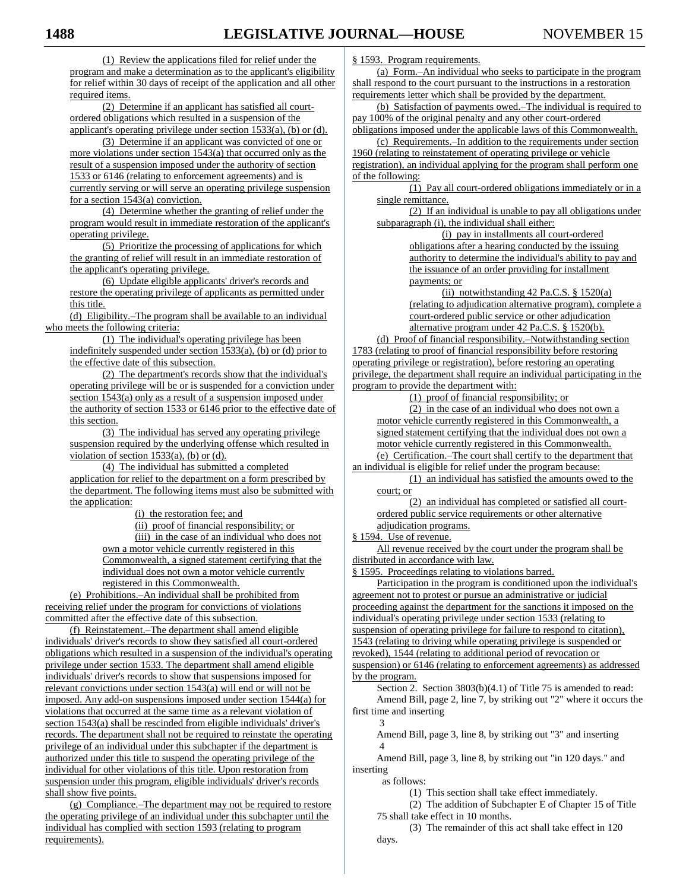(1) Review the applications filed for relief under the program and make a determination as to the applicant's eligibility for relief within 30 days of receipt of the application and all other required items.

(2) Determine if an applicant has satisfied all courtordered obligations which resulted in a suspension of the applicant's operating privilege under section 1533(a), (b) or (d).

(3) Determine if an applicant was convicted of one or more violations under section 1543(a) that occurred only as the result of a suspension imposed under the authority of section 1533 or 6146 (relating to enforcement agreements) and is currently serving or will serve an operating privilege suspension for a section 1543(a) conviction.

(4) Determine whether the granting of relief under the program would result in immediate restoration of the applicant's operating privilege.

(5) Prioritize the processing of applications for which the granting of relief will result in an immediate restoration of the applicant's operating privilege.

(6) Update eligible applicants' driver's records and restore the operating privilege of applicants as permitted under this title.

(d) Eligibility.–The program shall be available to an individual who meets the following criteria:

(1) The individual's operating privilege has been indefinitely suspended under section  $1533(a)$ , (b) or (d) prior to the effective date of this subsection.

(2) The department's records show that the individual's operating privilege will be or is suspended for a conviction under section 1543(a) only as a result of a suspension imposed under the authority of section 1533 or 6146 prior to the effective date of this section.

(3) The individual has served any operating privilege suspension required by the underlying offense which resulted in violation of section  $1533(a)$ , (b) or (d).

(4) The individual has submitted a completed application for relief to the department on a form prescribed by the department. The following items must also be submitted with the application:

(i) the restoration fee; and

(ii) proof of financial responsibility; or (iii) in the case of an individual who does not own a motor vehicle currently registered in this Commonwealth, a signed statement certifying that the individual does not own a motor vehicle currently registered in this Commonwealth.

(e) Prohibitions.–An individual shall be prohibited from receiving relief under the program for convictions of violations committed after the effective date of this subsection.

(f) Reinstatement.–The department shall amend eligible individuals' driver's records to show they satisfied all court-ordered obligations which resulted in a suspension of the individual's operating privilege under section 1533. The department shall amend eligible individuals' driver's records to show that suspensions imposed for relevant convictions under section 1543(a) will end or will not be imposed. Any add-on suspensions imposed under section 1544(a) for violations that occurred at the same time as a relevant violation of section 1543(a) shall be rescinded from eligible individuals' driver's records. The department shall not be required to reinstate the operating privilege of an individual under this subchapter if the department is authorized under this title to suspend the operating privilege of the individual for other violations of this title. Upon restoration from suspension under this program, eligible individuals' driver's records shall show five points.

(g) Compliance.–The department may not be required to restore the operating privilege of an individual under this subchapter until the individual has complied with section 1593 (relating to program requirements).

§ 1593. Program requirements.

(a) Form.–An individual who seeks to participate in the program shall respond to the court pursuant to the instructions in a restoration requirements letter which shall be provided by the department.

(b) Satisfaction of payments owed.–The individual is required to pay 100% of the original penalty and any other court-ordered

obligations imposed under the applicable laws of this Commonwealth. (c) Requirements.–In addition to the requirements under section 1960 (relating to reinstatement of operating privilege or vehicle registration), an individual applying for the program shall perform one of the following:

(1) Pay all court-ordered obligations immediately or in a single remittance.

(2) If an individual is unable to pay all obligations under subparagraph (i), the individual shall either:

> (i) pay in installments all court-ordered obligations after a hearing conducted by the issuing authority to determine the individual's ability to pay and the issuance of an order providing for installment payments; or

(ii) notwithstanding  $42$  Pa.C.S. § 1520(a) (relating to adjudication alternative program), complete a court-ordered public service or other adjudication alternative program under 42 Pa.C.S. § 1520(b).

(d) Proof of financial responsibility.–Notwithstanding section 1783 (relating to proof of financial responsibility before restoring operating privilege or registration), before restoring an operating privilege, the department shall require an individual participating in the program to provide the department with:

(1) proof of financial responsibility; or

(2) in the case of an individual who does not own a motor vehicle currently registered in this Commonwealth, a signed statement certifying that the individual does not own a motor vehicle currently registered in this Commonwealth. (e) Certification.–The court shall certify to the department that an individual is eligible for relief under the program because:

(1) an individual has satisfied the amounts owed to the court; or

(2) an individual has completed or satisfied all courtordered public service requirements or other alternative adjudication programs.

§ 1594. Use of revenue.

All revenue received by the court under the program shall be distributed in accordance with law.

§ 1595. Proceedings relating to violations barred.

Participation in the program is conditioned upon the individual's agreement not to protest or pursue an administrative or judicial proceeding against the department for the sanctions it imposed on the individual's operating privilege under section 1533 (relating to suspension of operating privilege for failure to respond to citation), 1543 (relating to driving while operating privilege is suspended or revoked), 1544 (relating to additional period of revocation or

suspension) or 6146 (relating to enforcement agreements) as addressed by the program.

Section 2. Section 3803(b)(4.1) of Title 75 is amended to read: Amend Bill, page 2, line 7, by striking out "2" where it occurs the first time and inserting

3 Amend Bill, page 3, line 8, by striking out "3" and inserting 4

Amend Bill, page 3, line 8, by striking out "in 120 days." and inserting

as follows:

(1) This section shall take effect immediately.

(2) The addition of Subchapter E of Chapter 15 of Title 75 shall take effect in 10 months.

(3) The remainder of this act shall take effect in 120 days.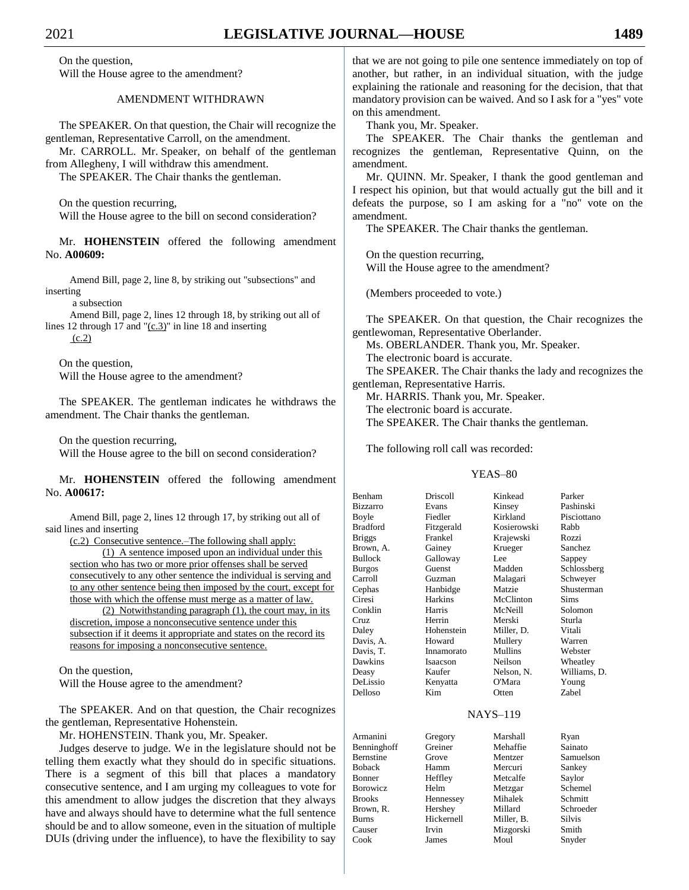On the question, Will the House agree to the amendment?

AMENDMENT WITHDRAWN

The SPEAKER. On that question, the Chair will recognize the gentleman, Representative Carroll, on the amendment.

Mr. CARROLL. Mr. Speaker, on behalf of the gentleman from Allegheny, I will withdraw this amendment.

The SPEAKER. The Chair thanks the gentleman.

On the question recurring, Will the House agree to the bill on second consideration?

Mr. **HOHENSTEIN** offered the following amendment No. **A00609:**

Amend Bill, page 2, line 8, by striking out "subsections" and inserting

a subsection

Amend Bill, page 2, lines 12 through 18, by striking out all of lines 12 through 17 and "(c.3)" in line 18 and inserting (c.2)

On the question, Will the House agree to the amendment?

The SPEAKER. The gentleman indicates he withdraws the amendment. The Chair thanks the gentleman.

On the question recurring,

Will the House agree to the bill on second consideration?

Mr. **HOHENSTEIN** offered the following amendment No. **A00617:**

Amend Bill, page 2, lines 12 through 17, by striking out all of said lines and inserting

(c.2) Consecutive sentence.–The following shall apply: (1) A sentence imposed upon an individual under this section who has two or more prior offenses shall be served consecutively to any other sentence the individual is serving and to any other sentence being then imposed by the court, except for those with which the offense must merge as a matter of law. (2) Notwithstanding paragraph (1), the court may, in its

discretion, impose a nonconsecutive sentence under this subsection if it deems it appropriate and states on the record its reasons for imposing a nonconsecutive sentence.

On the question,

Will the House agree to the amendment?

The SPEAKER. And on that question, the Chair recognizes the gentleman, Representative Hohenstein.

Mr. HOHENSTEIN. Thank you, Mr. Speaker.

Judges deserve to judge. We in the legislature should not be telling them exactly what they should do in specific situations. There is a segment of this bill that places a mandatory consecutive sentence, and I am urging my colleagues to vote for this amendment to allow judges the discretion that they always have and always should have to determine what the full sentence should be and to allow someone, even in the situation of multiple DUIs (driving under the influence), to have the flexibility to say

that we are not going to pile one sentence immediately on top of another, but rather, in an individual situation, with the judge explaining the rationale and reasoning for the decision, that that mandatory provision can be waived. And so I ask for a "yes" vote on this amendment.

Thank you, Mr. Speaker.

The SPEAKER. The Chair thanks the gentleman and recognizes the gentleman, Representative Quinn, on the amendment.

Mr. QUINN. Mr. Speaker, I thank the good gentleman and I respect his opinion, but that would actually gut the bill and it defeats the purpose, so I am asking for a "no" vote on the amendment.

The SPEAKER. The Chair thanks the gentleman.

On the question recurring, Will the House agree to the amendment?

(Members proceeded to vote.)

The SPEAKER. On that question, the Chair recognizes the gentlewoman, Representative Oberlander.

Ms. OBERLANDER. Thank you, Mr. Speaker.

The electronic board is accurate.

The SPEAKER. The Chair thanks the lady and recognizes the gentleman, Representative Harris.

Mr. HARRIS. Thank you, Mr. Speaker.

The electronic board is accurate.

The SPEAKER. The Chair thanks the gentleman.

The following roll call was recorded:

#### YEAS–80

| Benham          | Driscoll       | Kinkead               | Parker       |
|-----------------|----------------|-----------------------|--------------|
| <b>Bizzarro</b> | Evans          | Kinsey                | Pashinski    |
| Boyle           | Fiedler        | Kirkland              | Pisciottano  |
| Bradford        | Fitzgerald     | Kosierowski           | Rabb         |
| <b>Briggs</b>   | Frankel        | Krajewski             | Rozzi        |
| Brown, A.       | Gainey         | Krueger               | Sanchez      |
| Bullock         | Galloway       | Lee                   | Sappey       |
| <b>Burgos</b>   | Guenst         | Madden                | Schlossberg  |
| Carroll         | Guzman         | Malagari              | Schweyer     |
| Cephas          | Hanbidge       | Matzie                | Shusterman   |
| Ciresi          | <b>Harkins</b> | McClinton             | Sims         |
| Conklin         | Harris         | McNeill               | Solomon      |
| Cruz            | Herrin         | Merski                | Sturla       |
| Daley           | Hohenstein     | Miller, D.            | Vitali       |
| Davis, A.       | Howard         | Mullery               | Warren       |
| Davis, T.       | Innamorato     | <b>Mullins</b>        | Webster      |
| Dawkins         | Isaacson       | Neilson               | Wheatley     |
| Deasy           | Kaufer         | Nelson, N.            | Williams, D. |
| DeLissio        | Kenyatta       | O'Mara                | Young        |
| Delloso         | Kim            | Otten                 | Zabel        |
|                 |                | <b>NTA SZC</b><br>110 |              |

#### NAYS–119

| Armanini         | Gregory    | Marshall   | Ryan          |
|------------------|------------|------------|---------------|
| Benninghoff      | Greiner    | Mehaffie   | Sainato       |
| <b>Bernstine</b> | Grove      | Mentzer    | Samuelson     |
| <b>Boback</b>    | Hamm       | Mercuri    | Sankey        |
| <b>Bonner</b>    | Heffley    | Metcalfe   | Saylor        |
| Borowicz         | Helm       | Metzgar    | Schemel       |
| <b>Brooks</b>    | Hennessey  | Mihalek    | Schmitt       |
| Brown, R.        | Hershey    | Millard    | Schroeder     |
| <b>Burns</b>     | Hickernell | Miller, B. | <b>Silvis</b> |
| Causer           | Irvin      | Mizgorski  | Smith         |
| Cook             | James      | Moul       | Snyder        |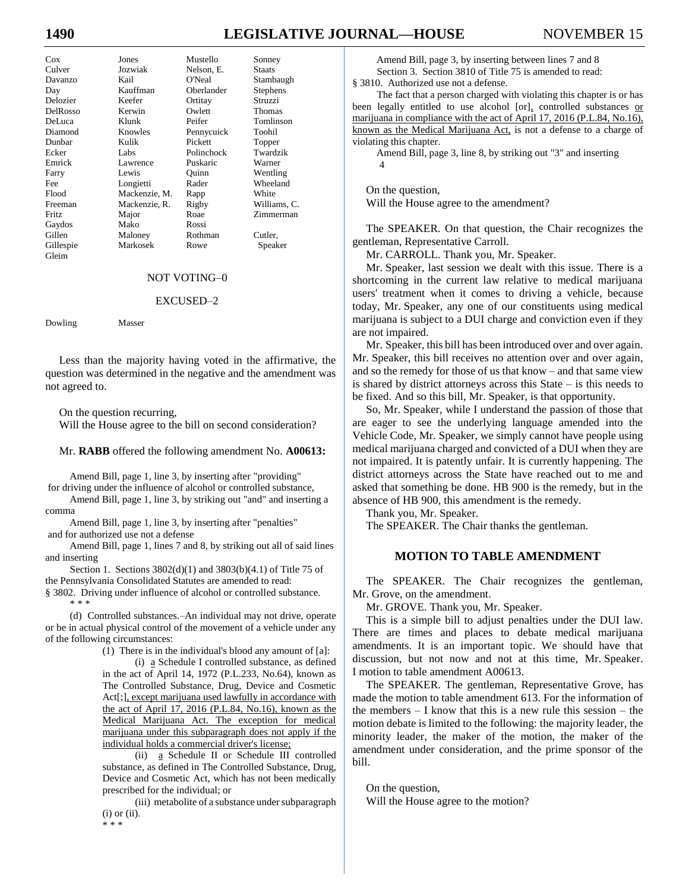# **1490 LEGISLATIVE JOURNAL—HOUSE** NOVEMBER 15

| Cox       | Jones         | Mustello   | Sonney          |
|-----------|---------------|------------|-----------------|
| Culver    | Jozwiak       | Nelson, E. | Staats          |
| Davanzo   | Kail          | O'Neal     | Stambaugh       |
| Day       | Kauffman      | Oberlander | <b>Stephens</b> |
| Delozier  | Keefer        | Ortitay    | Struzzi         |
| DelRosso  | Kerwin        | Owlett     | Thomas          |
| DeLuca    | Klunk         | Peifer     | Tomlinson       |
| Diamond   | Knowles       | Pennycuick | Toohil          |
| Dunbar    | Kulik         | Pickett    | Topper          |
| Ecker     | Labs          | Polinchock | Twardzik        |
| Emrick    | Lawrence      | Puskaric   | Warner          |
| Farry     | Lewis         | Ouinn      | Wentling        |
| Fee       | Longietti     | Rader      | Wheeland        |
| Flood     | Mackenzie, M. | Rapp       | White           |
| Freeman   | Mackenzie, R. | Rigby      | Williams, C.    |
| Fritz     | Major         | Roae       | Zimmerman       |
| Gaydos    | Mako          | Rossi      |                 |
| Gillen    | Maloney       | Rothman    | Cutler,         |
| Gillespie | Markosek      | Rowe       | Speaker         |

#### NOT VOTING–0

#### EXCUSED–2

Dowling Masser

Gleim

Less than the majority having voted in the affirmative, the question was determined in the negative and the amendment was not agreed to.

On the question recurring,

Will the House agree to the bill on second consideration?

#### Mr. **RABB** offered the following amendment No. **A00613:**

Amend Bill, page 1, line 3, by inserting after "providing" for driving under the influence of alcohol or controlled substance,

Amend Bill, page 1, line 3, by striking out "and" and inserting a comma

Amend Bill, page 1, line 3, by inserting after "penalties" and for authorized use not a defense

Amend Bill, page 1, lines 7 and 8, by striking out all of said lines and inserting

Section 1. Sections 3802(d)(1) and 3803(b)(4.1) of Title 75 of the Pennsylvania Consolidated Statutes are amended to read:

§ 3802. Driving under influence of alcohol or controlled substance. \* \* \*

(d) Controlled substances.–An individual may not drive, operate or be in actual physical control of the movement of a vehicle under any of the following circumstances:

(1) There is in the individual's blood any amount of [a]:

(i) a Schedule I controlled substance, as defined in the act of April 14, 1972 (P.L.233, No.64), known as The Controlled Substance, Drug, Device and Cosmetic Act[;], except marijuana used lawfully in accordance with the act of April 17, 2016 (P.L.84, No.16), known as the Medical Marijuana Act. The exception for medical marijuana under this subparagraph does not apply if the individual holds a commercial driver's license;

(ii) a Schedule II or Schedule III controlled substance, as defined in The Controlled Substance, Drug, Device and Cosmetic Act, which has not been medically prescribed for the individual; or

(iii) metabolite of a substance under subparagraph  $(i)$  or  $(ii)$ . \* \* \*

Amend Bill, page 3, by inserting between lines 7 and 8 Section 3. Section 3810 of Title 75 is amended to read: § 3810. Authorized use not a defense.

The fact that a person charged with violating this chapter is or has been legally entitled to use alcohol [or], controlled substances or marijuana in compliance with the act of April 17, 2016 (P.L.84, No.16), known as the Medical Marijuana Act, is not a defense to a charge of violating this chapter.

Amend Bill, page 3, line 8, by striking out "3" and inserting 4

On the question, Will the House agree to the amendment?

The SPEAKER. On that question, the Chair recognizes the gentleman, Representative Carroll.

Mr. CARROLL. Thank you, Mr. Speaker.

Mr. Speaker, last session we dealt with this issue. There is a shortcoming in the current law relative to medical marijuana users' treatment when it comes to driving a vehicle, because today, Mr. Speaker, any one of our constituents using medical marijuana is subject to a DUI charge and conviction even if they are not impaired.

Mr. Speaker, this bill has been introduced over and over again. Mr. Speaker, this bill receives no attention over and over again, and so the remedy for those of us that know – and that same view is shared by district attorneys across this State – is this needs to be fixed. And so this bill, Mr. Speaker, is that opportunity.

So, Mr. Speaker, while I understand the passion of those that are eager to see the underlying language amended into the Vehicle Code, Mr. Speaker, we simply cannot have people using medical marijuana charged and convicted of a DUI when they are not impaired. It is patently unfair. It is currently happening. The district attorneys across the State have reached out to me and asked that something be done. HB 900 is the remedy, but in the absence of HB 900, this amendment is the remedy.

Thank you, Mr. Speaker.

The SPEAKER. The Chair thanks the gentleman.

#### **MOTION TO TABLE AMENDMENT**

The SPEAKER. The Chair recognizes the gentleman, Mr. Grove, on the amendment.

Mr. GROVE. Thank you, Mr. Speaker.

This is a simple bill to adjust penalties under the DUI law. There are times and places to debate medical marijuana amendments. It is an important topic. We should have that discussion, but not now and not at this time, Mr. Speaker. I motion to table amendment A00613.

The SPEAKER. The gentleman, Representative Grove, has made the motion to table amendment 613. For the information of the members  $-1$  know that this is a new rule this session  $-$  the motion debate is limited to the following: the majority leader, the minority leader, the maker of the motion, the maker of the amendment under consideration, and the prime sponsor of the bill.

On the question, Will the House agree to the motion?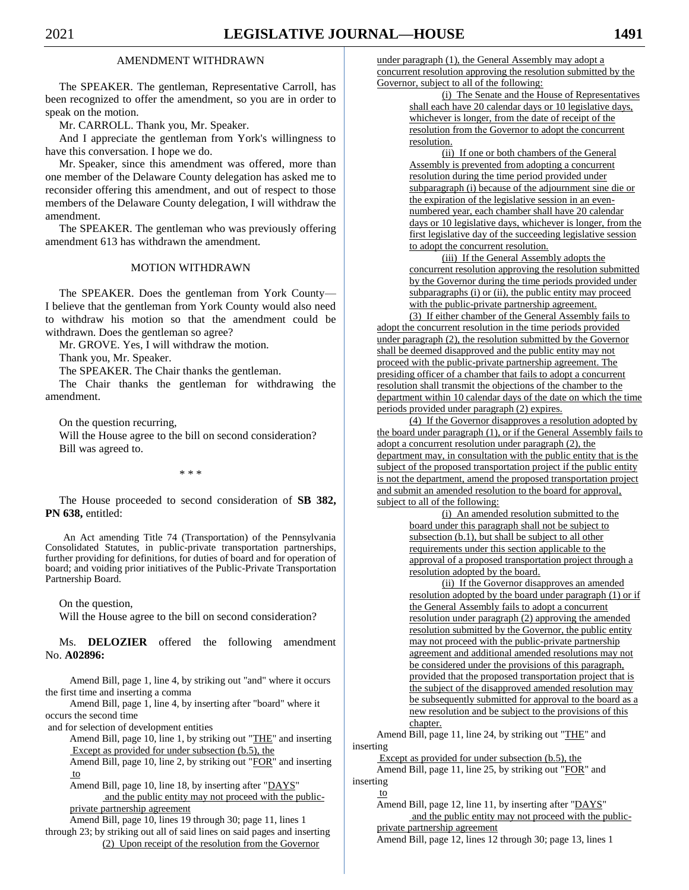#### AMENDMENT WITHDRAWN

The SPEAKER. The gentleman, Representative Carroll, has been recognized to offer the amendment, so you are in order to speak on the motion.

Mr. CARROLL. Thank you, Mr. Speaker.

And I appreciate the gentleman from York's willingness to have this conversation. I hope we do.

Mr. Speaker, since this amendment was offered, more than one member of the Delaware County delegation has asked me to reconsider offering this amendment, and out of respect to those members of the Delaware County delegation, I will withdraw the amendment.

The SPEAKER. The gentleman who was previously offering amendment 613 has withdrawn the amendment.

#### MOTION WITHDRAWN

The SPEAKER. Does the gentleman from York County— I believe that the gentleman from York County would also need to withdraw his motion so that the amendment could be withdrawn. Does the gentleman so agree?

Mr. GROVE. Yes, I will withdraw the motion.

Thank you, Mr. Speaker.

The SPEAKER. The Chair thanks the gentleman.

The Chair thanks the gentleman for withdrawing the amendment.

On the question recurring,

Will the House agree to the bill on second consideration? Bill was agreed to.

\* \* \*

The House proceeded to second consideration of **SB 382, PN 638,** entitled:

An Act amending Title 74 (Transportation) of the Pennsylvania Consolidated Statutes, in public-private transportation partnerships, further providing for definitions, for duties of board and for operation of board; and voiding prior initiatives of the Public-Private Transportation Partnership Board.

On the question,

Will the House agree to the bill on second consideration?

Ms. **DELOZIER** offered the following amendment No. **A02896:**

Amend Bill, page 1, line 4, by striking out "and" where it occurs the first time and inserting a comma

Amend Bill, page 1, line 4, by inserting after "board" where it occurs the second time

and for selection of development entities

Amend Bill, page 10, line 1, by striking out "THE" and inserting Except as provided for under subsection (b.5), the

Amend Bill, page 10, line 2, by striking out "FOR" and inserting to

Amend Bill, page 10, line 18, by inserting after "DAYS" and the public entity may not proceed with the publicprivate partnership agreement

Amend Bill, page 10, lines 19 through 30; page 11, lines 1 through 23; by striking out all of said lines on said pages and inserting (2) Upon receipt of the resolution from the Governor

under paragraph (1), the General Assembly may adopt a concurrent resolution approving the resolution submitted by the Governor, subject to all of the following:

> (i) The Senate and the House of Representatives shall each have 20 calendar days or 10 legislative days, whichever is longer, from the date of receipt of the resolution from the Governor to adopt the concurrent resolution.

> (ii) If one or both chambers of the General Assembly is prevented from adopting a concurrent resolution during the time period provided under subparagraph (i) because of the adjournment sine die or the expiration of the legislative session in an evennumbered year, each chamber shall have 20 calendar days or 10 legislative days, whichever is longer, from the first legislative day of the succeeding legislative session to adopt the concurrent resolution.

(iii) If the General Assembly adopts the concurrent resolution approving the resolution submitted by the Governor during the time periods provided under subparagraphs (i) or (ii), the public entity may proceed with the public-private partnership agreement.

(3) If either chamber of the General Assembly fails to adopt the concurrent resolution in the time periods provided under paragraph (2), the resolution submitted by the Governor shall be deemed disapproved and the public entity may not proceed with the public-private partnership agreement. The presiding officer of a chamber that fails to adopt a concurrent resolution shall transmit the objections of the chamber to the department within 10 calendar days of the date on which the time periods provided under paragraph (2) expires.

(4) If the Governor disapproves a resolution adopted by the board under paragraph (1), or if the General Assembly fails to adopt a concurrent resolution under paragraph (2), the department may, in consultation with the public entity that is the subject of the proposed transportation project if the public entity is not the department, amend the proposed transportation project and submit an amended resolution to the board for approval, subject to all of the following:

(i) An amended resolution submitted to the board under this paragraph shall not be subject to subsection (b.1), but shall be subject to all other requirements under this section applicable to the approval of a proposed transportation project through a resolution adopted by the board.

(ii) If the Governor disapproves an amended resolution adopted by the board under paragraph (1) or if the General Assembly fails to adopt a concurrent resolution under paragraph (2) approving the amended resolution submitted by the Governor, the public entity may not proceed with the public-private partnership agreement and additional amended resolutions may not be considered under the provisions of this paragraph, provided that the proposed transportation project that is the subject of the disapproved amended resolution may be subsequently submitted for approval to the board as a new resolution and be subject to the provisions of this chapter.

Amend Bill, page 11, line 24, by striking out "THE" and inserting

Except as provided for under subsection (b.5), the Amend Bill, page 11, line 25, by striking out "FOR" and inserting

#### to

Amend Bill, page 12, line 11, by inserting after "DAYS" and the public entity may not proceed with the publicprivate partnership agreement

Amend Bill, page 12, lines 12 through 30; page 13, lines 1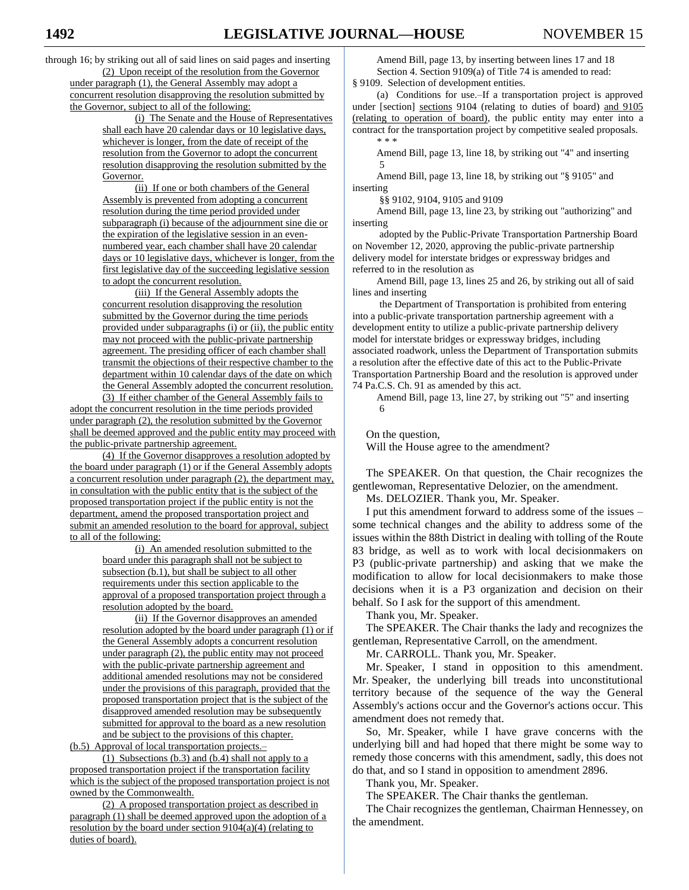through 16; by striking out all of said lines on said pages and inserting (2) Upon receipt of the resolution from the Governor under paragraph (1), the General Assembly may adopt a concurrent resolution disapproving the resolution submitted by the Governor, subject to all of the following:

> (i) The Senate and the House of Representatives shall each have 20 calendar days or 10 legislative days, whichever is longer, from the date of receipt of the resolution from the Governor to adopt the concurrent resolution disapproving the resolution submitted by the Governor.

> (ii) If one or both chambers of the General Assembly is prevented from adopting a concurrent resolution during the time period provided under subparagraph (i) because of the adjournment sine die or the expiration of the legislative session in an evennumbered year, each chamber shall have 20 calendar days or 10 legislative days, whichever is longer, from the first legislative day of the succeeding legislative session to adopt the concurrent resolution.

> (iii) If the General Assembly adopts the concurrent resolution disapproving the resolution submitted by the Governor during the time periods provided under subparagraphs (i) or (ii), the public entity may not proceed with the public-private partnership agreement. The presiding officer of each chamber shall transmit the objections of their respective chamber to the department within 10 calendar days of the date on which the General Assembly adopted the concurrent resolution.

(3) If either chamber of the General Assembly fails to adopt the concurrent resolution in the time periods provided under paragraph (2), the resolution submitted by the Governor shall be deemed approved and the public entity may proceed with the public-private partnership agreement.

(4) If the Governor disapproves a resolution adopted by the board under paragraph (1) or if the General Assembly adopts a concurrent resolution under paragraph (2), the department may, in consultation with the public entity that is the subject of the proposed transportation project if the public entity is not the department, amend the proposed transportation project and submit an amended resolution to the board for approval, subject to all of the following:

> (i) An amended resolution submitted to the board under this paragraph shall not be subject to subsection (b.1), but shall be subject to all other requirements under this section applicable to the approval of a proposed transportation project through a resolution adopted by the board.

(ii) If the Governor disapproves an amended resolution adopted by the board under paragraph (1) or if the General Assembly adopts a concurrent resolution under paragraph (2), the public entity may not proceed with the public-private partnership agreement and additional amended resolutions may not be considered under the provisions of this paragraph, provided that the proposed transportation project that is the subject of the disapproved amended resolution may be subsequently submitted for approval to the board as a new resolution and be subject to the provisions of this chapter.

(b.5) Approval of local transportation projects.–

(1) Subsections (b.3) and (b.4) shall not apply to a proposed transportation project if the transportation facility which is the subject of the proposed transportation project is not owned by the Commonwealth.

(2) A proposed transportation project as described in paragraph (1) shall be deemed approved upon the adoption of a resolution by the board under section  $9104(a)(4)$  (relating to duties of board).

Amend Bill, page 13, by inserting between lines 17 and 18 Section 4. Section 9109(a) of Title 74 is amended to read: § 9109. Selection of development entities.

(a) Conditions for use.–If a transportation project is approved under [section] sections 9104 (relating to duties of board) and 9105 (relating to operation of board), the public entity may enter into a contract for the transportation project by competitive sealed proposals. \* \* \*

Amend Bill, page 13, line 18, by striking out "4" and inserting 5

Amend Bill, page 13, line 18, by striking out "§ 9105" and inserting

§§ 9102, 9104, 9105 and 9109

Amend Bill, page 13, line 23, by striking out "authorizing" and inserting

adopted by the Public-Private Transportation Partnership Board on November 12, 2020, approving the public-private partnership delivery model for interstate bridges or expressway bridges and referred to in the resolution as

Amend Bill, page 13, lines 25 and 26, by striking out all of said lines and inserting

the Department of Transportation is prohibited from entering into a public-private transportation partnership agreement with a development entity to utilize a public-private partnership delivery model for interstate bridges or expressway bridges, including associated roadwork, unless the Department of Transportation submits a resolution after the effective date of this act to the Public-Private Transportation Partnership Board and the resolution is approved under 74 Pa.C.S. Ch. 91 as amended by this act.

Amend Bill, page 13, line 27, by striking out "5" and inserting 6

On the question,

Will the House agree to the amendment?

The SPEAKER. On that question, the Chair recognizes the gentlewoman, Representative Delozier, on the amendment.

Ms. DELOZIER. Thank you, Mr. Speaker.

I put this amendment forward to address some of the issues – some technical changes and the ability to address some of the issues within the 88th District in dealing with tolling of the Route 83 bridge, as well as to work with local decisionmakers on P3 (public-private partnership) and asking that we make the modification to allow for local decisionmakers to make those decisions when it is a P3 organization and decision on their behalf. So I ask for the support of this amendment.

Thank you, Mr. Speaker.

The SPEAKER. The Chair thanks the lady and recognizes the gentleman, Representative Carroll, on the amendment.

Mr. CARROLL. Thank you, Mr. Speaker.

Mr. Speaker, I stand in opposition to this amendment. Mr. Speaker, the underlying bill treads into unconstitutional territory because of the sequence of the way the General Assembly's actions occur and the Governor's actions occur. This amendment does not remedy that.

So, Mr. Speaker, while I have grave concerns with the underlying bill and had hoped that there might be some way to remedy those concerns with this amendment, sadly, this does not do that, and so I stand in opposition to amendment 2896.

Thank you, Mr. Speaker.

The SPEAKER. The Chair thanks the gentleman.

The Chair recognizes the gentleman, Chairman Hennessey, on the amendment.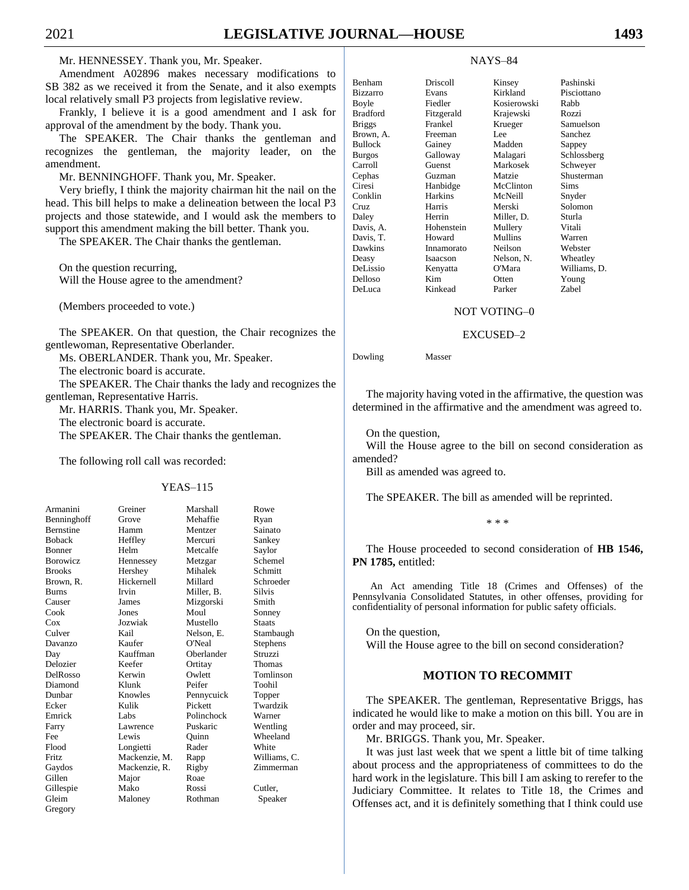Mr. HENNESSEY. Thank you, Mr. Speaker.

Amendment A02896 makes necessary modifications to SB 382 as we received it from the Senate, and it also exempts local relatively small P3 projects from legislative review.

Frankly, I believe it is a good amendment and I ask for approval of the amendment by the body. Thank you.

The SPEAKER. The Chair thanks the gentleman and recognizes the gentleman, the majority leader, on the amendment.

Mr. BENNINGHOFF. Thank you, Mr. Speaker.

Very briefly, I think the majority chairman hit the nail on the head. This bill helps to make a delineation between the local P3 projects and those statewide, and I would ask the members to support this amendment making the bill better. Thank you.

The SPEAKER. The Chair thanks the gentleman.

On the question recurring, Will the House agree to the amendment?

(Members proceeded to vote.)

The SPEAKER. On that question, the Chair recognizes the gentlewoman, Representative Oberlander.

Ms. OBERLANDER. Thank you, Mr. Speaker.

The electronic board is accurate.

The SPEAKER. The Chair thanks the lady and recognizes the gentleman, Representative Harris.

Mr. HARRIS. Thank you, Mr. Speaker.

The electronic board is accurate.

The SPEAKER. The Chair thanks the gentleman.

The following roll call was recorded:

#### YEAS–115

| Armanini      |
|---------------|
| Benninghoff   |
| Bernstine     |
| <b>Boback</b> |
| Bonner        |
| Borowicz      |
| <b>Brooks</b> |
| Brown, R.     |
| <b>Burns</b>  |
| Causer        |
| Cook          |
| Cox           |
| Culver        |
| Davanzo       |
| Day           |
| Delozier      |
| DelRosso      |
| Diamond       |
| Dunbar        |
| Ecker         |
| Emrick        |
| Farry         |
| Fee           |
| Flood         |
| Fritz         |
| Gaydos        |
| Gillen        |
| Gillespie     |
| Gleim         |
| Gregory       |

| Armanini      | Greiner       | Marshall   | Rowe          |
|---------------|---------------|------------|---------------|
| Benninghoff   | Grove         | Mehaffie   | Ryan          |
| Bernstine     | Hamm          | Mentzer    | Sainato       |
| <b>Boback</b> | Heffley       | Mercuri    | Sankey        |
| Bonner        | Helm          | Metcalfe   | Saylor        |
| Borowicz      | Hennessey     | Metzgar    | Schemel       |
| Brooks        | Hershey       | Mihalek    | Schmitt       |
| Brown, R.     | Hickernell    | Millard    | Schroeder     |
| Burns         | Irvin         | Miller, B. | <b>Silvis</b> |
| Causer        | James         | Mizgorski  | Smith         |
| Cook          | Jones         | Moul       | Sonney        |
| Cox           | Jozwiak       | Mustello   | <b>Staats</b> |
| Culver        | Kail          | Nelson, E. | Stambaugh     |
| Davanzo       | Kaufer        | O'Neal     | Stephens      |
| Day           | Kauffman      | Oberlander | Struzzi       |
| Delozier      | Keefer        | Ortitay    | Thomas        |
| DelRosso      | Kerwin        | Owlett     | Tomlinson     |
| Diamond       | Klunk         | Peifer     | Toohil        |
| Dunbar        | Knowles       | Pennycuick | Topper        |
| Ecker         | Kulik         | Pickett    | Twardzik      |
| Emrick        | Labs          | Polinchock | Warner        |
| Farry         | Lawrence      | Puskaric   | Wentling      |
| Fee           | Lewis         | Ouinn      | Wheeland      |
| Flood         | Longietti     | Rader      | White         |
| Fritz         | Mackenzie, M. | Rapp       | Williams, C.  |
| Gaydos        | Mackenzie, R. | Rigby      | Zimmerman     |
| Gillen        | Major         | Roae       |               |
| Gillespie     | Mako          | Rossi      | Cutler,       |
| Gleim         | Maloney       | Rothman    | Speaker       |

#### NAYS–84

| Benham          | Driscoll   | Kinsey      | Pashinski    |
|-----------------|------------|-------------|--------------|
| <b>Bizzarro</b> | Evans      | Kirkland    | Pisciottano  |
| Boyle           | Fiedler    | Kosierowski | Rabb         |
| <b>Bradford</b> | Fitzgerald | Krajewski   | Rozzi        |
| <b>Briggs</b>   | Frankel    | Krueger     | Samuelson    |
| Brown, A.       | Freeman    | Lee         | Sanchez      |
| <b>Bullock</b>  | Gainey     | Madden      | Sappey       |
| <b>Burgos</b>   | Galloway   | Malagari    | Schlossberg  |
| Carroll         | Guenst     | Markosek    | Schweyer     |
| Cephas          | Guzman     | Matzie      | Shusterman   |
| Ciresi          | Hanbidge   | McClinton   | Sims         |
| Conklin         | Harkins    | McNeill     | Snyder       |
| Cruz            | Harris     | Merski      | Solomon      |
| Daley           | Herrin     | Miller, D.  | Sturla       |
| Davis, A.       | Hohenstein | Mullery     | Vitali       |
| Davis, T.       | Howard     | Mullins     | Warren       |
| Dawkins         | Innamorato | Neilson     | Webster      |
| Deasy           | Isaacson   | Nelson, N.  | Wheatley     |
| DeLissio        | Kenyatta   | O'Mara      | Williams, D. |
| Delloso         | Kim        | Otten       | Young        |
| DeLuca          | Kinkead    | Parker      | Zabel        |

#### NOT VOTING–0

#### EXCUSED–2

Dowling Masser

The majority having voted in the affirmative, the question was determined in the affirmative and the amendment was agreed to.

On the question,

Will the House agree to the bill on second consideration as amended?

Bill as amended was agreed to.

The SPEAKER. The bill as amended will be reprinted.

\* \* \*

The House proceeded to second consideration of **HB 1546, PN 1785,** entitled:

An Act amending Title 18 (Crimes and Offenses) of the Pennsylvania Consolidated Statutes, in other offenses, providing for confidentiality of personal information for public safety officials.

On the question, Will the House agree to the bill on second consideration?

#### **MOTION TO RECOMMIT**

The SPEAKER. The gentleman, Representative Briggs, has indicated he would like to make a motion on this bill. You are in order and may proceed, sir.

Mr. BRIGGS. Thank you, Mr. Speaker.

It was just last week that we spent a little bit of time talking about process and the appropriateness of committees to do the hard work in the legislature. This bill I am asking to rerefer to the Judiciary Committee. It relates to Title 18, the Crimes and Offenses act, and it is definitely something that I think could use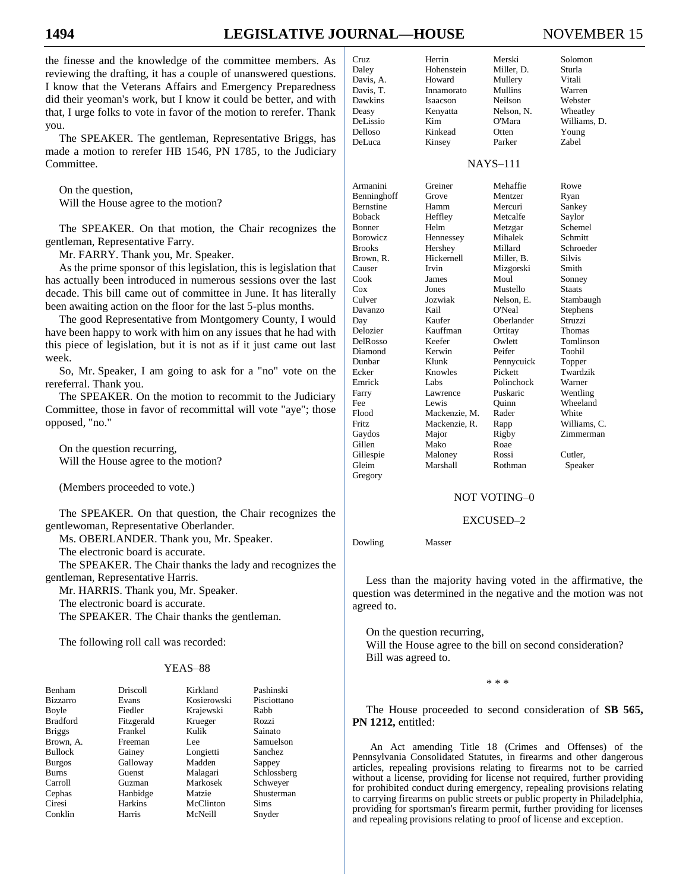# **1494 LEGISLATIVE JOURNAL—HOUSE** NOVEMBER 15

the finesse and the knowledge of the committee members. As reviewing the drafting, it has a couple of unanswered questions. I know that the Veterans Affairs and Emergency Preparedness did their yeoman's work, but I know it could be better, and with that, I urge folks to vote in favor of the motion to rerefer. Thank you.

The SPEAKER. The gentleman, Representative Briggs, has made a motion to rerefer HB 1546, PN 1785, to the Judiciary Committee.

On the question, Will the House agree to the motion?

The SPEAKER. On that motion, the Chair recognizes the gentleman, Representative Farry.

Mr. FARRY. Thank you, Mr. Speaker.

As the prime sponsor of this legislation, this is legislation that has actually been introduced in numerous sessions over the last decade. This bill came out of committee in June. It has literally been awaiting action on the floor for the last 5-plus months.

The good Representative from Montgomery County, I would have been happy to work with him on any issues that he had with this piece of legislation, but it is not as if it just came out last week.

So, Mr. Speaker, I am going to ask for a "no" vote on the rereferral. Thank you.

The SPEAKER. On the motion to recommit to the Judiciary Committee, those in favor of recommittal will vote "aye"; those opposed, "no."

On the question recurring, Will the House agree to the motion?

(Members proceeded to vote.)

The SPEAKER. On that question, the Chair recognizes the gentlewoman, Representative Oberlander.

Ms. OBERLANDER. Thank you, Mr. Speaker.

The electronic board is accurate.

The SPEAKER. The Chair thanks the lady and recognizes the gentleman, Representative Harris.

Mr. HARRIS. Thank you, Mr. Speaker.

The electronic board is accurate.

The SPEAKER. The Chair thanks the gentleman.

The following roll call was recorded:

#### YEAS–88

| Benham          | Driscoll       | Kirkland    | Pashinski   |
|-----------------|----------------|-------------|-------------|
| <b>Bizzarro</b> | Evans          | Kosierowski | Pisciottano |
| Boyle           | Fiedler        | Krajewski   | Rabb        |
| <b>Bradford</b> | Fitzgerald     | Krueger     | Rozzi       |
| <b>Briggs</b>   | Frankel        | Kulik       | Sainato     |
| Brown, A.       | Freeman        | Lee         | Samuelson   |
| <b>Bullock</b>  | Gainey         | Longietti   | Sanchez     |
| <b>Burgos</b>   | Galloway       | Madden      | Sappey      |
| <b>Burns</b>    | Guenst         | Malagari    | Schlossberg |
| Carroll         | Guzman         | Markosek    | Schweyer    |
| Cephas          | Hanbidge       | Matzie      | Shusterman  |
| Ciresi          | <b>Harkins</b> | McClinton   | <b>Sims</b> |
| Conklin         | Harris         | McNeill     | Snyder      |

| Cruz      | Herrin     | Merski     | Solomon      |
|-----------|------------|------------|--------------|
| Daley     | Hohenstein | Miller, D. | Sturla       |
| Davis, A. | Howard     | Mullery    | Vitali       |
| Davis, T. | Innamorato | Mullins    | Warren       |
| Dawkins   | Isaacson   | Neilson    | Webster      |
| Deasy     | Kenyatta   | Nelson, N. | Wheatley     |
| DeLissio  | Kim        | O'Mara     | Williams, D. |
| Delloso   | Kinkead    | Otten      | Young        |
| DeL nca   | Kinsey     | Parker     | Zahel        |

DeLuca Kinsey Parker Zabel

## NAYS–111

| Armanini<br>Benninghoff<br><b>Bernstine</b> | Greiner<br>Grove<br>Hamm | Mehaffie<br>Mentzer<br>Mercuri | Rowe<br>Ryan<br>Sankey |
|---------------------------------------------|--------------------------|--------------------------------|------------------------|
| <b>Boback</b>                               | Heffley                  | Metcalfe                       | Saylor                 |
| <b>Bonner</b>                               | Helm                     | Metzgar                        | Schemel                |
| Borowicz                                    | Hennessey                | Mihalek                        | Schmitt                |
| <b>Brooks</b>                               | Hershey                  | Millard                        | Schroeder              |
| Brown, R.                                   | Hickernell               | Miller, B.                     | <b>Silvis</b>          |
| Causer                                      | Irvin                    | Mizgorski                      | Smith                  |
| Cook                                        | James                    | Moul                           | Sonney                 |
| Cox                                         | Jones                    | Mustello                       | <b>Staats</b>          |
| Culver                                      | Jozwiak                  | Nelson, E.                     | Stambaugh              |
| Davanzo                                     | Kail                     | O'Neal                         | Stephens               |
| Day                                         | Kaufer                   | Oberlander                     | Struzzi                |
| Delozier                                    | Kauffman                 | Ortitay                        | <b>Thomas</b>          |
| DelRosso                                    | Keefer                   | Owlett                         | Tomlinson              |
| Diamond                                     | Kerwin                   | Peifer                         | Toohil                 |
| Dunbar                                      | Klunk                    | Pennycuick                     | Topper                 |
| Ecker                                       | Knowles                  | Pickett                        | Twardzik               |
| Emrick                                      | Labs                     | Polinchock                     | Warner                 |
| Farry                                       | Lawrence                 | Puskaric                       | Wentling               |
| Fee                                         | Lewis                    | Ouinn                          | Wheeland               |
| Flood                                       | Mackenzie, M.            | Rader                          | White                  |
| Fritz                                       | Mackenzie, R.            | Rapp                           | Williams, C.           |
| Gaydos                                      | Major                    | Rigby                          | Zimmerman              |
| Gillen                                      | Mako                     | Roae                           |                        |
| Gillespie                                   | Maloney                  | Rossi                          | Cutler,                |
| Gleim<br>Gregory                            | Marshall                 | Rothman                        | Speaker                |

### NOT VOTING–0

#### EXCUSED–2

Dowling Masser

Less than the majority having voted in the affirmative, the question was determined in the negative and the motion was not agreed to.

On the question recurring, Will the House agree to the bill on second consideration? Bill was agreed to.

\* \* \*

The House proceeded to second consideration of **SB 565, PN 1212,** entitled:

An Act amending Title 18 (Crimes and Offenses) of the Pennsylvania Consolidated Statutes, in firearms and other dangerous articles, repealing provisions relating to firearms not to be carried without a license, providing for license not required, further providing for prohibited conduct during emergency, repealing provisions relating to carrying firearms on public streets or public property in Philadelphia, providing for sportsman's firearm permit, further providing for licenses and repealing provisions relating to proof of license and exception.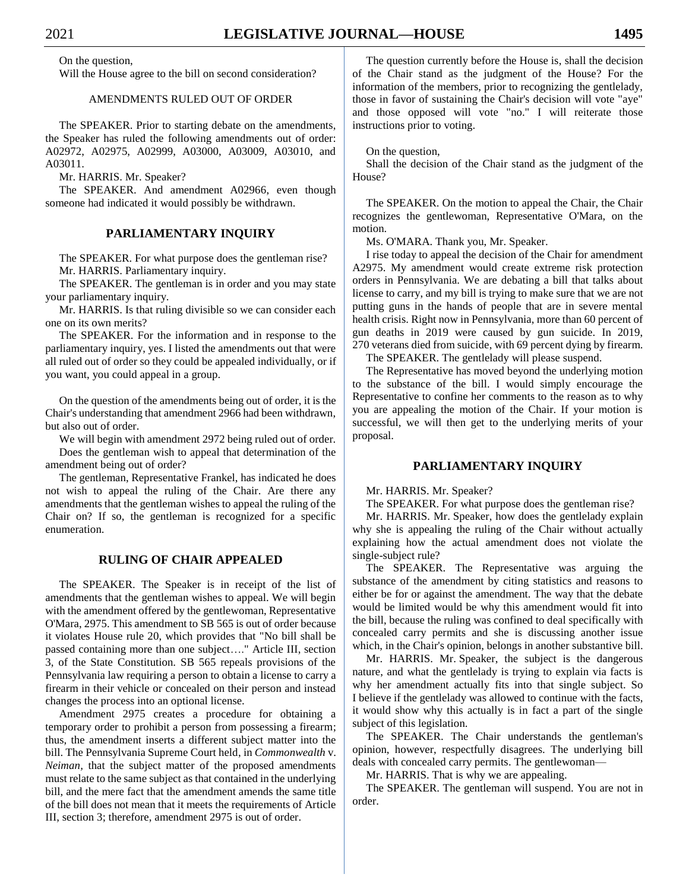On the question,

Will the House agree to the bill on second consideration?

#### AMENDMENTS RULED OUT OF ORDER

The SPEAKER. Prior to starting debate on the amendments, the Speaker has ruled the following amendments out of order: A02972, A02975, A02999, A03000, A03009, A03010, and A03011.

Mr. HARRIS. Mr. Speaker?

The SPEAKER. And amendment A02966, even though someone had indicated it would possibly be withdrawn.

#### **PARLIAMENTARY INQUIRY**

The SPEAKER. For what purpose does the gentleman rise? Mr. HARRIS. Parliamentary inquiry.

The SPEAKER. The gentleman is in order and you may state your parliamentary inquiry.

Mr. HARRIS. Is that ruling divisible so we can consider each one on its own merits?

The SPEAKER. For the information and in response to the parliamentary inquiry, yes. I listed the amendments out that were all ruled out of order so they could be appealed individually, or if you want, you could appeal in a group.

On the question of the amendments being out of order, it is the Chair's understanding that amendment 2966 had been withdrawn, but also out of order.

We will begin with amendment 2972 being ruled out of order. Does the gentleman wish to appeal that determination of the amendment being out of order?

The gentleman, Representative Frankel, has indicated he does not wish to appeal the ruling of the Chair. Are there any amendments that the gentleman wishes to appeal the ruling of the Chair on? If so, the gentleman is recognized for a specific enumeration.

#### **RULING OF CHAIR APPEALED**

The SPEAKER. The Speaker is in receipt of the list of amendments that the gentleman wishes to appeal. We will begin with the amendment offered by the gentlewoman, Representative O'Mara, 2975. This amendment to SB 565 is out of order because it violates House rule 20, which provides that "No bill shall be passed containing more than one subject…." Article III, section 3, of the State Constitution. SB 565 repeals provisions of the Pennsylvania law requiring a person to obtain a license to carry a firearm in their vehicle or concealed on their person and instead changes the process into an optional license.

Amendment 2975 creates a procedure for obtaining a temporary order to prohibit a person from possessing a firearm; thus, the amendment inserts a different subject matter into the bill. The Pennsylvania Supreme Court held, in *Commonwealth* v. *Neiman,* that the subject matter of the proposed amendments must relate to the same subject as that contained in the underlying bill, and the mere fact that the amendment amends the same title of the bill does not mean that it meets the requirements of Article III, section 3; therefore, amendment 2975 is out of order.

The question currently before the House is, shall the decision of the Chair stand as the judgment of the House? For the information of the members, prior to recognizing the gentlelady, those in favor of sustaining the Chair's decision will vote "aye" and those opposed will vote "no." I will reiterate those instructions prior to voting.

#### On the question,

Shall the decision of the Chair stand as the judgment of the House?

The SPEAKER. On the motion to appeal the Chair, the Chair recognizes the gentlewoman, Representative O'Mara, on the motion.

Ms. O'MARA. Thank you, Mr. Speaker.

I rise today to appeal the decision of the Chair for amendment A2975. My amendment would create extreme risk protection orders in Pennsylvania. We are debating a bill that talks about license to carry, and my bill is trying to make sure that we are not putting guns in the hands of people that are in severe mental health crisis. Right now in Pennsylvania, more than 60 percent of gun deaths in 2019 were caused by gun suicide. In 2019, 270 veterans died from suicide, with 69 percent dying by firearm.

The SPEAKER. The gentlelady will please suspend.

The Representative has moved beyond the underlying motion to the substance of the bill. I would simply encourage the Representative to confine her comments to the reason as to why you are appealing the motion of the Chair. If your motion is successful, we will then get to the underlying merits of your proposal.

#### **PARLIAMENTARY INQUIRY**

Mr. HARRIS. Mr. Speaker?

The SPEAKER. For what purpose does the gentleman rise?

Mr. HARRIS. Mr. Speaker, how does the gentlelady explain why she is appealing the ruling of the Chair without actually explaining how the actual amendment does not violate the single-subject rule?

The SPEAKER. The Representative was arguing the substance of the amendment by citing statistics and reasons to either be for or against the amendment. The way that the debate would be limited would be why this amendment would fit into the bill, because the ruling was confined to deal specifically with concealed carry permits and she is discussing another issue which, in the Chair's opinion, belongs in another substantive bill.

Mr. HARRIS. Mr. Speaker, the subject is the dangerous nature, and what the gentlelady is trying to explain via facts is why her amendment actually fits into that single subject. So I believe if the gentlelady was allowed to continue with the facts, it would show why this actually is in fact a part of the single subject of this legislation.

The SPEAKER. The Chair understands the gentleman's opinion, however, respectfully disagrees. The underlying bill deals with concealed carry permits. The gentlewoman—

Mr. HARRIS. That is why we are appealing.

The SPEAKER. The gentleman will suspend. You are not in order.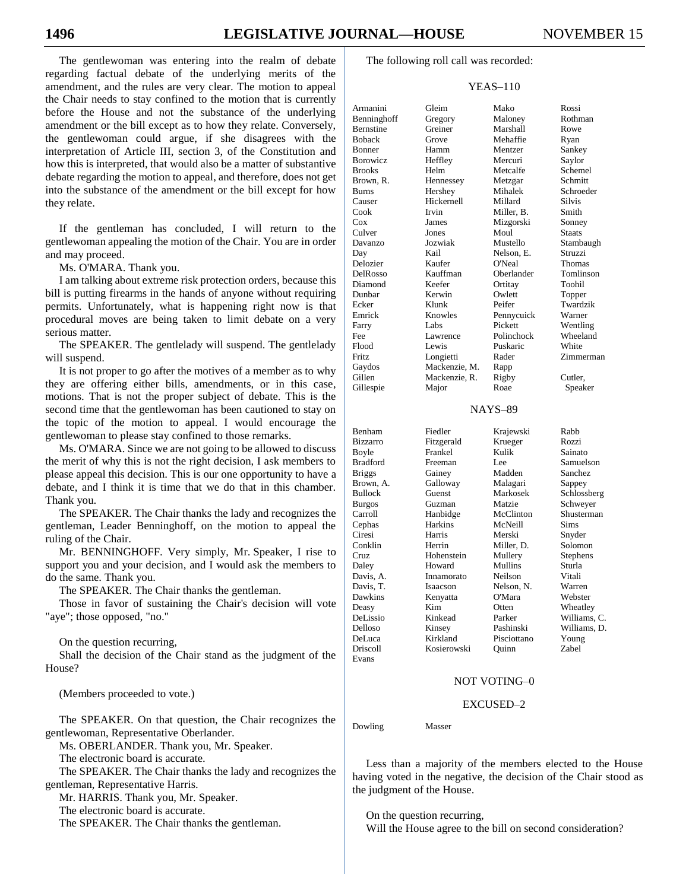The gentlewoman was entering into the realm of debate regarding factual debate of the underlying merits of the amendment, and the rules are very clear. The motion to appeal the Chair needs to stay confined to the motion that is currently before the House and not the substance of the underlying amendment or the bill except as to how they relate. Conversely, the gentlewoman could argue, if she disagrees with the interpretation of Article III, section 3, of the Constitution and how this is interpreted, that would also be a matter of substantive debate regarding the motion to appeal, and therefore, does not get into the substance of the amendment or the bill except for how they relate.

If the gentleman has concluded, I will return to the gentlewoman appealing the motion of the Chair. You are in order and may proceed.

Ms. O'MARA. Thank you.

I am talking about extreme risk protection orders, because this bill is putting firearms in the hands of anyone without requiring permits. Unfortunately, what is happening right now is that procedural moves are being taken to limit debate on a very serious matter.

The SPEAKER. The gentlelady will suspend. The gentlelady will suspend.

It is not proper to go after the motives of a member as to why they are offering either bills, amendments, or in this case, motions. That is not the proper subject of debate. This is the second time that the gentlewoman has been cautioned to stay on the topic of the motion to appeal. I would encourage the gentlewoman to please stay confined to those remarks.

Ms. O'MARA. Since we are not going to be allowed to discuss the merit of why this is not the right decision, I ask members to please appeal this decision. This is our one opportunity to have a debate, and I think it is time that we do that in this chamber. Thank you.

The SPEAKER. The Chair thanks the lady and recognizes the gentleman, Leader Benninghoff, on the motion to appeal the ruling of the Chair.

Mr. BENNINGHOFF. Very simply, Mr. Speaker, I rise to support you and your decision, and I would ask the members to do the same. Thank you.

The SPEAKER. The Chair thanks the gentleman.

Those in favor of sustaining the Chair's decision will vote "aye"; those opposed, "no."

On the question recurring,

Shall the decision of the Chair stand as the judgment of the House?

(Members proceeded to vote.)

The SPEAKER. On that question, the Chair recognizes the gentlewoman, Representative Oberlander.

Ms. OBERLANDER. Thank you, Mr. Speaker.

The electronic board is accurate.

The SPEAKER. The Chair thanks the lady and recognizes the gentleman, Representative Harris.

Mr. HARRIS. Thank you, Mr. Speaker.

The electronic board is accurate.

The SPEAKER. The Chair thanks the gentleman.

The following roll call was recorded:

#### YEAS–110

| Armanini        | Gleim         | Mako           | Rossi        |
|-----------------|---------------|----------------|--------------|
| Benninghoff     | Gregory       | Maloney        | Rothman      |
| Bernstine       | Greiner       | Marshall       | Rowe         |
| <b>Boback</b>   | Grove         | Mehaffie       | Ryan         |
| Bonner          | Hamm          | Mentzer        | Sankey       |
| Borowicz        | Heffley       | Mercuri        | Saylor       |
| <b>Brooks</b>   | Helm          | Metcalfe       | Schemel      |
| Brown, R.       | Hennessey     | Metzgar        | Schmitt      |
| Burns           | Hershey       | Mihalek        | Schroeder    |
| Causer          | Hickernell    | Millard        | Silvis       |
| Cook            | Irvin         | Miller, B.     | Smith        |
| Cox             | James         | Mizgorski      | Sonney       |
| Culver          | Jones         | Moul           | Staats       |
| Davanzo         | Jozwiak       | Mustello       | Stambaugh    |
| Day             | Kail          | Nelson, E.     | Struzzi      |
| Delozier        | Kaufer        | O'Neal         | Thomas       |
| DelRosso        | Kauffman      | Oberlander     | Tomlinson    |
| Diamond         | Keefer        | Ortitay        | Toohil       |
| Dunbar          | Kerwin        | Owlett         | Topper       |
| Ecker           | Klunk         | Peifer         | Twardzik     |
| Emrick          | Knowles       | Pennycuick     | Warner       |
| Farry           | Labs          | Pickett        | Wentling     |
| Fee             | Lawrence      | Polinchock     | Wheeland     |
| Flood           | Lewis         | Puskaric       | White        |
| Fritz           | Longietti     | Rader          | Zimmerman    |
| Gaydos          | Mackenzie, M. |                |              |
| Gillen          |               | Rapp           |              |
|                 | Mackenzie, R. | Rigby          | Cutler,      |
| Gillespie       | Major         | Roae           | Speaker      |
|                 |               | <b>NAYS-89</b> |              |
|                 |               |                |              |
| Benham          | Fiedler       | Krajewski      | Rabb         |
| <b>Bizzarro</b> | Fitzgerald    | Krueger        | Rozzi        |
| Boyle           | Frankel       | Kulik          | Sainato      |
| <b>Bradford</b> | Freeman       | Lee            | Samuelson    |
| <b>Briggs</b>   | Gainey        | Madden         | Sanchez      |
| Brown, A.       | Galloway      | Malagari       | Sappey       |
| <b>Bullock</b>  | Guenst        | Markosek       | Schlossberg  |
| <b>Burgos</b>   | Guzman        | Matzie         | Schweyer     |
| Carroll         | Hanbidge      | McClinton      | Shusterman   |
| Cephas          | Harkins       | McNeill        | Sims         |
| Ciresi          | Harris        | Merski         | Snyder       |
| Conklin         | Herrin        | Miller, D.     | Solomon      |
| Cruz            | Hohenstein    | Mullery        | Stephens     |
| Daley           | Howard        | Mullins        | Sturla       |
| Davis, A.       | Innamorato    | Neilson        | Vitali       |
| Davis, T.       | Isaacson      | Nelson, N.     | Warren       |
| Dawkins         | Kenyatta      | O'Mara         | Webster      |
| Deasy           | Kim           | Otten          | Wheatley     |
| DeLissio        | Kinkead       | Parker         | Williams, C. |
| Delloso         | Kinsey        | Pashinski      | Williams, D. |

DeLuca Kirkland Pisciottano Young Driscoll Kosierowski Quinn Zabel

#### NOT VOTING–0

#### EXCUSED–2

Dowling Masser

Evans

Less than a majority of the members elected to the House having voted in the negative, the decision of the Chair stood as the judgment of the House.

On the question recurring, Will the House agree to the bill on second consideration?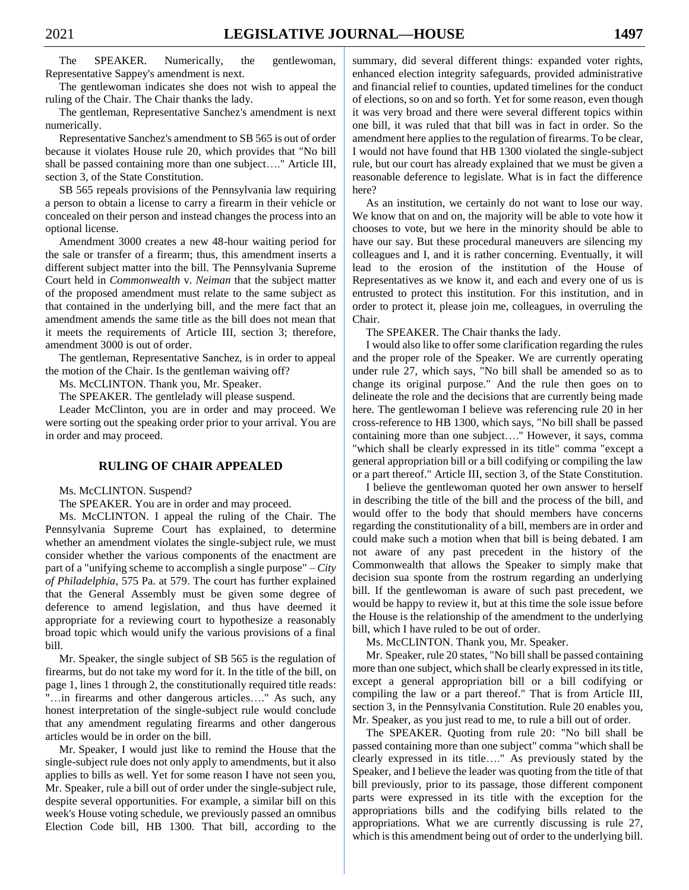The SPEAKER. Numerically, the gentlewoman, Representative Sappey's amendment is next.

The gentlewoman indicates she does not wish to appeal the ruling of the Chair. The Chair thanks the lady.

The gentleman, Representative Sanchez's amendment is next numerically.

Representative Sanchez's amendment to SB 565 is out of order because it violates House rule 20, which provides that "No bill shall be passed containing more than one subject…." Article III, section 3, of the State Constitution.

SB 565 repeals provisions of the Pennsylvania law requiring a person to obtain a license to carry a firearm in their vehicle or concealed on their person and instead changes the process into an optional license.

Amendment 3000 creates a new 48-hour waiting period for the sale or transfer of a firearm; thus, this amendment inserts a different subject matter into the bill. The Pennsylvania Supreme Court held in *Commonwealth* v. *Neiman* that the subject matter of the proposed amendment must relate to the same subject as that contained in the underlying bill, and the mere fact that an amendment amends the same title as the bill does not mean that it meets the requirements of Article III, section 3; therefore, amendment 3000 is out of order.

The gentleman, Representative Sanchez, is in order to appeal the motion of the Chair. Is the gentleman waiving off?

Ms. McCLINTON. Thank you, Mr. Speaker.

The SPEAKER. The gentlelady will please suspend.

Leader McClinton, you are in order and may proceed. We were sorting out the speaking order prior to your arrival. You are in order and may proceed.

#### **RULING OF CHAIR APPEALED**

Ms. McCLINTON. Suspend?

The SPEAKER. You are in order and may proceed.

Ms. McCLINTON. I appeal the ruling of the Chair. The Pennsylvania Supreme Court has explained, to determine whether an amendment violates the single-subject rule, we must consider whether the various components of the enactment are part of a "unifying scheme to accomplish a single purpose" – *City of Philadelphia*, 575 Pa. at 579. The court has further explained that the General Assembly must be given some degree of deference to amend legislation, and thus have deemed it appropriate for a reviewing court to hypothesize a reasonably broad topic which would unify the various provisions of a final bill.

Mr. Speaker, the single subject of SB 565 is the regulation of firearms, but do not take my word for it. In the title of the bill, on page 1, lines 1 through 2, the constitutionally required title reads: "…in firearms and other dangerous articles…." As such, any honest interpretation of the single-subject rule would conclude that any amendment regulating firearms and other dangerous articles would be in order on the bill.

Mr. Speaker, I would just like to remind the House that the single-subject rule does not only apply to amendments, but it also applies to bills as well. Yet for some reason I have not seen you, Mr. Speaker, rule a bill out of order under the single-subject rule, despite several opportunities. For example, a similar bill on this week's House voting schedule, we previously passed an omnibus Election Code bill, HB 1300. That bill, according to the summary, did several different things: expanded voter rights, enhanced election integrity safeguards, provided administrative and financial relief to counties, updated timelines for the conduct of elections, so on and so forth. Yet for some reason, even though it was very broad and there were several different topics within one bill, it was ruled that that bill was in fact in order. So the amendment here applies to the regulation of firearms. To be clear, I would not have found that HB 1300 violated the single-subject rule, but our court has already explained that we must be given a reasonable deference to legislate. What is in fact the difference here?

As an institution, we certainly do not want to lose our way. We know that on and on, the majority will be able to vote how it chooses to vote, but we here in the minority should be able to have our say. But these procedural maneuvers are silencing my colleagues and I, and it is rather concerning. Eventually, it will lead to the erosion of the institution of the House of Representatives as we know it, and each and every one of us is entrusted to protect this institution. For this institution, and in order to protect it, please join me, colleagues, in overruling the Chair.

The SPEAKER. The Chair thanks the lady.

I would also like to offer some clarification regarding the rules and the proper role of the Speaker. We are currently operating under rule 27, which says, "No bill shall be amended so as to change its original purpose." And the rule then goes on to delineate the role and the decisions that are currently being made here. The gentlewoman I believe was referencing rule 20 in her cross-reference to HB 1300, which says, "No bill shall be passed containing more than one subject…." However, it says, comma "which shall be clearly expressed in its title" comma "except a general appropriation bill or a bill codifying or compiling the law or a part thereof." Article III, section 3, of the State Constitution.

I believe the gentlewoman quoted her own answer to herself in describing the title of the bill and the process of the bill, and would offer to the body that should members have concerns regarding the constitutionality of a bill, members are in order and could make such a motion when that bill is being debated. I am not aware of any past precedent in the history of the Commonwealth that allows the Speaker to simply make that decision sua sponte from the rostrum regarding an underlying bill. If the gentlewoman is aware of such past precedent, we would be happy to review it, but at this time the sole issue before the House is the relationship of the amendment to the underlying bill, which I have ruled to be out of order.

Ms. McCLINTON. Thank you, Mr. Speaker.

Mr. Speaker, rule 20 states, "No bill shall be passed containing more than one subject, which shall be clearly expressed in its title, except a general appropriation bill or a bill codifying or compiling the law or a part thereof." That is from Article III, section 3, in the Pennsylvania Constitution. Rule 20 enables you, Mr. Speaker, as you just read to me, to rule a bill out of order.

The SPEAKER. Quoting from rule 20: "No bill shall be passed containing more than one subject" comma "which shall be clearly expressed in its title…." As previously stated by the Speaker, and I believe the leader was quoting from the title of that bill previously, prior to its passage, those different component parts were expressed in its title with the exception for the appropriations bills and the codifying bills related to the appropriations. What we are currently discussing is rule 27, which is this amendment being out of order to the underlying bill.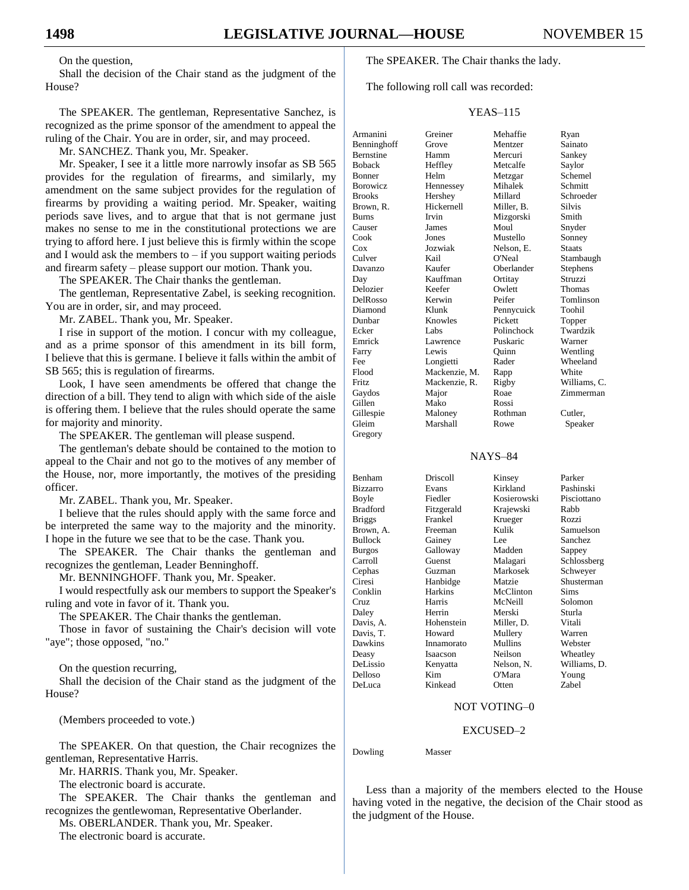On the question,

Shall the decision of the Chair stand as the judgment of the House?

The SPEAKER. The gentleman, Representative Sanchez, is recognized as the prime sponsor of the amendment to appeal the ruling of the Chair. You are in order, sir, and may proceed.

Mr. SANCHEZ. Thank you, Mr. Speaker.

Mr. Speaker, I see it a little more narrowly insofar as SB 565 provides for the regulation of firearms, and similarly, my amendment on the same subject provides for the regulation of firearms by providing a waiting period. Mr. Speaker, waiting periods save lives, and to argue that that is not germane just makes no sense to me in the constitutional protections we are trying to afford here. I just believe this is firmly within the scope and I would ask the members to  $-$  if you support waiting periods and firearm safety – please support our motion. Thank you.

The SPEAKER. The Chair thanks the gentleman.

The gentleman, Representative Zabel, is seeking recognition. You are in order, sir, and may proceed.

Mr. ZABEL. Thank you, Mr. Speaker.

I rise in support of the motion. I concur with my colleague, and as a prime sponsor of this amendment in its bill form, I believe that this is germane. I believe it falls within the ambit of SB 565; this is regulation of firearms.

Look, I have seen amendments be offered that change the direction of a bill. They tend to align with which side of the aisle is offering them. I believe that the rules should operate the same for majority and minority.

The SPEAKER. The gentleman will please suspend.

The gentleman's debate should be contained to the motion to appeal to the Chair and not go to the motives of any member of the House, nor, more importantly, the motives of the presiding officer.

Mr. ZABEL. Thank you, Mr. Speaker.

I believe that the rules should apply with the same force and be interpreted the same way to the majority and the minority. I hope in the future we see that to be the case. Thank you.

The SPEAKER. The Chair thanks the gentleman and recognizes the gentleman, Leader Benninghoff.

Mr. BENNINGHOFF. Thank you, Mr. Speaker.

I would respectfully ask our members to support the Speaker's ruling and vote in favor of it. Thank you.

The SPEAKER. The Chair thanks the gentleman.

Those in favor of sustaining the Chair's decision will vote "aye"; those opposed, "no."

On the question recurring,

Shall the decision of the Chair stand as the judgment of the House?

(Members proceeded to vote.)

The SPEAKER. On that question, the Chair recognizes the gentleman, Representative Harris.

Mr. HARRIS. Thank you, Mr. Speaker.

The electronic board is accurate.

The SPEAKER. The Chair thanks the gentleman and recognizes the gentlewoman, Representative Oberlander.

Ms. OBERLANDER. Thank you, Mr. Speaker.

The electronic board is accurate.

The SPEAKER. The Chair thanks the lady.

The following roll call was recorded:

#### YEAS–115

| Armanini        | Greiner       | Mehaffie    | Ryan         |
|-----------------|---------------|-------------|--------------|
| Benninghoff     | Grove         | Mentzer     | Sainato      |
| Bernstine       | Hamm          | Mercuri     | Sankey       |
| <b>Boback</b>   | Heffley       | Metcalfe    | Saylor       |
| Bonner          | Helm          | Metzgar     | Schemel      |
| <b>Borowicz</b> | Hennessey     | Mihalek     | Schmitt      |
| <b>Brooks</b>   | Hershey       | Millard     | Schroeder    |
| Brown, R.       | Hickernell    | Miller, B.  | Silvis       |
| Burns           | Irvin         | Mizgorski   | Smith        |
| Causer          | James         | Moul        | Snyder       |
| Cook            | Jones         | Mustello    | Sonney       |
| Cox             | Jozwiak       | Nelson. E.  | Staats       |
| Culver          | Kail          | O'Neal      | Stambaugh    |
| Davanzo         | Kaufer        | Oberlander  | Stephens     |
| Day             | Kauffman      | Ortitay     | Struzzi      |
| Delozier        | Keefer        | Owlett      | Thomas       |
| DelRosso        | Kerwin        | Peifer      | Tomlinson    |
| Diamond         | Klunk         | Pennycuick  | Toohil       |
| Dunbar          | Knowles       | Pickett     | Topper       |
| Ecker           | Labs          | Polinchock  | Twardzik     |
| Emrick          | Lawrence      | Puskaric    | Warner       |
| Farry           | Lewis         | Ouinn       | Wentling     |
| Fee             | Longietti     | Rader       | Wheeland     |
| Flood           | Mackenzie, M. | Rapp        | White        |
| Fritz           | Mackenzie, R. | Rigby       | Williams. C. |
|                 |               | Roae        | Zimmerman    |
| Gaydos          | Major         |             |              |
| Gillen          | Mako          | Rossi       |              |
| Gillespie       | Maloney       | Rothman     | Cutler,      |
| Gleim           | Marshall      | Rowe        | Speaker      |
| Gregory         |               |             |              |
|                 |               | NAYS-84     |              |
| Benham          | Driscoll      | Kinsey      | Parker       |
| Bizzarro        | Evans         | Kirkland    | Pashinski    |
| Boyle           | Fiedler       | Kosierowski | Pisciottano  |
| Bradford        | Fitzgerald    | Krajewski   | Rabb         |
| <b>Briggs</b>   | Frankel       | Krueger     | Rozzi        |
| Brown, A.       | Freeman       | Kulik       | Samuelson    |
| Bullock         |               | Lee         | Sanchez      |
|                 | Gainey        | Madden      |              |
| <b>Burgos</b>   | Galloway      |             | Sappey       |
| Carroll         | Guenst        | Malagari    | Schlossberg  |
| Cephas          | Guzman        | Markosek    | Schweyer     |
| Ciresi          | Hanbidge      | Matzie      | Shusterman   |
| Conklin         | Harkins       | McClinton   | Sims         |
| Cruz            | Harris        | McNeill     | Solomon      |
| Daley           | Herrin        | Merski      | Sturla       |

Davis, A. Hohenstein Miller, D. Vitali Davis, T. **Howard** Mullery Warren Dawkins Innamorato Mullins Webster DeLissio Kenyatta Nelson, N. Williams, D. Delloso Kim O'Mara Young DeLuca Kinkead Otten Zabel

Isaacson Neilson Wheatley

#### NOT VOTING–0

#### EXCUSED–2

Dowling Masser

Less than a majority of the members elected to the House having voted in the negative, the decision of the Chair stood as the judgment of the House.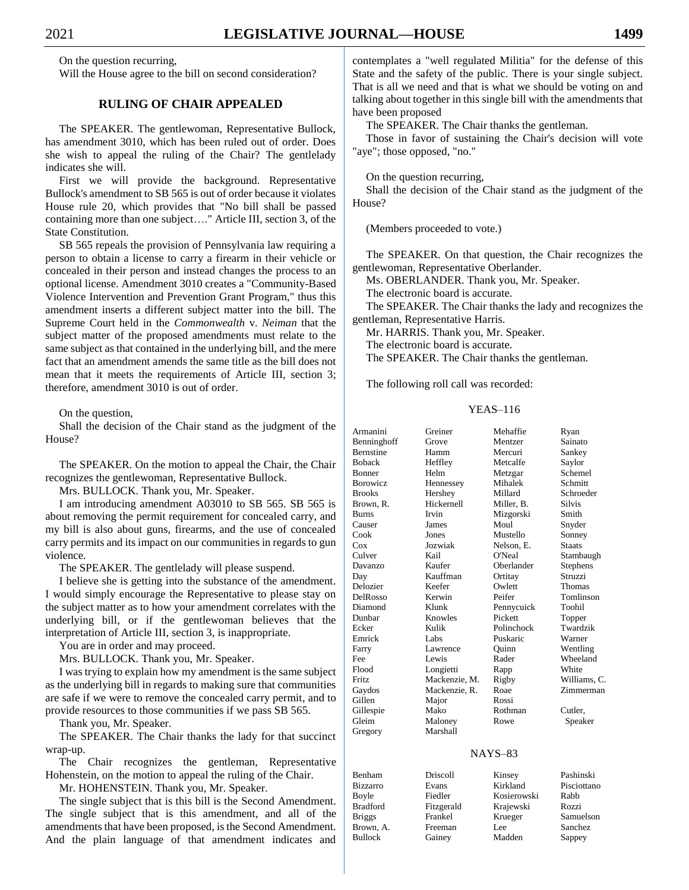On the question recurring,

Will the House agree to the bill on second consideration?

#### **RULING OF CHAIR APPEALED**

The SPEAKER. The gentlewoman, Representative Bullock, has amendment 3010, which has been ruled out of order. Does she wish to appeal the ruling of the Chair? The gentlelady indicates she will.

First we will provide the background. Representative Bullock's amendment to SB 565 is out of order because it violates House rule 20, which provides that "No bill shall be passed containing more than one subject…." Article III, section 3, of the State Constitution.

SB 565 repeals the provision of Pennsylvania law requiring a person to obtain a license to carry a firearm in their vehicle or concealed in their person and instead changes the process to an optional license. Amendment 3010 creates a "Community-Based Violence Intervention and Prevention Grant Program," thus this amendment inserts a different subject matter into the bill. The Supreme Court held in the *Commonwealth* v. *Neiman* that the subject matter of the proposed amendments must relate to the same subject as that contained in the underlying bill, and the mere fact that an amendment amends the same title as the bill does not mean that it meets the requirements of Article III, section 3; therefore, amendment 3010 is out of order.

On the question,

Shall the decision of the Chair stand as the judgment of the House?

The SPEAKER. On the motion to appeal the Chair, the Chair recognizes the gentlewoman, Representative Bullock.

Mrs. BULLOCK. Thank you, Mr. Speaker.

I am introducing amendment A03010 to SB 565. SB 565 is about removing the permit requirement for concealed carry, and my bill is also about guns, firearms, and the use of concealed carry permits and its impact on our communities in regards to gun violence.

The SPEAKER. The gentlelady will please suspend.

I believe she is getting into the substance of the amendment. I would simply encourage the Representative to please stay on the subject matter as to how your amendment correlates with the underlying bill, or if the gentlewoman believes that the interpretation of Article III, section 3, is inappropriate.

You are in order and may proceed.

Mrs. BULLOCK. Thank you, Mr. Speaker.

I was trying to explain how my amendment is the same subject as the underlying bill in regards to making sure that communities are safe if we were to remove the concealed carry permit, and to provide resources to those communities if we pass SB 565.

Thank you, Mr. Speaker.

The SPEAKER. The Chair thanks the lady for that succinct wrap-up.

The Chair recognizes the gentleman, Representative Hohenstein, on the motion to appeal the ruling of the Chair.

Mr. HOHENSTEIN. Thank you, Mr. Speaker.

The single subject that is this bill is the Second Amendment. The single subject that is this amendment, and all of the amendments that have been proposed, is the Second Amendment. And the plain language of that amendment indicates and contemplates a "well regulated Militia" for the defense of this State and the safety of the public. There is your single subject. That is all we need and that is what we should be voting on and talking about together in this single bill with the amendments that have been proposed

The SPEAKER. The Chair thanks the gentleman.

Those in favor of sustaining the Chair's decision will vote "aye"; those opposed, "no."

On the question recurring,

Shall the decision of the Chair stand as the judgment of the House?

(Members proceeded to vote.)

The SPEAKER. On that question, the Chair recognizes the gentlewoman, Representative Oberlander.

Ms. OBERLANDER. Thank you, Mr. Speaker.

The electronic board is accurate.

The SPEAKER. The Chair thanks the lady and recognizes the gentleman, Representative Harris.

Mr. HARRIS. Thank you, Mr. Speaker.

The electronic board is accurate.

The SPEAKER. The Chair thanks the gentleman.

The following roll call was recorded:

#### YEAS–116

| Armanini         | Greiner       | Mehaffie   | Ryan          |
|------------------|---------------|------------|---------------|
| Benninghoff      | Grove         | Mentzer    | Sainato       |
| <b>Bernstine</b> | Hamm          | Mercuri    | Sankey        |
| <b>Boback</b>    | Heffley       | Metcalfe   | Saylor        |
| Bonner           | Helm          | Metzgar    | Schemel       |
| <b>Borowicz</b>  | Hennessey     | Mihalek    | Schmitt       |
| <b>Brooks</b>    | Hershey       | Millard    | Schroeder     |
| Brown. R.        | Hickernell    | Miller, B. | <b>Silvis</b> |
| <b>Burns</b>     | <b>Irvin</b>  | Mizgorski  | Smith         |
| Causer           | James         | Moul       | Snyder        |
| Cook             | Jones         | Mustello   | Sonney        |
| Cox              | Jozwiak       | Nelson, E. | <b>Staats</b> |
| Culver           | Kail          | O'Neal     | Stambaugh     |
| Davanzo          | Kaufer        | Oberlander | Stephens      |
| Day              | Kauffman      | Ortitay    | Struzzi       |
| Delozier         | Keefer        | Owlett     | Thomas        |
| DelRosso         | Kerwin        | Peifer     | Tomlinson     |
| Diamond          | Klunk         | Pennycuick | Toohil        |
| Dunbar           | Knowles       | Pickett    | Topper        |
| Ecker            | Kulik         | Polinchock | Twardzik      |
| Emrick           | Labs          | Puskaric   | Warner        |
| Farry            | Lawrence      | Ouinn      | Wentling      |
| Fee              | Lewis         | Rader      | Wheeland      |
| Flood            | Longietti     | Rapp       | White         |
| Fritz            | Mackenzie, M. | Rigby      | Williams, C.  |
| Gaydos           | Mackenzie, R. | Roae       | Zimmerman     |
| Gillen           | Major         | Rossi      |               |
| Gillespie        | Mako          | Rothman    | Cutler.       |
| Gleim            | Maloney       | Rowe       | Speaker       |
| Gregory          | Marshall      |            |               |
|                  |               | MAVC 02    |               |

#### NAYS–83

| Driscoll   |
|------------|
|            |
| Evans      |
| Fiedler    |
| Fitzgerald |
| Frankel    |
| Freeman    |
| Gainey     |
|            |

Kirkland Pisciottano Kosierowski Rabb Krajewski Rozzi Krueger Samuelson Lee Sanchez Madden Sappey

Kinsey Pashinski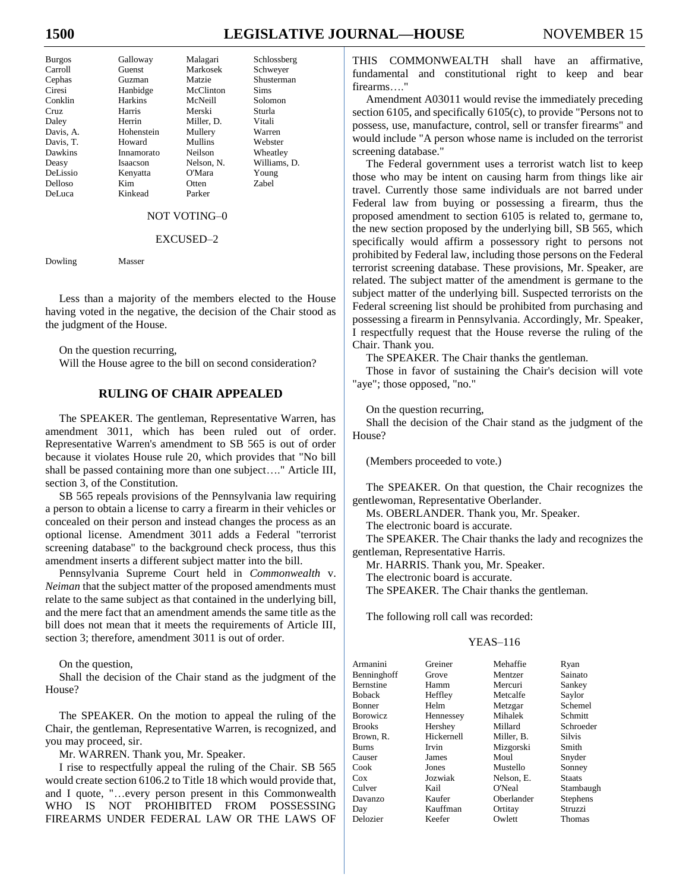# **1500 LEGISLATIVE JOURNAL—HOUSE** NOVEMBER 15

| <b>Burgos</b>   | Galloway       | Malagari   | Schlossberg  |
|-----------------|----------------|------------|--------------|
| Carroll         | Guenst         | Markosek   | Schweyer     |
| Cephas          | Guzman         | Matzie     | Shusterman   |
| Ciresi          | Hanbidge       | McClinton  | <b>Sims</b>  |
| Conklin         | <b>Harkins</b> | McNeill    | Solomon      |
| Cruz.           | Harris         | Merski     | Sturla       |
| Daley           | Herrin         | Miller, D. | Vitali       |
| Davis, A.       | Hohenstein     | Mullery    | Warren       |
| Davis, T.       | Howard         | Mullins    | Webster      |
| Dawkins         | Innamorato     | Neilson    | Wheatley     |
| Deasy           | Isaacson       | Nelson, N. | Williams, D. |
| <b>DeLissio</b> | Kenyatta       | O'Mara     | Young        |
| Delloso         | Kim            | Otten      | Zabel        |
| DeLuca          | Kinkead        | Parker     |              |

#### NOT VOTING–0

#### EXCUSED–2

Dowling Masser

Less than a majority of the members elected to the House having voted in the negative, the decision of the Chair stood as the judgment of the House.

On the question recurring,

Will the House agree to the bill on second consideration?

#### **RULING OF CHAIR APPEALED**

The SPEAKER. The gentleman, Representative Warren, has amendment 3011, which has been ruled out of order. Representative Warren's amendment to SB 565 is out of order because it violates House rule 20, which provides that "No bill shall be passed containing more than one subject…." Article III, section 3, of the Constitution.

SB 565 repeals provisions of the Pennsylvania law requiring a person to obtain a license to carry a firearm in their vehicles or concealed on their person and instead changes the process as an optional license. Amendment 3011 adds a Federal "terrorist screening database" to the background check process, thus this amendment inserts a different subject matter into the bill.

Pennsylvania Supreme Court held in *Commonwealth* v. *Neiman* that the subject matter of the proposed amendments must relate to the same subject as that contained in the underlying bill, and the mere fact that an amendment amends the same title as the bill does not mean that it meets the requirements of Article III, section 3; therefore, amendment 3011 is out of order.

On the question,

Shall the decision of the Chair stand as the judgment of the House?

The SPEAKER. On the motion to appeal the ruling of the Chair, the gentleman, Representative Warren, is recognized, and you may proceed, sir.

Mr. WARREN. Thank you, Mr. Speaker.

I rise to respectfully appeal the ruling of the Chair. SB 565 would create section 6106.2 to Title 18 which would provide that, and I quote, "…every person present in this Commonwealth WHO IS NOT PROHIBITED FROM POSSESSING FIREARMS UNDER FEDERAL LAW OR THE LAWS OF THIS COMMONWEALTH shall have an affirmative, fundamental and constitutional right to keep and bear firearms…."

Amendment A03011 would revise the immediately preceding section 6105, and specifically 6105(c), to provide "Persons not to possess, use, manufacture, control, sell or transfer firearms" and would include "A person whose name is included on the terrorist screening database."

The Federal government uses a terrorist watch list to keep those who may be intent on causing harm from things like air travel. Currently those same individuals are not barred under Federal law from buying or possessing a firearm, thus the proposed amendment to section 6105 is related to, germane to, the new section proposed by the underlying bill, SB 565, which specifically would affirm a possessory right to persons not prohibited by Federal law, including those persons on the Federal terrorist screening database. These provisions, Mr. Speaker, are related. The subject matter of the amendment is germane to the subject matter of the underlying bill. Suspected terrorists on the Federal screening list should be prohibited from purchasing and possessing a firearm in Pennsylvania. Accordingly, Mr. Speaker, I respectfully request that the House reverse the ruling of the Chair. Thank you.

The SPEAKER. The Chair thanks the gentleman.

Those in favor of sustaining the Chair's decision will vote "aye"; those opposed, "no."

On the question recurring,

Shall the decision of the Chair stand as the judgment of the House?

(Members proceeded to vote.)

The SPEAKER. On that question, the Chair recognizes the gentlewoman, Representative Oberlander.

Ms. OBERLANDER. Thank you, Mr. Speaker.

The electronic board is accurate.

The SPEAKER. The Chair thanks the lady and recognizes the gentleman, Representative Harris.

Mr. HARRIS. Thank you, Mr. Speaker.

The electronic board is accurate.

The SPEAKER. The Chair thanks the gentleman.

The following roll call was recorded:

#### YEAS–116

| Armanini        | Greiner    | Mehaffie   | Ryan          |
|-----------------|------------|------------|---------------|
| Benninghoff     | Grove      | Mentzer    | Sainato       |
| Bernstine       | Hamm       | Mercuri    | Sankey        |
| Boback          | Heffley    | Metcalfe   | Saylor        |
| Bonner          | Helm       | Metzgar    | Schemel       |
| <b>Borowicz</b> | Hennessey  | Mihalek    | Schmitt       |
| <b>Brooks</b>   | Hershey    | Millard    | Schroeder     |
| Brown, R.       | Hickernell | Miller, B. | <b>Silvis</b> |
| Burns           | Irvin      | Mizgorski  | Smith         |
| Causer          | James      | Moul       | Snyder        |
| Cook            | Jones      | Mustello   | Sonney        |
| Cox             | Jozwiak    | Nelson, E. | <b>Staats</b> |
| Culver          | Kail       | O'Neal     | Stambaugh     |
| Davanzo         | Kaufer     | Oberlander | Stephens      |
| Day             | Kauffman   | Ortitay    | Struzzi       |
| Delozier        | Keefer     | Owlett     | Thomas        |
|                 |            |            |               |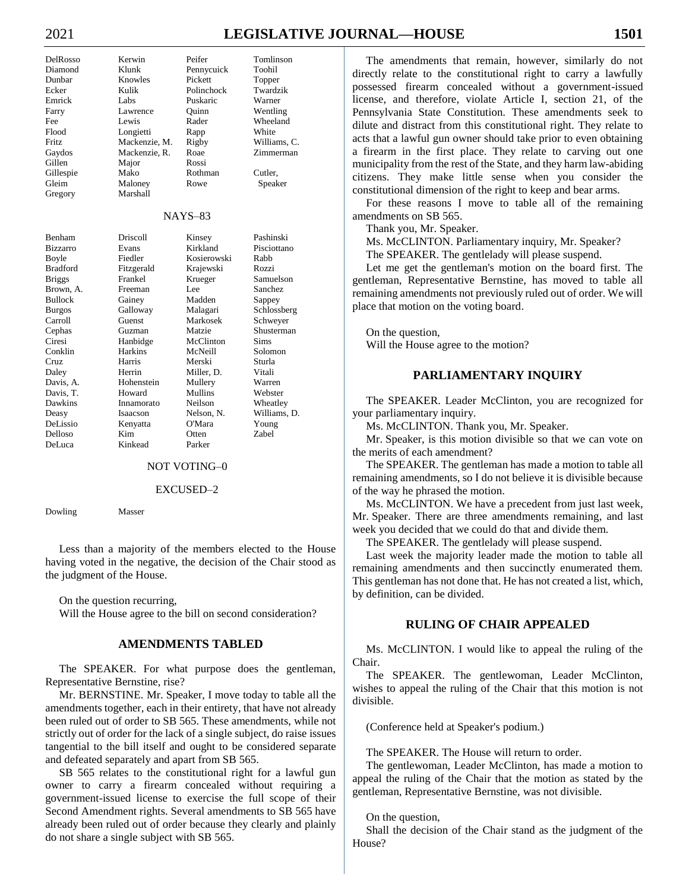# 2021 **LEGISLATIVE JOURNAL—HOUSE 1501**

| DelRosso        | Kerwin        | Peifer         | Tomlinson    |
|-----------------|---------------|----------------|--------------|
| Diamond         | Klunk         | Pennycuick     | Toohil       |
| Dunbar          | Knowles       | Pickett        | Topper       |
| Ecker           | Kulik         | Polinchock     | Twardzik     |
| Emrick          | Labs          | Puskaric       | Warner       |
| Farry           | Lawrence      | Ouinn          | Wentling     |
| Fee             | Lewis         | Rader          | Wheeland     |
| Flood           | Longietti     | Rapp           | White        |
| Fritz.          | Mackenzie, M. | Rigby          | Williams, C. |
| Gaydos          | Mackenzie, R. | Roae           | Zimmerman    |
| Gillen          | Major         | Rossi          |              |
| Gillespie       | Mako          | Rothman        | Cutler,      |
| Gleim           | Maloney       | Rowe           | Speaker      |
| Gregory         | Marshall      |                |              |
|                 |               | <b>NAYS-83</b> |              |
| Benham          | Driscoll      | Kinsey         | Pashinski    |
| Bizzarro        | Evans         | Kirkland       | Pisciottano  |
| Boyle           | Fiedler       | Kosierowski    | Rabb         |
| <b>Bradford</b> | Fitzgerald    | Krajewski      | Rozzi        |
| <b>Briggs</b>   | Frankel       | Krueger        | Samuelson    |
| Brown, A.       | Freeman       | Lee            | Sanchez      |
| <b>Bullock</b>  | Gainey        | Madden         | Sappey       |
| <b>Burgos</b>   | Galloway      | Malagari       | Schlossberg  |
| Carroll         | Guenst        | Markosek       | Schweyer     |
| Cephas          | Guzman        | Matzie         | Shusterman   |
| Ciresi          | Hanbidge      | McClinton      | <b>Sims</b>  |
| Conklin         | Harkins       | McNeill        | Solomon      |
| Cruz            | Harris        | Merski         | Sturla       |
| Daley           | Herrin        | Miller, D.     | Vitali       |
| Davis, A.       | Hohenstein    | Mullery        | Warren       |
| Davis, T.       | Howard        | Mullins        | Webster      |
| Dawkins         | Innamorato    | Neilson        | Wheatley     |
| Deasy           | Isaacson      | Nelson, N.     | Williams, D. |
| DeLissio        | Kenyatta      | O'Mara         | Young        |
| Delloso         | Kim           | Otten          | <b>Zabel</b> |
| DeLuca          | Kinkead       | Parker         |              |

#### NOT VOTING–0

#### EXCUSED–2

Dowling Masser

Less than a majority of the members elected to the House having voted in the negative, the decision of the Chair stood as the judgment of the House.

On the question recurring,

Will the House agree to the bill on second consideration?

#### **AMENDMENTS TABLED**

The SPEAKER. For what purpose does the gentleman, Representative Bernstine, rise?

Mr. BERNSTINE. Mr. Speaker, I move today to table all the amendments together, each in their entirety, that have not already been ruled out of order to SB 565. These amendments, while not strictly out of order for the lack of a single subject, do raise issues tangential to the bill itself and ought to be considered separate and defeated separately and apart from SB 565.

SB 565 relates to the constitutional right for a lawful gun owner to carry a firearm concealed without requiring a government-issued license to exercise the full scope of their Second Amendment rights. Several amendments to SB 565 have already been ruled out of order because they clearly and plainly do not share a single subject with SB 565.

The amendments that remain, however, similarly do not directly relate to the constitutional right to carry a lawfully possessed firearm concealed without a government-issued license, and therefore, violate Article I, section 21, of the Pennsylvania State Constitution. These amendments seek to dilute and distract from this constitutional right. They relate to acts that a lawful gun owner should take prior to even obtaining a firearm in the first place. They relate to carving out one municipality from the rest of the State, and they harm law-abiding citizens. They make little sense when you consider the constitutional dimension of the right to keep and bear arms.

For these reasons I move to table all of the remaining amendments on SB 565.

Thank you, Mr. Speaker.

Ms. McCLINTON. Parliamentary inquiry, Mr. Speaker? The SPEAKER. The gentlelady will please suspend.

Let me get the gentleman's motion on the board first. The gentleman, Representative Bernstine, has moved to table all remaining amendments not previously ruled out of order. We will place that motion on the voting board.

On the question, Will the House agree to the motion?

#### **PARLIAMENTARY INQUIRY**

The SPEAKER. Leader McClinton, you are recognized for your parliamentary inquiry.

Ms. McCLINTON. Thank you, Mr. Speaker.

Mr. Speaker, is this motion divisible so that we can vote on the merits of each amendment?

The SPEAKER. The gentleman has made a motion to table all remaining amendments, so I do not believe it is divisible because of the way he phrased the motion.

Ms. McCLINTON. We have a precedent from just last week, Mr. Speaker. There are three amendments remaining, and last week you decided that we could do that and divide them.

The SPEAKER. The gentlelady will please suspend.

Last week the majority leader made the motion to table all remaining amendments and then succinctly enumerated them. This gentleman has not done that. He has not created a list, which, by definition, can be divided.

#### **RULING OF CHAIR APPEALED**

Ms. McCLINTON. I would like to appeal the ruling of the Chair.

The SPEAKER. The gentlewoman, Leader McClinton, wishes to appeal the ruling of the Chair that this motion is not divisible.

(Conference held at Speaker's podium.)

The SPEAKER. The House will return to order.

The gentlewoman, Leader McClinton, has made a motion to appeal the ruling of the Chair that the motion as stated by the gentleman, Representative Bernstine, was not divisible.

On the question,

Shall the decision of the Chair stand as the judgment of the House?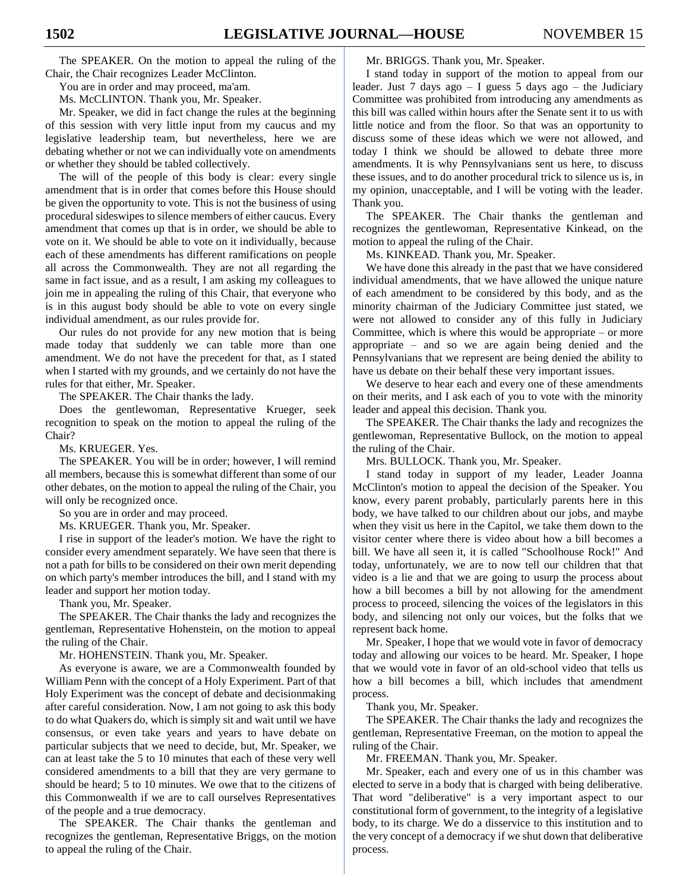The SPEAKER. On the motion to appeal the ruling of the Chair, the Chair recognizes Leader McClinton.

You are in order and may proceed, ma'am.

Ms. McCLINTON. Thank you, Mr. Speaker.

Mr. Speaker, we did in fact change the rules at the beginning of this session with very little input from my caucus and my legislative leadership team, but nevertheless, here we are debating whether or not we can individually vote on amendments or whether they should be tabled collectively.

The will of the people of this body is clear: every single amendment that is in order that comes before this House should be given the opportunity to vote. This is not the business of using procedural sideswipes to silence members of either caucus. Every amendment that comes up that is in order, we should be able to vote on it. We should be able to vote on it individually, because each of these amendments has different ramifications on people all across the Commonwealth. They are not all regarding the same in fact issue, and as a result, I am asking my colleagues to join me in appealing the ruling of this Chair, that everyone who is in this august body should be able to vote on every single individual amendment, as our rules provide for.

Our rules do not provide for any new motion that is being made today that suddenly we can table more than one amendment. We do not have the precedent for that, as I stated when I started with my grounds, and we certainly do not have the rules for that either, Mr. Speaker.

The SPEAKER. The Chair thanks the lady.

Does the gentlewoman, Representative Krueger, seek recognition to speak on the motion to appeal the ruling of the Chair?

Ms. KRUEGER. Yes.

The SPEAKER. You will be in order; however, I will remind all members, because this is somewhat different than some of our other debates, on the motion to appeal the ruling of the Chair, you will only be recognized once.

So you are in order and may proceed.

Ms. KRUEGER. Thank you, Mr. Speaker.

I rise in support of the leader's motion. We have the right to consider every amendment separately. We have seen that there is not a path for bills to be considered on their own merit depending on which party's member introduces the bill, and I stand with my leader and support her motion today.

Thank you, Mr. Speaker.

The SPEAKER. The Chair thanks the lady and recognizes the gentleman, Representative Hohenstein, on the motion to appeal the ruling of the Chair.

Mr. HOHENSTEIN. Thank you, Mr. Speaker.

As everyone is aware, we are a Commonwealth founded by William Penn with the concept of a Holy Experiment. Part of that Holy Experiment was the concept of debate and decisionmaking after careful consideration. Now, I am not going to ask this body to do what Quakers do, which is simply sit and wait until we have consensus, or even take years and years to have debate on particular subjects that we need to decide, but, Mr. Speaker, we can at least take the 5 to 10 minutes that each of these very well considered amendments to a bill that they are very germane to should be heard; 5 to 10 minutes. We owe that to the citizens of this Commonwealth if we are to call ourselves Representatives of the people and a true democracy.

The SPEAKER. The Chair thanks the gentleman and recognizes the gentleman, Representative Briggs, on the motion to appeal the ruling of the Chair.

Mr. BRIGGS. Thank you, Mr. Speaker.

I stand today in support of the motion to appeal from our leader. Just 7 days ago – I guess 5 days ago – the Judiciary Committee was prohibited from introducing any amendments as this bill was called within hours after the Senate sent it to us with little notice and from the floor. So that was an opportunity to discuss some of these ideas which we were not allowed, and today I think we should be allowed to debate three more amendments. It is why Pennsylvanians sent us here, to discuss these issues, and to do another procedural trick to silence us is, in my opinion, unacceptable, and I will be voting with the leader. Thank you.

The SPEAKER. The Chair thanks the gentleman and recognizes the gentlewoman, Representative Kinkead, on the motion to appeal the ruling of the Chair.

Ms. KINKEAD. Thank you, Mr. Speaker.

We have done this already in the past that we have considered individual amendments, that we have allowed the unique nature of each amendment to be considered by this body, and as the minority chairman of the Judiciary Committee just stated, we were not allowed to consider any of this fully in Judiciary Committee, which is where this would be appropriate  $-$  or more appropriate – and so we are again being denied and the Pennsylvanians that we represent are being denied the ability to have us debate on their behalf these very important issues.

We deserve to hear each and every one of these amendments on their merits, and I ask each of you to vote with the minority leader and appeal this decision. Thank you.

The SPEAKER. The Chair thanks the lady and recognizes the gentlewoman, Representative Bullock, on the motion to appeal the ruling of the Chair.

Mrs. BULLOCK. Thank you, Mr. Speaker.

I stand today in support of my leader, Leader Joanna McClinton's motion to appeal the decision of the Speaker. You know, every parent probably, particularly parents here in this body, we have talked to our children about our jobs, and maybe when they visit us here in the Capitol, we take them down to the visitor center where there is video about how a bill becomes a bill. We have all seen it, it is called "Schoolhouse Rock!" And today, unfortunately, we are to now tell our children that that video is a lie and that we are going to usurp the process about how a bill becomes a bill by not allowing for the amendment process to proceed, silencing the voices of the legislators in this body, and silencing not only our voices, but the folks that we represent back home.

Mr. Speaker, I hope that we would vote in favor of democracy today and allowing our voices to be heard. Mr. Speaker, I hope that we would vote in favor of an old-school video that tells us how a bill becomes a bill, which includes that amendment process.

Thank you, Mr. Speaker.

The SPEAKER. The Chair thanks the lady and recognizes the gentleman, Representative Freeman, on the motion to appeal the ruling of the Chair.

Mr. FREEMAN. Thank you, Mr. Speaker.

Mr. Speaker, each and every one of us in this chamber was elected to serve in a body that is charged with being deliberative. That word "deliberative" is a very important aspect to our constitutional form of government, to the integrity of a legislative body, to its charge. We do a disservice to this institution and to the very concept of a democracy if we shut down that deliberative process.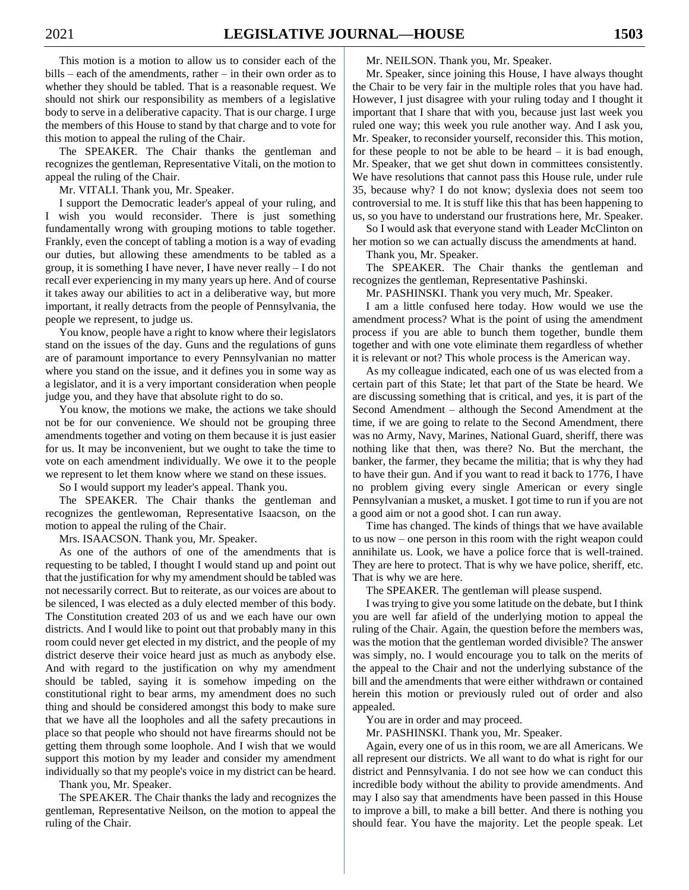This motion is a motion to allow us to consider each of the bills – each of the amendments, rather – in their own order as to whether they should be tabled. That is a reasonable request. We should not shirk our responsibility as members of a legislative body to serve in a deliberative capacity. That is our charge. I urge the members of this House to stand by that charge and to vote for this motion to appeal the ruling of the Chair.

The SPEAKER. The Chair thanks the gentleman and recognizes the gentleman, Representative Vitali, on the motion to appeal the ruling of the Chair.

Mr. VITALI. Thank you, Mr. Speaker.

I support the Democratic leader's appeal of your ruling, and I wish you would reconsider. There is just something fundamentally wrong with grouping motions to table together. Frankly, even the concept of tabling a motion is a way of evading our duties, but allowing these amendments to be tabled as a group, it is something I have never, I have never really – I do not recall ever experiencing in my many years up here. And of course it takes away our abilities to act in a deliberative way, but more important, it really detracts from the people of Pennsylvania, the people we represent, to judge us.

You know, people have a right to know where their legislators stand on the issues of the day. Guns and the regulations of guns are of paramount importance to every Pennsylvanian no matter where you stand on the issue, and it defines you in some way as a legislator, and it is a very important consideration when people judge you, and they have that absolute right to do so.

You know, the motions we make, the actions we take should not be for our convenience. We should not be grouping three amendments together and voting on them because it is just easier for us. It may be inconvenient, but we ought to take the time to vote on each amendment individually. We owe it to the people we represent to let them know where we stand on these issues.

So I would support my leader's appeal. Thank you.

The SPEAKER. The Chair thanks the gentleman and recognizes the gentlewoman, Representative Isaacson, on the motion to appeal the ruling of the Chair.

Mrs. ISAACSON. Thank you, Mr. Speaker.

As one of the authors of one of the amendments that is requesting to be tabled, I thought I would stand up and point out that the justification for why my amendment should be tabled was not necessarily correct. But to reiterate, as our voices are about to be silenced, I was elected as a duly elected member of this body. The Constitution created 203 of us and we each have our own districts. And I would like to point out that probably many in this room could never get elected in my district, and the people of my district deserve their voice heard just as much as anybody else. And with regard to the justification on why my amendment should be tabled, saying it is somehow impeding on the constitutional right to bear arms, my amendment does no such thing and should be considered amongst this body to make sure that we have all the loopholes and all the safety precautions in place so that people who should not have firearms should not be getting them through some loophole. And I wish that we would support this motion by my leader and consider my amendment individually so that my people's voice in my district can be heard.

Thank you, Mr. Speaker.

The SPEAKER. The Chair thanks the lady and recognizes the gentleman, Representative Neilson, on the motion to appeal the ruling of the Chair.

Mr. NEILSON. Thank you, Mr. Speaker.

Mr. Speaker, since joining this House, I have always thought the Chair to be very fair in the multiple roles that you have had. However, I just disagree with your ruling today and I thought it important that I share that with you, because just last week you ruled one way; this week you rule another way. And I ask you, Mr. Speaker, to reconsider yourself, reconsider this. This motion, for these people to not be able to be heard  $-$  it is bad enough, Mr. Speaker, that we get shut down in committees consistently. We have resolutions that cannot pass this House rule, under rule 35, because why? I do not know; dyslexia does not seem too controversial to me. It is stuff like this that has been happening to us, so you have to understand our frustrations here, Mr. Speaker.

So I would ask that everyone stand with Leader McClinton on her motion so we can actually discuss the amendments at hand. Thank you, Mr. Speaker.

The SPEAKER. The Chair thanks the gentleman and recognizes the gentleman, Representative Pashinski.

Mr. PASHINSKI. Thank you very much, Mr. Speaker.

I am a little confused here today. How would we use the amendment process? What is the point of using the amendment process if you are able to bunch them together, bundle them together and with one vote eliminate them regardless of whether it is relevant or not? This whole process is the American way.

As my colleague indicated, each one of us was elected from a certain part of this State; let that part of the State be heard. We are discussing something that is critical, and yes, it is part of the Second Amendment – although the Second Amendment at the time, if we are going to relate to the Second Amendment, there was no Army, Navy, Marines, National Guard, sheriff, there was nothing like that then, was there? No. But the merchant, the banker, the farmer, they became the militia; that is why they had to have their gun. And if you want to read it back to 1776, I have no problem giving every single American or every single Pennsylvanian a musket, a musket. I got time to run if you are not a good aim or not a good shot. I can run away.

Time has changed. The kinds of things that we have available to us now – one person in this room with the right weapon could annihilate us. Look, we have a police force that is well-trained. They are here to protect. That is why we have police, sheriff, etc. That is why we are here.

The SPEAKER. The gentleman will please suspend.

I was trying to give you some latitude on the debate, but I think you are well far afield of the underlying motion to appeal the ruling of the Chair. Again, the question before the members was, was the motion that the gentleman worded divisible? The answer was simply, no. I would encourage you to talk on the merits of the appeal to the Chair and not the underlying substance of the bill and the amendments that were either withdrawn or contained herein this motion or previously ruled out of order and also appealed.

You are in order and may proceed.

Mr. PASHINSKI. Thank you, Mr. Speaker.

Again, every one of us in this room, we are all Americans. We all represent our districts. We all want to do what is right for our district and Pennsylvania. I do not see how we can conduct this incredible body without the ability to provide amendments. And may I also say that amendments have been passed in this House to improve a bill, to make a bill better. And there is nothing you should fear. You have the majority. Let the people speak. Let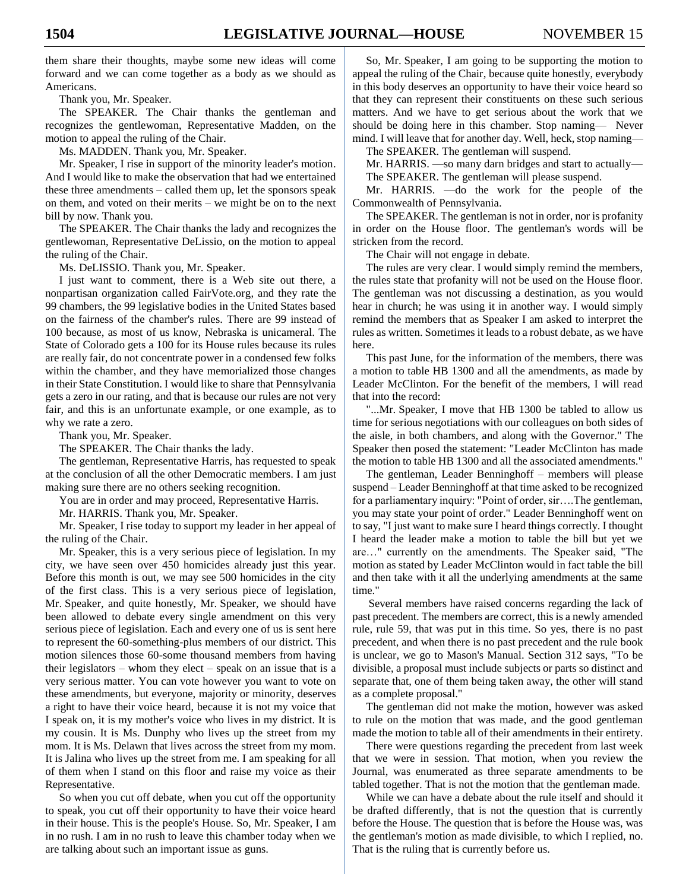them share their thoughts, maybe some new ideas will come forward and we can come together as a body as we should as Americans.

Thank you, Mr. Speaker.

The SPEAKER. The Chair thanks the gentleman and recognizes the gentlewoman, Representative Madden, on the motion to appeal the ruling of the Chair.

Ms. MADDEN. Thank you, Mr. Speaker.

Mr. Speaker, I rise in support of the minority leader's motion. And I would like to make the observation that had we entertained these three amendments – called them up, let the sponsors speak on them, and voted on their merits – we might be on to the next bill by now. Thank you.

The SPEAKER. The Chair thanks the lady and recognizes the gentlewoman, Representative DeLissio, on the motion to appeal the ruling of the Chair.

Ms. DeLISSIO. Thank you, Mr. Speaker.

I just want to comment, there is a Web site out there, a nonpartisan organization called FairVote.org, and they rate the 99 chambers, the 99 legislative bodies in the United States based on the fairness of the chamber's rules. There are 99 instead of 100 because, as most of us know, Nebraska is unicameral. The State of Colorado gets a 100 for its House rules because its rules are really fair, do not concentrate power in a condensed few folks within the chamber, and they have memorialized those changes in their State Constitution. I would like to share that Pennsylvania gets a zero in our rating, and that is because our rules are not very fair, and this is an unfortunate example, or one example, as to why we rate a zero.

Thank you, Mr. Speaker.

The SPEAKER. The Chair thanks the lady.

The gentleman, Representative Harris, has requested to speak at the conclusion of all the other Democratic members. I am just making sure there are no others seeking recognition.

You are in order and may proceed, Representative Harris.

Mr. HARRIS. Thank you, Mr. Speaker.

Mr. Speaker, I rise today to support my leader in her appeal of the ruling of the Chair.

Mr. Speaker, this is a very serious piece of legislation. In my city, we have seen over 450 homicides already just this year. Before this month is out, we may see 500 homicides in the city of the first class. This is a very serious piece of legislation, Mr. Speaker, and quite honestly, Mr. Speaker, we should have been allowed to debate every single amendment on this very serious piece of legislation. Each and every one of us is sent here to represent the 60-something-plus members of our district. This motion silences those 60-some thousand members from having their legislators – whom they elect – speak on an issue that is a very serious matter. You can vote however you want to vote on these amendments, but everyone, majority or minority, deserves a right to have their voice heard, because it is not my voice that I speak on, it is my mother's voice who lives in my district. It is my cousin. It is Ms. Dunphy who lives up the street from my mom. It is Ms. Delawn that lives across the street from my mom. It is Jalina who lives up the street from me. I am speaking for all of them when I stand on this floor and raise my voice as their Representative.

So when you cut off debate, when you cut off the opportunity to speak, you cut off their opportunity to have their voice heard in their house. This is the people's House. So, Mr. Speaker, I am in no rush. I am in no rush to leave this chamber today when we are talking about such an important issue as guns.

So, Mr. Speaker, I am going to be supporting the motion to appeal the ruling of the Chair, because quite honestly, everybody in this body deserves an opportunity to have their voice heard so that they can represent their constituents on these such serious matters. And we have to get serious about the work that we should be doing here in this chamber. Stop naming— Never mind. I will leave that for another day. Well, heck, stop naming—

The SPEAKER. The gentleman will suspend.

Mr. HARRIS. —so many darn bridges and start to actually—

The SPEAKER. The gentleman will please suspend.

Mr. HARRIS. —do the work for the people of the Commonwealth of Pennsylvania.

The SPEAKER. The gentleman is not in order, nor is profanity in order on the House floor. The gentleman's words will be stricken from the record.

The Chair will not engage in debate.

The rules are very clear. I would simply remind the members, the rules state that profanity will not be used on the House floor. The gentleman was not discussing a destination, as you would hear in church; he was using it in another way. I would simply remind the members that as Speaker I am asked to interpret the rules as written. Sometimes it leads to a robust debate, as we have here.

This past June, for the information of the members, there was a motion to table HB 1300 and all the amendments, as made by Leader McClinton. For the benefit of the members, I will read that into the record:

"...Mr. Speaker, I move that HB 1300 be tabled to allow us time for serious negotiations with our colleagues on both sides of the aisle, in both chambers, and along with the Governor." The Speaker then posed the statement: "Leader McClinton has made the motion to table HB 1300 and all the associated amendments."

The gentleman, Leader Benninghoff – members will please suspend – Leader Benninghoff at that time asked to be recognized for a parliamentary inquiry: "Point of order, sir....The gentleman, you may state your point of order." Leader Benninghoff went on to say, "I just want to make sure I heard things correctly. I thought I heard the leader make a motion to table the bill but yet we are…" currently on the amendments. The Speaker said, "The motion as stated by Leader McClinton would in fact table the bill and then take with it all the underlying amendments at the same time."

Several members have raised concerns regarding the lack of past precedent. The members are correct, this is a newly amended rule, rule 59, that was put in this time. So yes, there is no past precedent, and when there is no past precedent and the rule book is unclear, we go to Mason's Manual. Section 312 says, "To be divisible, a proposal must include subjects or parts so distinct and separate that, one of them being taken away, the other will stand as a complete proposal."

The gentleman did not make the motion, however was asked to rule on the motion that was made, and the good gentleman made the motion to table all of their amendments in their entirety.

There were questions regarding the precedent from last week that we were in session. That motion, when you review the Journal, was enumerated as three separate amendments to be tabled together. That is not the motion that the gentleman made.

While we can have a debate about the rule itself and should it be drafted differently, that is not the question that is currently before the House. The question that is before the House was, was the gentleman's motion as made divisible, to which I replied, no. That is the ruling that is currently before us.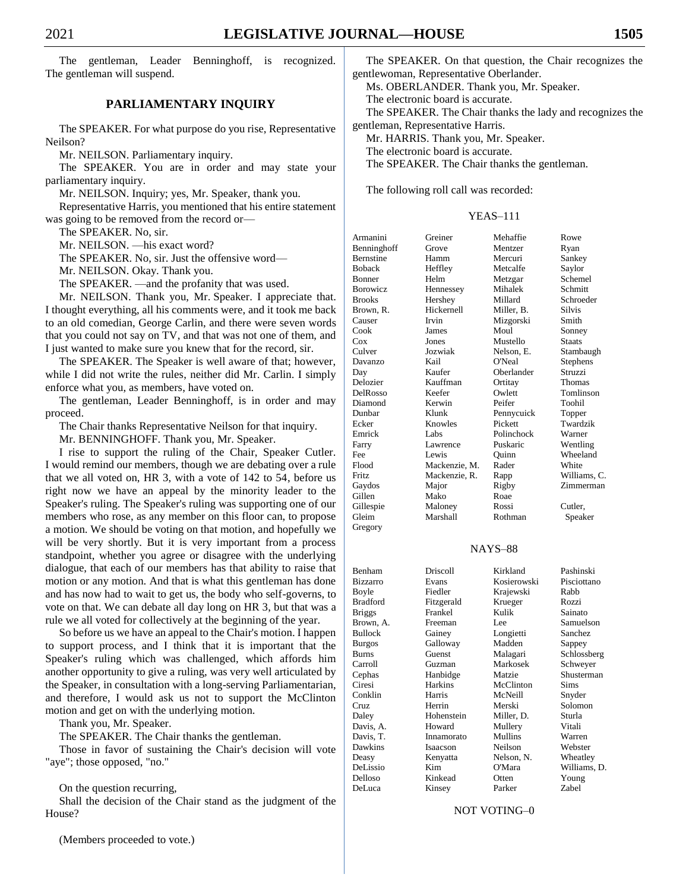The gentleman, Leader Benninghoff, is recognized. The gentleman will suspend.

#### **PARLIAMENTARY INQUIRY**

The SPEAKER. For what purpose do you rise, Representative Neilson?

Mr. NEILSON. Parliamentary inquiry.

The SPEAKER. You are in order and may state your parliamentary inquiry.

Mr. NEILSON. Inquiry; yes, Mr. Speaker, thank you.

Representative Harris, you mentioned that his entire statement was going to be removed from the record or—

The SPEAKER. No, sir.

Mr. NEILSON. —his exact word?

The SPEAKER. No, sir. Just the offensive word—

Mr. NEILSON. Okay. Thank you.

The SPEAKER. —and the profanity that was used.

Mr. NEILSON. Thank you, Mr. Speaker. I appreciate that. I thought everything, all his comments were, and it took me back to an old comedian, George Carlin, and there were seven words that you could not say on TV, and that was not one of them, and I just wanted to make sure you knew that for the record, sir.

The SPEAKER. The Speaker is well aware of that; however, while I did not write the rules, neither did Mr. Carlin. I simply enforce what you, as members, have voted on.

The gentleman, Leader Benninghoff, is in order and may proceed.

The Chair thanks Representative Neilson for that inquiry.

Mr. BENNINGHOFF. Thank you, Mr. Speaker.

I rise to support the ruling of the Chair, Speaker Cutler. I would remind our members, though we are debating over a rule that we all voted on, HR 3, with a vote of 142 to 54, before us right now we have an appeal by the minority leader to the Speaker's ruling. The Speaker's ruling was supporting one of our members who rose, as any member on this floor can, to propose a motion. We should be voting on that motion, and hopefully we will be very shortly. But it is very important from a process standpoint, whether you agree or disagree with the underlying dialogue, that each of our members has that ability to raise that motion or any motion. And that is what this gentleman has done and has now had to wait to get us, the body who self-governs, to vote on that. We can debate all day long on HR 3, but that was a rule we all voted for collectively at the beginning of the year.

So before us we have an appeal to the Chair's motion. I happen to support process, and I think that it is important that the Speaker's ruling which was challenged, which affords him another opportunity to give a ruling, was very well articulated by the Speaker, in consultation with a long-serving Parliamentarian, and therefore, I would ask us not to support the McClinton motion and get on with the underlying motion.

Thank you, Mr. Speaker.

The SPEAKER. The Chair thanks the gentleman.

Those in favor of sustaining the Chair's decision will vote "aye"; those opposed, "no."

On the question recurring,

Shall the decision of the Chair stand as the judgment of the House?

(Members proceeded to vote.)

The SPEAKER. On that question, the Chair recognizes the gentlewoman, Representative Oberlander.

Ms. OBERLANDER. Thank you, Mr. Speaker.

The electronic board is accurate.

The SPEAKER. The Chair thanks the lady and recognizes the gentleman, Representative Harris.

Mr. HARRIS. Thank you, Mr. Speaker.

The electronic board is accurate.

The SPEAKER. The Chair thanks the gentleman.

The following roll call was recorded:

#### YEAS–111

| Armanini         | Greiner       | Mehaffie   | Rowe          |
|------------------|---------------|------------|---------------|
| Benninghoff      | Grove         | Mentzer    | Ryan          |
| <b>Bernstine</b> | Hamm          | Mercuri    | Sankey        |
| <b>Boback</b>    | Heffley       | Metcalfe   | Saylor        |
| <b>Bonner</b>    | Helm          | Metzgar    | Schemel       |
| <b>Borowicz</b>  | Hennessey     | Mihalek    | Schmitt       |
| <b>Brooks</b>    | Hershey       | Millard    | Schroeder     |
| Brown, R.        | Hickernell    | Miller, B. | <b>Silvis</b> |
| Causer           | Irvin         | Mizgorski  | Smith         |
| Cook             | James         | Moul       | Sonney        |
| Cox              | Jones         | Mustello   | <b>Staats</b> |
| Culver           | Jozwiak       | Nelson, E. | Stambaugh     |
| Davanzo          | Kail          | O'Neal     | Stephens      |
| Day              | Kaufer        | Oberlander | Struzzi       |
| Delozier         | Kauffman      | Ortitay    | Thomas        |
| DelRosso         | Keefer        | Owlett     | Tomlinson     |
| Diamond          | Kerwin        | Peifer     | Toohil        |
| Dunbar           | Klunk         | Pennycuick | Topper        |
| Ecker            | Knowles       | Pickett    | Twardzik      |
| Emrick           | Labs          | Polinchock | Warner        |
| Farry            | Lawrence      | Puskaric   | Wentling      |
| Fee              | Lewis         | Ouinn      | Wheeland      |
| Flood            | Mackenzie, M. | Rader      | White         |
| Fritz            | Mackenzie, R. | Rapp       | Williams, C.  |
| Gaydos           | Major         | Rigby      | Zimmerman     |
| Gillen           | Mako          | Roae       |               |
| Gillespie        | Maloney       | Rossi      | Cutler,       |
| Gleim            | Marshall      | Rothman    | Speaker       |
| Gregory          |               |            |               |

#### NAYS–88

| Benham         | Driscoll   | Kirkland       | Pashinski    |
|----------------|------------|----------------|--------------|
| Bizzarro       | Evans      | Kosierowski    | Pisciottano  |
| Boyle          | Fiedler    | Krajewski      | Rabb         |
| Bradford       | Fitzgerald | Krueger        | Rozzi        |
| <b>Briggs</b>  | Frankel    | Kulik          | Sainato      |
| Brown, A.      | Freeman    | Lee            | Samuelson    |
| <b>Bullock</b> | Gainey     | Longietti      | Sanchez      |
| Burgos         | Galloway   | Madden         | Sappey       |
| Burns          | Guenst     | Malagari       | Schlossberg  |
| Carroll        | Guzman     | Markosek       | Schweyer     |
| Cephas         | Hanbidge   | Matzie         | Shusterman   |
| Ciresi         | Harkins    | McClinton      | <b>Sims</b>  |
| Conklin        | Harris     | McNeill        | Snyder       |
| Cruz           | Herrin     | Merski         | Solomon      |
| Daley          | Hohenstein | Miller, D.     | Sturla       |
| Davis, A.      | Howard     | Mullery        | Vitali       |
| Davis, T.      | Innamorato | <b>Mullins</b> | Warren       |
| Dawkins        | Isaacson   | Neilson        | Webster      |
| Deasy          | Kenyatta   | Nelson, N.     | Wheatley     |
| DeLissio       | Kim        | O'Mara         | Williams, D. |
| Delloso        | Kinkead    | Otten          | Young        |
| DeLuca         | Kinsey     | Parker         | Zabel        |
|                |            |                |              |

#### NOT VOTING–0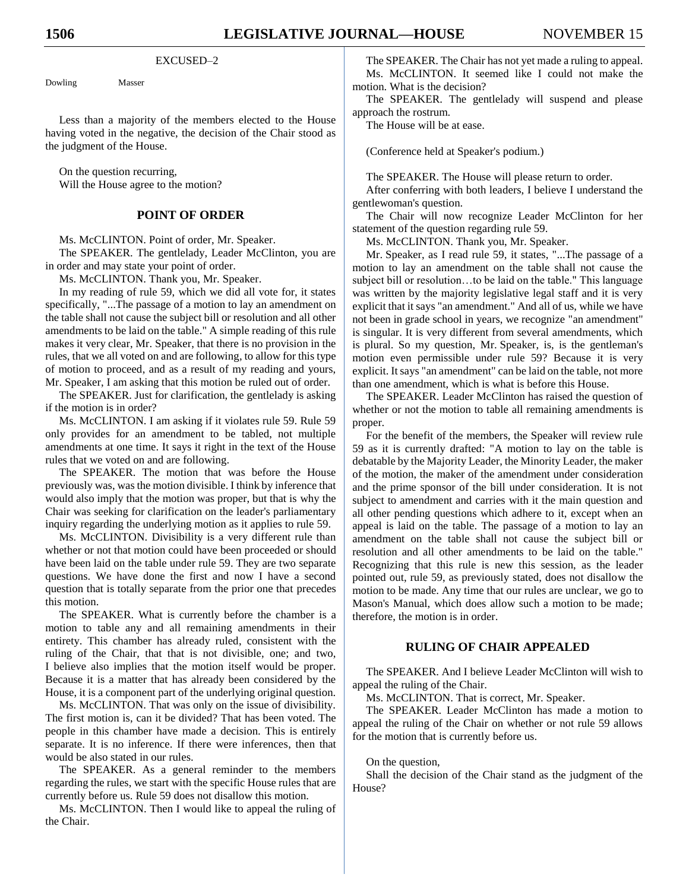#### EXCUSED–2

Dowling Masser

Less than a majority of the members elected to the House having voted in the negative, the decision of the Chair stood as the judgment of the House.

On the question recurring, Will the House agree to the motion?

#### **POINT OF ORDER**

Ms. McCLINTON. Point of order, Mr. Speaker.

The SPEAKER. The gentlelady, Leader McClinton, you are in order and may state your point of order.

Ms. McCLINTON. Thank you, Mr. Speaker.

In my reading of rule 59, which we did all vote for, it states specifically, "...The passage of a motion to lay an amendment on the table shall not cause the subject bill or resolution and all other amendments to be laid on the table." A simple reading of this rule makes it very clear, Mr. Speaker, that there is no provision in the rules, that we all voted on and are following, to allow for this type of motion to proceed, and as a result of my reading and yours, Mr. Speaker, I am asking that this motion be ruled out of order.

The SPEAKER. Just for clarification, the gentlelady is asking if the motion is in order?

Ms. McCLINTON. I am asking if it violates rule 59. Rule 59 only provides for an amendment to be tabled, not multiple amendments at one time. It says it right in the text of the House rules that we voted on and are following.

The SPEAKER. The motion that was before the House previously was, was the motion divisible. I think by inference that would also imply that the motion was proper, but that is why the Chair was seeking for clarification on the leader's parliamentary inquiry regarding the underlying motion as it applies to rule 59.

Ms. McCLINTON. Divisibility is a very different rule than whether or not that motion could have been proceeded or should have been laid on the table under rule 59. They are two separate questions. We have done the first and now I have a second question that is totally separate from the prior one that precedes this motion.

The SPEAKER. What is currently before the chamber is a motion to table any and all remaining amendments in their entirety. This chamber has already ruled, consistent with the ruling of the Chair, that that is not divisible, one; and two, I believe also implies that the motion itself would be proper. Because it is a matter that has already been considered by the House, it is a component part of the underlying original question.

Ms. McCLINTON. That was only on the issue of divisibility. The first motion is, can it be divided? That has been voted. The people in this chamber have made a decision. This is entirely separate. It is no inference. If there were inferences, then that would be also stated in our rules.

The SPEAKER. As a general reminder to the members regarding the rules, we start with the specific House rules that are currently before us. Rule 59 does not disallow this motion.

Ms. McCLINTON. Then I would like to appeal the ruling of the Chair.

The SPEAKER. The Chair has not yet made a ruling to appeal. Ms. McCLINTON. It seemed like I could not make the motion. What is the decision?

The SPEAKER. The gentlelady will suspend and please approach the rostrum.

The House will be at ease.

(Conference held at Speaker's podium.)

The SPEAKER. The House will please return to order.

After conferring with both leaders, I believe I understand the gentlewoman's question.

The Chair will now recognize Leader McClinton for her statement of the question regarding rule 59.

Ms. McCLINTON. Thank you, Mr. Speaker.

Mr. Speaker, as I read rule 59, it states, "...The passage of a motion to lay an amendment on the table shall not cause the subject bill or resolution…to be laid on the table." This language was written by the majority legislative legal staff and it is very explicit that it says "an amendment." And all of us, while we have not been in grade school in years, we recognize "an amendment" is singular. It is very different from several amendments, which is plural. So my question, Mr. Speaker, is, is the gentleman's motion even permissible under rule 59? Because it is very explicit. It says "an amendment" can be laid on the table, not more than one amendment, which is what is before this House.

The SPEAKER. Leader McClinton has raised the question of whether or not the motion to table all remaining amendments is proper.

For the benefit of the members, the Speaker will review rule 59 as it is currently drafted: "A motion to lay on the table is debatable by the Majority Leader, the Minority Leader, the maker of the motion, the maker of the amendment under consideration and the prime sponsor of the bill under consideration. It is not subject to amendment and carries with it the main question and all other pending questions which adhere to it, except when an appeal is laid on the table. The passage of a motion to lay an amendment on the table shall not cause the subject bill or resolution and all other amendments to be laid on the table." Recognizing that this rule is new this session, as the leader pointed out, rule 59, as previously stated, does not disallow the motion to be made. Any time that our rules are unclear, we go to Mason's Manual, which does allow such a motion to be made; therefore, the motion is in order.

#### **RULING OF CHAIR APPEALED**

The SPEAKER. And I believe Leader McClinton will wish to appeal the ruling of the Chair.

Ms. McCLINTON. That is correct, Mr. Speaker.

The SPEAKER. Leader McClinton has made a motion to appeal the ruling of the Chair on whether or not rule 59 allows for the motion that is currently before us.

#### On the question,

Shall the decision of the Chair stand as the judgment of the House?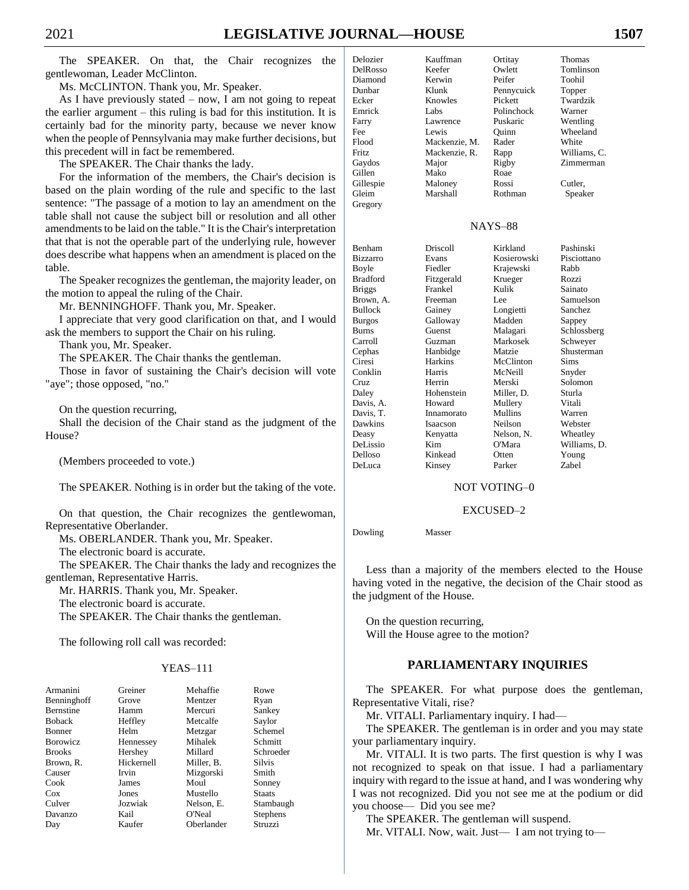The SPEAKER. On that, the Chair recognizes the gentlewoman, Leader McClinton.

Ms. McCLINTON. Thank you, Mr. Speaker.

As I have previously stated  $-$  now, I am not going to repeat the earlier argument – this ruling is bad for this institution. It is certainly bad for the minority party, because we never know when the people of Pennsylvania may make further decisions, but this precedent will in fact be remembered.

The SPEAKER. The Chair thanks the lady.

For the information of the members, the Chair's decision is based on the plain wording of the rule and specific to the last sentence: "The passage of a motion to lay an amendment on the table shall not cause the subject bill or resolution and all other amendments to be laid on the table." It is the Chair's interpretation that that is not the operable part of the underlying rule, however does describe what happens when an amendment is placed on the table.

The Speaker recognizes the gentleman, the majority leader, on the motion to appeal the ruling of the Chair.

Mr. BENNINGHOFF. Thank you, Mr. Speaker.

I appreciate that very good clarification on that, and I would ask the members to support the Chair on his ruling.

Thank you, Mr. Speaker.

The SPEAKER. The Chair thanks the gentleman.

Those in favor of sustaining the Chair's decision will vote "aye"; those opposed, "no."

On the question recurring,

Shall the decision of the Chair stand as the judgment of the House?

(Members proceeded to vote.)

The SPEAKER. Nothing is in order but the taking of the vote.

On that question, the Chair recognizes the gentlewoman, Representative Oberlander.

Ms. OBERLANDER. Thank you, Mr. Speaker.

The electronic board is accurate.

The SPEAKER. The Chair thanks the lady and recognizes the gentleman, Representative Harris.

Mr. HARRIS. Thank you, Mr. Speaker.

The electronic board is accurate.

The SPEAKER. The Chair thanks the gentleman.

The following roll call was recorded:

#### YEAS–111

| Armanini         | Greiner    | Mehaffie   | Rowe            |
|------------------|------------|------------|-----------------|
| Benninghoff      | Grove      | Mentzer    | Ryan            |
| <b>Bernstine</b> | Hamm       | Mercuri    | Sankey          |
| <b>Boback</b>    | Heffley    | Metcalfe   | Saylor          |
| <b>Bonner</b>    | Helm       | Metzgar    | Schemel         |
| <b>B</b> orowicz | Hennessey  | Mihalek    | Schmitt         |
| <b>Brooks</b>    | Hershey    | Millard    | Schroeder       |
| Brown, R.        | Hickernell | Miller, B. | <b>Silvis</b>   |
| Causer           | Irvin      | Mizgorski  | Smith           |
| Cook             | James      | Moul       | Sonney          |
| $\cos$           | Jones      | Mustello   | <b>Staats</b>   |
| Culver           | Jozwiak    | Nelson, E. | Stambaugh       |
| Davanzo          | Kail       | O'Neal     | <b>Stephens</b> |
| Day              | Kaufer     | Oberlander | Struzzi         |

| Delozier     | Kauffman      | Ortitay    | Thomas       |
|--------------|---------------|------------|--------------|
| DelRosso     | Keefer        | Owlett     | Tomlinson    |
| Diamond      | Kerwin        | Peifer     | Toohil       |
| Dunbar       | Klunk         | Pennycuick | Topper       |
| Ecker        | Knowles       | Pickett    | Twardzik     |
| Emrick       | Labs          | Polinchock | Warner       |
| Farry        | Lawrence      | Puskaric   | Wentling     |
| Fee          | Lewis         | Ouinn      | Wheeland     |
| Flood        | Mackenzie, M. | Rader      | White        |
| <b>Fritz</b> | Mackenzie, R. | Rapp       | Williams, C. |
| Gaydos       | Major         | Rigby      | Zimmerman    |
| Gillen       | Mako          | Roae       |              |
| Gillespie    | Maloney       | Rossi      | Cutler,      |
| Gleim        | Marshall      | Rothman    | Speaker      |
| Gregory      |               |            |              |

#### NAYS–88

| Benham          | Driscoll   | Kirkland    | Pashinski    |
|-----------------|------------|-------------|--------------|
| <b>Bizzarro</b> | Evans      | Kosierowski | Pisciottano  |
| Boyle           | Fiedler    | Krajewski   | Rabb         |
| Bradford        | Fitzgerald | Krueger     | Rozzi        |
| <b>Briggs</b>   | Frankel    | Kulik       | Sainato      |
| Brown, A.       | Freeman    | Lee         | Samuelson    |
| Bullock         | Gainey     | Longietti   | Sanchez      |
| Burgos          | Galloway   | Madden      | Sappey       |
| Burns           | Guenst     | Malagari    | Schlossberg  |
| Carroll         | Guzman     | Markosek    | Schweyer     |
| Cephas          | Hanbidge   | Matzie      | Shusterman   |
| Ciresi          | Harkins    | McClinton   | <b>Sims</b>  |
| Conklin         | Harris     | McNeill     | Snyder       |
| Cruz            | Herrin     | Merski      | Solomon      |
| Daley           | Hohenstein | Miller, D.  | Sturla       |
| Davis, A.       | Howard     | Mullery     | Vitali       |
| Davis, T.       | Innamorato | Mullins     | Warren       |
| Dawkins         | Isaacson   | Neilson     | Webster      |
| Deasy           | Kenyatta   | Nelson, N.  | Wheatley     |
| DeLissio        | Kim        | O'Mara      | Williams, D. |
| Delloso         | Kinkead    | Otten       | Young        |
| DeLuca          | Kinsey     | Parker      | Zabel        |

NOT VOTING–0

#### EXCUSED–2

Dowling Masser

Less than a majority of the members elected to the House having voted in the negative, the decision of the Chair stood as the judgment of the House.

On the question recurring, Will the House agree to the motion?

#### **PARLIAMENTARY INQUIRIES**

The SPEAKER. For what purpose does the gentleman, Representative Vitali, rise?

Mr. VITALI. Parliamentary inquiry. I had—

The SPEAKER. The gentleman is in order and you may state your parliamentary inquiry.

Mr. VITALI. It is two parts. The first question is why I was not recognized to speak on that issue. I had a parliamentary inquiry with regard to the issue at hand, and I was wondering why I was not recognized. Did you not see me at the podium or did you choose— Did you see me?

The SPEAKER. The gentleman will suspend.

Mr. VITALI. Now, wait. Just—I am not trying to—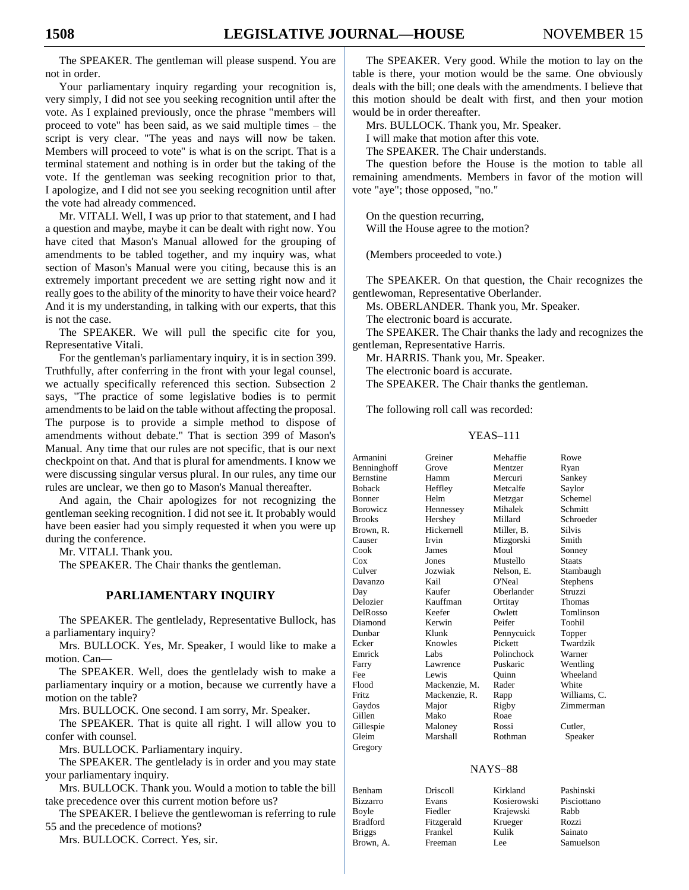The SPEAKER. The gentleman will please suspend. You are not in order.

Your parliamentary inquiry regarding your recognition is, very simply, I did not see you seeking recognition until after the vote. As I explained previously, once the phrase "members will proceed to vote" has been said, as we said multiple times – the script is very clear. "The yeas and nays will now be taken. Members will proceed to vote" is what is on the script. That is a terminal statement and nothing is in order but the taking of the vote. If the gentleman was seeking recognition prior to that, I apologize, and I did not see you seeking recognition until after the vote had already commenced.

Mr. VITALI. Well, I was up prior to that statement, and I had a question and maybe, maybe it can be dealt with right now. You have cited that Mason's Manual allowed for the grouping of amendments to be tabled together, and my inquiry was, what section of Mason's Manual were you citing, because this is an extremely important precedent we are setting right now and it really goes to the ability of the minority to have their voice heard? And it is my understanding, in talking with our experts, that this is not the case.

The SPEAKER. We will pull the specific cite for you, Representative Vitali.

For the gentleman's parliamentary inquiry, it is in section 399. Truthfully, after conferring in the front with your legal counsel, we actually specifically referenced this section. Subsection 2 says, "The practice of some legislative bodies is to permit amendments to be laid on the table without affecting the proposal. The purpose is to provide a simple method to dispose of amendments without debate." That is section 399 of Mason's Manual. Any time that our rules are not specific, that is our next checkpoint on that. And that is plural for amendments. I know we were discussing singular versus plural. In our rules, any time our rules are unclear, we then go to Mason's Manual thereafter.

And again, the Chair apologizes for not recognizing the gentleman seeking recognition. I did not see it. It probably would have been easier had you simply requested it when you were up during the conference.

Mr. VITALI. Thank you.

The SPEAKER. The Chair thanks the gentleman.

#### **PARLIAMENTARY INQUIRY**

The SPEAKER. The gentlelady, Representative Bullock, has a parliamentary inquiry?

Mrs. BULLOCK. Yes, Mr. Speaker, I would like to make a motion. Can—

The SPEAKER. Well, does the gentlelady wish to make a parliamentary inquiry or a motion, because we currently have a motion on the table?

Mrs. BULLOCK. One second. I am sorry, Mr. Speaker.

The SPEAKER. That is quite all right. I will allow you to confer with counsel.

Mrs. BULLOCK. Parliamentary inquiry.

The SPEAKER. The gentlelady is in order and you may state your parliamentary inquiry.

Mrs. BULLOCK. Thank you. Would a motion to table the bill take precedence over this current motion before us?

The SPEAKER. I believe the gentlewoman is referring to rule 55 and the precedence of motions?

Mrs. BULLOCK. Correct. Yes, sir.

The SPEAKER. Very good. While the motion to lay on the table is there, your motion would be the same. One obviously deals with the bill; one deals with the amendments. I believe that this motion should be dealt with first, and then your motion would be in order thereafter.

Mrs. BULLOCK. Thank you, Mr. Speaker.

I will make that motion after this vote.

The SPEAKER. The Chair understands.

The question before the House is the motion to table all remaining amendments. Members in favor of the motion will vote "aye"; those opposed, "no."

On the question recurring, Will the House agree to the motion?

(Members proceeded to vote.)

The SPEAKER. On that question, the Chair recognizes the gentlewoman, Representative Oberlander.

Ms. OBERLANDER. Thank you, Mr. Speaker.

The electronic board is accurate.

The SPEAKER. The Chair thanks the lady and recognizes the gentleman, Representative Harris.

Mr. HARRIS. Thank you, Mr. Speaker.

The electronic board is accurate.

The SPEAKER. The Chair thanks the gentleman.

The following roll call was recorded:

#### YEAS–111

| Armanini         | Greiner       | Mehaffie   | Rowe          |
|------------------|---------------|------------|---------------|
| Benninghoff      | Grove         | Mentzer    | Ryan          |
| <b>Bernstine</b> | Hamm          | Mercuri    | Sankey        |
| <b>Boback</b>    | Heffley       | Metcalfe   | Saylor        |
| <b>Bonner</b>    | Helm          | Metzgar    | Schemel       |
| <b>Borowicz</b>  | Hennessey     | Mihalek    | Schmitt       |
| <b>Brooks</b>    | Hershey       | Millard    | Schroeder     |
| Brown, R.        | Hickernell    | Miller, B. | <b>Silvis</b> |
| Causer           | Irvin         | Mizgorski  | Smith         |
| Cook             | James         | Moul       | Sonney        |
| Cox              | Jones         | Mustello   | <b>Staats</b> |
| Culver           | Jozwiak       | Nelson, E. | Stambaugh     |
| Davanzo          | Kail          | O'Neal     | Stephens      |
| Day              | Kaufer        | Oberlander | Struzzi       |
| Delozier         | Kauffman      | Ortitay    | Thomas        |
| DelRosso         | Keefer        | Owlett     | Tomlinson     |
| Diamond          | Kerwin        | Peifer     | Toohil        |
| Dunbar           | Klunk         | Pennycuick | Topper        |
| Ecker            | Knowles       | Pickett    | Twardzik      |
| Emrick           | Labs          | Polinchock | Warner        |
| Farry            | Lawrence      | Puskaric   | Wentling      |
| Fee              | <b>Lewis</b>  | Ouinn      | Wheeland      |
| Flood            | Mackenzie, M. | Rader      | White         |
| <b>Fritz</b>     | Mackenzie, R. | Rapp       | Williams, C.  |
| Gaydos           | Major         | Rigby      | Zimmerman     |
| Gillen           | Mako          | Roae       |               |
| Gillespie        | Maloney       | Rossi      | Cutler,       |
| Gleim            | Marshall      | Rothman    | Speaker       |
| Gregory          |               |            |               |
|                  |               |            |               |

#### NAYS–88

| Benham          | Driscoll   | Kirkland    | Pashinski   |
|-----------------|------------|-------------|-------------|
| <b>Bizzarro</b> | Evans      | Kosierowski | Pisciottano |
| Boyle           | Fiedler    | Krajewski   | Rabb        |
| <b>Bradford</b> | Fitzgerald | Krueger     | Rozzi       |
| <b>Briggs</b>   | Frankel    | Kulik       | Sainato     |
| Brown, A.       | Freeman    | Lee.        | Samuelson   |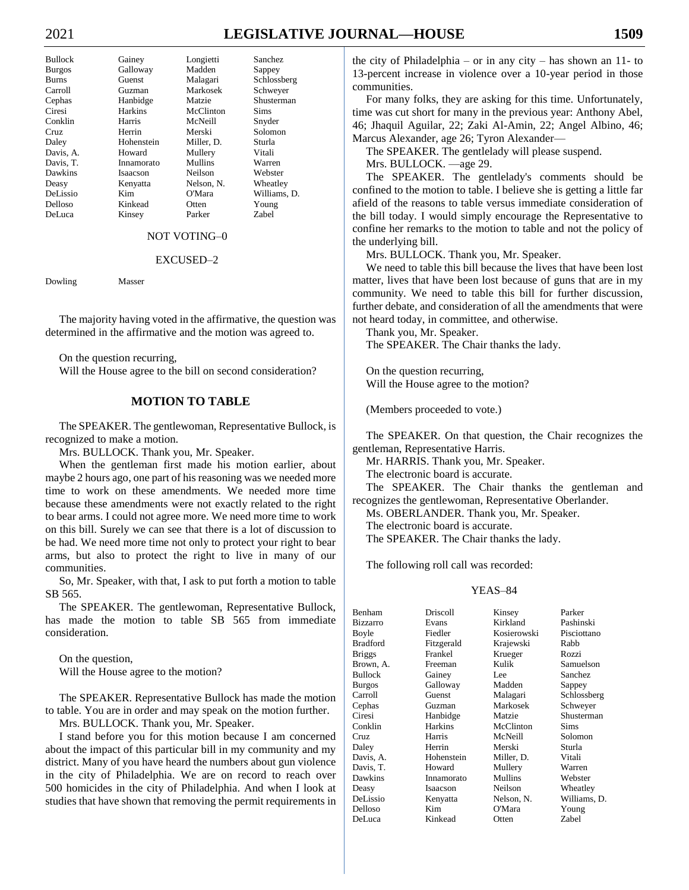# 2021 **LEGISLATIVE JOURNAL—HOUSE 1509**

| Bullock   | Gainey     | Longietti  | Sanchez      |
|-----------|------------|------------|--------------|
| Burgos    | Galloway   | Madden     | Sappey       |
| Burns     | Guenst     | Malagari   | Schlossberg  |
| Carroll   | Guzman     | Markosek   | Schwever     |
| Cephas    | Hanbidge   | Matzie     | Shusterman   |
| Ciresi    | Harkins    | McClinton  | <b>Sims</b>  |
| Conklin   | Harris     | McNeill    | Snyder       |
| Cruz      | Herrin     | Merski     | Solomon      |
| Daley     | Hohenstein | Miller, D. | Sturla       |
| Davis, A. | Howard     | Mullery    | Vitali       |
| Davis, T. | Innamorato | Mullins    | Warren       |
| Dawkins   | Isaacson   | Neilson    | Webster      |
| Deasy     | Kenyatta   | Nelson, N. | Wheatley     |
| DeLissio  | Kim        | O'Mara     | Williams, D. |
| Delloso   | Kinkead    | Otten      | Young        |
| DeLuca    | Kinsey     | Parker     | Zabel        |
|           |            |            |              |

#### NOT VOTING–0

#### EXCUSED–2

Dowling Masser

The majority having voted in the affirmative, the question was determined in the affirmative and the motion was agreed to.

On the question recurring,

Will the House agree to the bill on second consideration?

#### **MOTION TO TABLE**

The SPEAKER. The gentlewoman, Representative Bullock, is recognized to make a motion.

Mrs. BULLOCK. Thank you, Mr. Speaker.

When the gentleman first made his motion earlier, about maybe 2 hours ago, one part of his reasoning was we needed more time to work on these amendments. We needed more time because these amendments were not exactly related to the right to bear arms. I could not agree more. We need more time to work on this bill. Surely we can see that there is a lot of discussion to be had. We need more time not only to protect your right to bear arms, but also to protect the right to live in many of our communities.

So, Mr. Speaker, with that, I ask to put forth a motion to table SB 565.

The SPEAKER. The gentlewoman, Representative Bullock, has made the motion to table SB 565 from immediate consideration.

On the question, Will the House agree to the motion?

The SPEAKER. Representative Bullock has made the motion to table. You are in order and may speak on the motion further.

Mrs. BULLOCK. Thank you, Mr. Speaker.

I stand before you for this motion because I am concerned about the impact of this particular bill in my community and my district. Many of you have heard the numbers about gun violence in the city of Philadelphia. We are on record to reach over 500 homicides in the city of Philadelphia. And when I look at studies that have shown that removing the permit requirements in

the city of Philadelphia – or in any city – has shown an 11- to 13-percent increase in violence over a 10-year period in those communities.

For many folks, they are asking for this time. Unfortunately, time was cut short for many in the previous year: Anthony Abel, 46; Jhaquil Aguilar, 22; Zaki Al-Amin, 22; Angel Albino, 46; Marcus Alexander, age 26; Tyron Alexander—

The SPEAKER. The gentlelady will please suspend.

Mrs. BULLOCK. —age 29.

The SPEAKER. The gentlelady's comments should be confined to the motion to table. I believe she is getting a little far afield of the reasons to table versus immediate consideration of the bill today. I would simply encourage the Representative to confine her remarks to the motion to table and not the policy of the underlying bill.

Mrs. BULLOCK. Thank you, Mr. Speaker.

We need to table this bill because the lives that have been lost matter, lives that have been lost because of guns that are in my community. We need to table this bill for further discussion, further debate, and consideration of all the amendments that were not heard today, in committee, and otherwise.

Thank you, Mr. Speaker. The SPEAKER. The Chair thanks the lady.

On the question recurring, Will the House agree to the motion?

(Members proceeded to vote.)

The SPEAKER. On that question, the Chair recognizes the gentleman, Representative Harris.

Mr. HARRIS. Thank you, Mr. Speaker.

The electronic board is accurate.

The SPEAKER. The Chair thanks the gentleman and recognizes the gentlewoman, Representative Oberlander.

Ms. OBERLANDER. Thank you, Mr. Speaker.

The electronic board is accurate.

The SPEAKER. The Chair thanks the lady.

The following roll call was recorded:

#### YEAS–84

| Benham          | Driscoll       | Kinsey      | Parker       |
|-----------------|----------------|-------------|--------------|
| <b>Bizzarro</b> | Evans          | Kirkland    | Pashinski    |
| Boyle           | Fiedler        | Kosierowski | Pisciottano  |
| Bradford        | Fitzgerald     | Krajewski   | Rabb         |
| <b>Briggs</b>   | Frankel        | Krueger     | Rozzi        |
| Brown, A.       | Freeman        | Kulik       | Samuelson    |
| Bullock         | Gainey         | Lee         | Sanchez      |
| Burgos          | Galloway       | Madden      | Sappey       |
| Carroll         | Guenst         | Malagari    | Schlossberg  |
| Cephas          | Guzman         | Markosek    | Schweyer     |
| Ciresi          | Hanbidge       | Matzie      | Shusterman   |
| Conklin         | <b>Harkins</b> | McClinton   | <b>Sims</b>  |
| Cruz.           | <b>Harris</b>  | McNeill     | Solomon      |
| Daley           | Herrin         | Merski      | Sturla       |
| Davis, A.       | Hohenstein     | Miller, D.  | Vitali       |
| Davis, T.       | Howard         | Mullery     | Warren       |
| Dawkins         | Innamorato     | Mullins     | Webster      |
| Deasy           | Isaacson       | Neilson     | Wheatley     |
| DeLissio        | Kenyatta       | Nelson, N.  | Williams, D. |
| Delloso         | Kim            | O'Mara      | Young        |
| DeLuca          | Kinkead        | Otten       | Zabel        |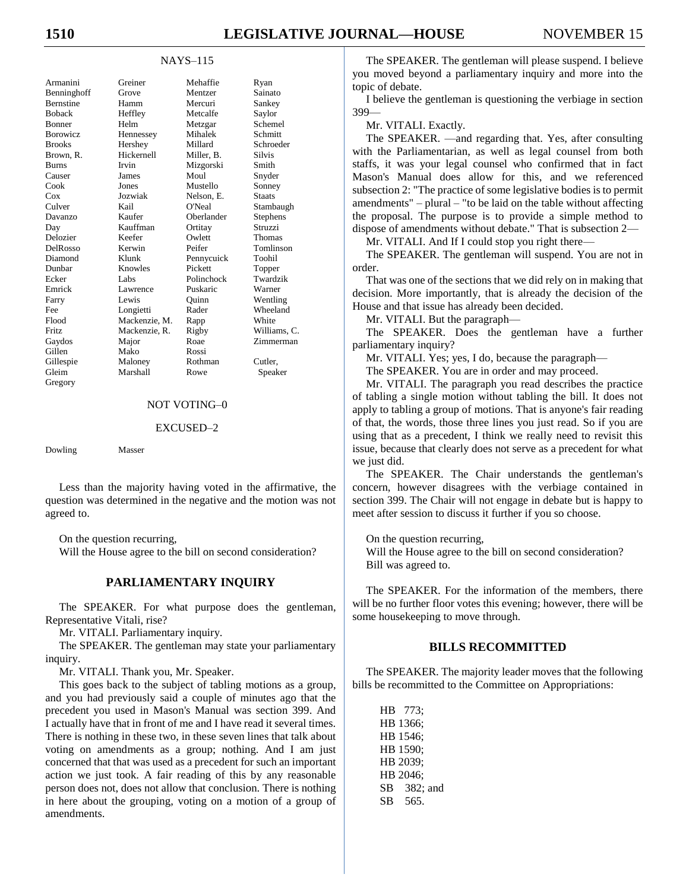#### NAYS–115

| Armanini      | Greiner       | Mehaffie   | Ryan          |
|---------------|---------------|------------|---------------|
| Benninghoff   | Grove         | Mentzer    | Sainato       |
| Bernstine     | Hamm          | Mercuri    | Sankey        |
| Boback        | Heffley       | Metcalfe   | Saylor        |
| Bonner        | Helm          | Metzgar    | Schemel       |
| Borowicz      | Hennessey     | Mihalek    | Schmitt       |
| <b>Brooks</b> | Hershey       | Millard    | Schroeder     |
| Brown, R.     | Hickernell    | Miller, B. | <b>Silvis</b> |
| Burns         | Irvin         | Mizgorski  | Smith         |
| Causer        | James         | Moul       | Snyder        |
| Cook          | <b>Jones</b>  | Mustello   | Sonney        |
| Cox           | Jozwiak       | Nelson, E. | <b>Staats</b> |
| Culver        | Kail          | O'Neal     | Stambaugh     |
| Davanzo       | Kaufer        | Oberlander | Stephens      |
| Day           | Kauffman      | Ortitay    | Struzzi       |
| Delozier      | Keefer        | Owlett     | Thomas        |
| DelRosso      | Kerwin        | Peifer     | Tomlinson     |
| Diamond       | Klunk         | Pennycuick | Toohil        |
| Dunbar        | Knowles       | Pickett    | Topper        |
| Ecker         | Labs          | Polinchock | Twardzik      |
| Emrick        | Lawrence      | Puskaric   | Warner        |
| Farry         | Lewis         | Ouinn      | Wentling      |
| Fee           | Longietti     | Rader      | Wheeland      |
| Flood         | Mackenzie, M. | Rapp       | White         |
| Fritz         | Mackenzie, R. | Rigby      | Williams, C.  |
| Gaydos        | Major         | Roae       | Zimmerman     |
| Gillen        | Mako          | Rossi      |               |
| Gillespie     | Maloney       | Rothman    | Cutler.       |
| Gleim         | Marshall      | Rowe       | Speaker       |
| Gregory       |               |            |               |
|               |               |            |               |

#### NOT VOTING–0

#### EXCUSED–2

Dowling Masser

Less than the majority having voted in the affirmative, the question was determined in the negative and the motion was not agreed to.

On the question recurring,

Will the House agree to the bill on second consideration?

#### **PARLIAMENTARY INQUIRY**

The SPEAKER. For what purpose does the gentleman, Representative Vitali, rise?

Mr. VITALI. Parliamentary inquiry.

The SPEAKER. The gentleman may state your parliamentary inquiry.

Mr. VITALI. Thank you, Mr. Speaker.

This goes back to the subject of tabling motions as a group, and you had previously said a couple of minutes ago that the precedent you used in Mason's Manual was section 399. And I actually have that in front of me and I have read it several times. There is nothing in these two, in these seven lines that talk about voting on amendments as a group; nothing. And I am just concerned that that was used as a precedent for such an important action we just took. A fair reading of this by any reasonable person does not, does not allow that conclusion. There is nothing in here about the grouping, voting on a motion of a group of amendments.

The SPEAKER. The gentleman will please suspend. I believe you moved beyond a parliamentary inquiry and more into the topic of debate.

I believe the gentleman is questioning the verbiage in section 399—

Mr. VITALI. Exactly.

The SPEAKER. —and regarding that. Yes, after consulting with the Parliamentarian, as well as legal counsel from both staffs, it was your legal counsel who confirmed that in fact Mason's Manual does allow for this, and we referenced subsection 2: "The practice of some legislative bodies is to permit amendments" – plural – "to be laid on the table without affecting the proposal. The purpose is to provide a simple method to dispose of amendments without debate." That is subsection 2—

Mr. VITALI. And If I could stop you right there—

The SPEAKER. The gentleman will suspend. You are not in order.

That was one of the sections that we did rely on in making that decision. More importantly, that is already the decision of the House and that issue has already been decided.

Mr. VITALI. But the paragraph—

The SPEAKER. Does the gentleman have a further parliamentary inquiry?

Mr. VITALI. Yes; yes, I do, because the paragraph—

The SPEAKER. You are in order and may proceed.

Mr. VITALI. The paragraph you read describes the practice of tabling a single motion without tabling the bill. It does not apply to tabling a group of motions. That is anyone's fair reading of that, the words, those three lines you just read. So if you are using that as a precedent, I think we really need to revisit this issue, because that clearly does not serve as a precedent for what we just did.

The SPEAKER. The Chair understands the gentleman's concern, however disagrees with the verbiage contained in section 399. The Chair will not engage in debate but is happy to meet after session to discuss it further if you so choose.

On the question recurring,

Will the House agree to the bill on second consideration? Bill was agreed to.

The SPEAKER. For the information of the members, there will be no further floor votes this evening; however, there will be some housekeeping to move through.

#### **BILLS RECOMMITTED**

The SPEAKER. The majority leader moves that the following bills be recommitted to the Committee on Appropriations:

HB 773; HB 1366; HB 1546; HB 1590; HB 2039; HB 2046; SB 382; and SB 565.